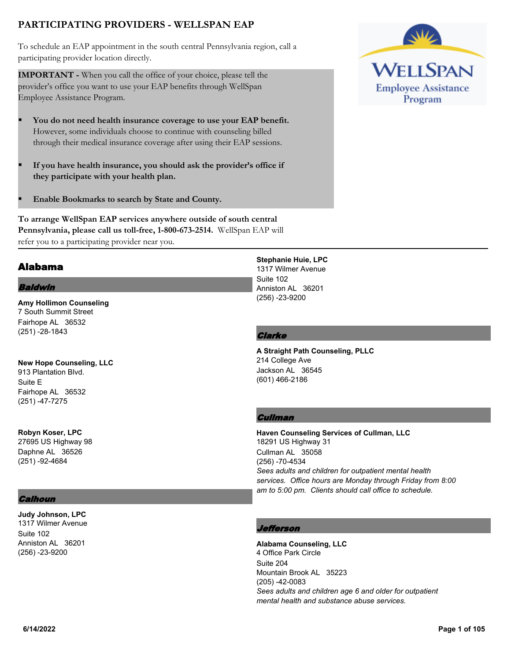# **PARTICIPATING PROVIDERS - WELLSPAN EAP**

To schedule an EAP appointment in the south central Pennsylvania region, call a participating provider location directly.

**IMPORTANT -** When you call the office of your choice, please tell the provider's office you want to use your EAP benefits through WellSpan Employee Assistance Program.

- § **You do not need health insurance coverage to use your EAP benefit.** However, some individuals choose to continue with counseling billed through their medical insurance coverage after using their EAP sessions.
- § **If you have health insurance, you should ask the provider's office if they participate with your health plan.**
- § **Enable Bookmarks to search by State and County.**

**To arrange WellSpan EAP services anywhere outside of south central Pennsylvania, please call us toll-free, 1-800-673-2514.** WellSpan EAP will refer you to a participating provider near you.

## Alabama

### Baldwin

**Amy Hollimon Counseling** 7 South Summit Street Fairhope AL 36532 (251) -28-1843

**New Hope Counseling, LLC** 913 Plantation Blvd. Suite E Fairhope AL 36532 (251) -47-7275

**Robyn Koser, LPC** 27695 US Highway 98 Daphne AL 36526 (251) -92-4684

### **Calhoun**

**Judy Johnson, LPC** 1317 Wilmer Avenue Suite 102 Anniston AL 36201 (256) -23-9200

**Stephanie Huie, LPC** 1317 Wilmer Avenue Suite 102 Anniston AL 36201 (256) -23-9200

### **Clarke**

**A Straight Path Counseling, PLLC** 214 College Ave Jackson AL 36545 (601) 466-2186

### **Cullman**

**Haven Counseling Services of Cullman, LLC** 18291 US Highway 31 Cullman AL 35058 (256) -70-4534 *Sees adults and children for outpatient mental health services. Office hours are Monday through Friday from 8:00 am to 5:00 pm. Clients should call office to schedule.*

### efferson

**Alabama Counseling, LLC** 4 Office Park Circle Suite 204 Mountain Brook AL 35223 (205) -42-0083 *Sees adults and children age 6 and older for outpatient mental health and substance abuse services.*

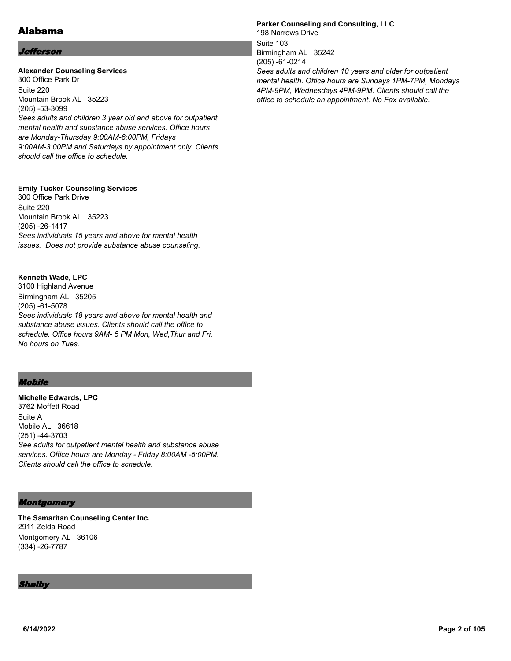# Alabama

#### Jefferson

### **Alexander Counseling Services**

300 Office Park Dr Suite 220 Mountain Brook AL 35223 (205) -53-3099 *Sees adults and children 3 year old and above for outpatient mental health and substance abuse services. Office hours are Monday-Thursday 9:00AM-6:00PM, Fridays 9:00AM-3:00PM and Saturdays by appointment only. Clients should call the office to schedule.*

#### **Emily Tucker Counseling Services**

300 Office Park Drive Suite 220 Mountain Brook AL 35223 (205) -26-1417 *Sees individuals 15 years and above for mental health issues. Does not provide substance abuse counseling.*

#### **Kenneth Wade, LPC**

3100 Highland Avenue Birmingham AL 35205 (205) -61-5078 *Sees individuals 18 years and above for mental health and substance abuse issues. Clients should call the office to schedule. Office hours 9AM- 5 PM Mon, Wed,Thur and Fri. No hours on Tues.*

### Mobile

**Michelle Edwards, LPC** 3762 Moffett Road Suite A Mobile AL 36618 (251) -44-3703 *See adults for outpatient mental health and substance abuse services. Office hours are Monday - Friday 8:00AM -5:00PM. Clients should call the office to schedule.*

### Montgomery

**The Samaritan Counseling Center Inc.** 2911 Zelda Road Montgomery AL 36106 (334) -26-7787

### **Thelby**

**Parker Counseling and Consulting, LLC** 198 Narrows Drive Suite 103 Birmingham AL 35242 (205) -61-0214 *Sees adults and children 10 years and older for outpatient mental health. Office hours are Sundays 1PM-7PM, Mondays 4PM-9PM, Wednesdays 4PM-9PM. Clients should call the office to schedule an appointment. No Fax available.*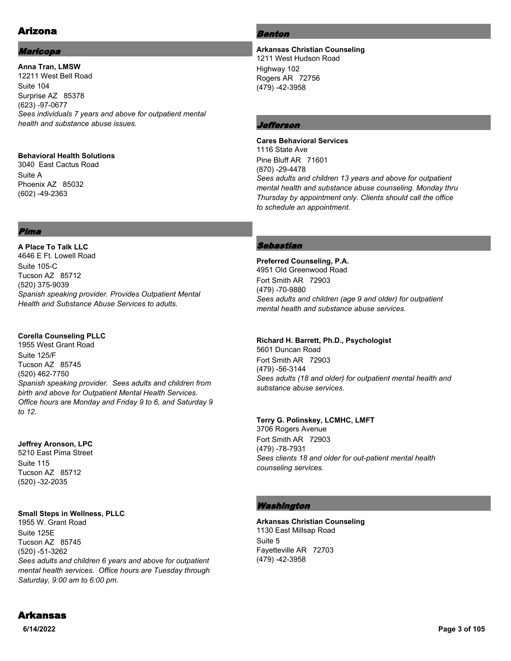# Arizona

### Maricopa

**Anna Tran, LMSW** 12211 West Bell Road Suite 104 Surprise AZ 85378 (623) -97-0677 *Sees individuals 7 years and above for outpatient mental health and substance abuse issues.*

### **Behavioral Health Solutions**

3040 East Cactus Road Suite A Phoenix AZ 85032 (602) -49-2363

### Pima

**A Place To Talk LLC** 4646 E Ft. Lowell Road Suite 105-C Tucson AZ 85712 (520) 375-9039 *Spanish speaking provider. Provides Outpatient Mental Health and Substance Abuse Services to adults.*

### **Corella Counseling PLLC**

1955 West Grant Road Suite 125/F Tucson AZ 85745 (520) 462-7750 *Spanish speaking provider. Sees adults and children from birth and above for Outpatient Mental Health Services. Office hours are Monday and Friday 9 to 6, and Saturday 9 to 12.*

### **Jeffrey Aronson, LPC**

5210 East Pima Street Suite 115 Tucson AZ 85712 (520) -32-2035

### **Small Steps in Wellness, PLLC**

1955 W. Grant Road Suite 125E Tucson AZ 85745 (520) -51-3262 *Sees adults and children 6 years and above for outpatient mental health services. Office hours are Tuesday through Saturday, 9:00 am to 6:00 pm.*

### Benton

**Arkansas Christian Counseling** 1211 West Hudson Road Highway 102 Rogers AR 72756 (479) -42-3958

### Jefferson

### **Cares Behavioral Services** 1116 State Ave Pine Bluff AR 71601 (870) -29-4478 *Sees adults and children 13 years and above for outpatient mental health and substance abuse counseling. Monday thru Thursday by appointment only. Clients should call the office to schedule an appointment.*

### Sebastian

**Preferred Counseling, P.A.** 4951 Old Greenwood Road Fort Smith AR 72903 (479) -70-9880 *Sees adults and children (age 9 and older) for outpatient mental health and substance abuse services.*

### **Richard H. Barrett, Ph.D., Psychologist**

5601 Duncan Road Fort Smith AR 72903 (479) -56-3144 *Sees adults (18 and older) for outpatient mental health and substance abuse services.*

### **Terry G. Polinskey, LCMHC, LMFT**

3706 Rogers Avenue Fort Smith AR 72903 (479) -78-7931 *Sees clients 18 and older for out-patient mental health counseling services.*

### Washington

**Arkansas Christian Counseling** 1130 East Millsap Road Suite 5 Fayetteville AR 72703 (479) -42-3958

# Arkansas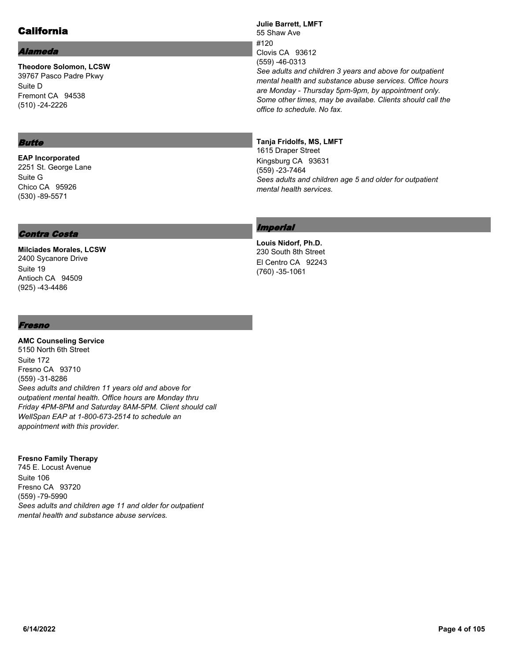# California

### Alameda

**Theodore Solomon, LCSW** 39767 Pasco Padre Pkwy Suite D Fremont CA 94538 (510) -24-2226

### Butte

**EAP Incorporated** 2251 St. George Lane Suite G Chico CA 95926 (530) -89-5571

### Contra Costa

**Milciades Morales, LCSW** 2400 Sycanore Drive Suite 19 Antioch CA 94509 (925) -43-4486

### Fresno

**AMC Counseling Service** 5150 North 6th Street Suite 172 Fresno CA 93710 (559) -31-8286 *Sees adults and children 11 years old and above for outpatient mental health. Office hours are Monday thru Friday 4PM-8PM and Saturday 8AM-5PM. Client should call WellSpan EAP at 1-800-673-2514 to schedule an appointment with this provider.*

### **Fresno Family Therapy**

745 E. Locust Avenue Suite 106 Fresno CA 93720 (559) -79-5990 *Sees adults and children age 11 and older for outpatient mental health and substance abuse services.*

**Julie Barrett, LMFT** 55 Shaw Ave #120 Clovis CA 93612 (559) -46-0313 *See adults and children 3 years and above for outpatient mental health and substance abuse services. Office hours are Monday - Thursday 5pm-9pm, by appointment only. Some other times, may be availabe. Clients should call the office to schedule. No fax.*

### **Tanja Fridolfs, MS, LMFT**

1615 Draper Street Kingsburg CA 93631 (559) -23-7464 *Sees adults and children age 5 and older for outpatient mental health services.*

### Imperial

**Louis Nidorf, Ph.D.** 230 South 8th Street El Centro CA 92243 (760) -35-1061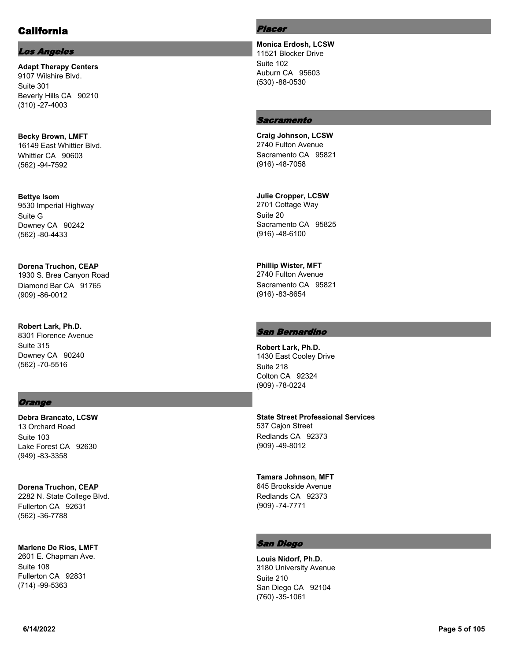# California

### Los Angeles

**Adapt Therapy Centers** 9107 Wilshire Blvd. Suite 301 Beverly Hills CA 90210 (310) -27-4003

**Becky Brown, LMFT** 16149 East Whittier Blvd. Whittier CA 90603 (562) -94-7592

**Bettye Isom** 9530 Imperial Highway Suite G Downey CA 90242 (562) -80-4433

**Dorena Truchon, CEAP** 1930 S. Brea Canyon Road Diamond Bar CA 91765 (909) -86-0012

**Robert Lark, Ph.D.** 8301 Florence Avenue Suite 315 Downey CA 90240 (562) -70-5516

### **Orange**

**Debra Brancato, LCSW** 13 Orchard Road Suite 103 Lake Forest CA 92630 (949) -83-3358

**Dorena Truchon, CEAP** 2282 N. State College Blvd. Fullerton CA 92631 (562) -36-7788

**Marlene De Rios, LMFT**

2601 E. Chapman Ave. Suite 108 Fullerton CA 92831 (714) -99-5363

#### Placer

**Monica Erdosh, LCSW** 11521 Blocker Drive Suite 102 Auburn CA 95603 (530) -88-0530

### **Sacramento**

**Craig Johnson, LCSW** 2740 Fulton Avenue Sacramento CA 95821 (916) -48-7058

**Julie Cropper, LCSW** 2701 Cottage Way Suite 20 Sacramento CA 95825 (916) -48-6100

**Phillip Wister, MFT** 2740 Fulton Avenue Sacramento CA 95821 (916) -83-8654

### San Bernardino

**Robert Lark, Ph.D.** 1430 East Cooley Drive Suite 218 Colton CA 92324 (909) -78-0224

**State Street Professional Services** 537 Cajon Street

Redlands CA 92373 (909) -49-8012

**Tamara Johnson, MFT** 645 Brookside Avenue Redlands CA 92373 (909) -74-7771

### San Diego

**Louis Nidorf, Ph.D.** 3180 University Avenue Suite 210 San Diego CA 92104 (760) -35-1061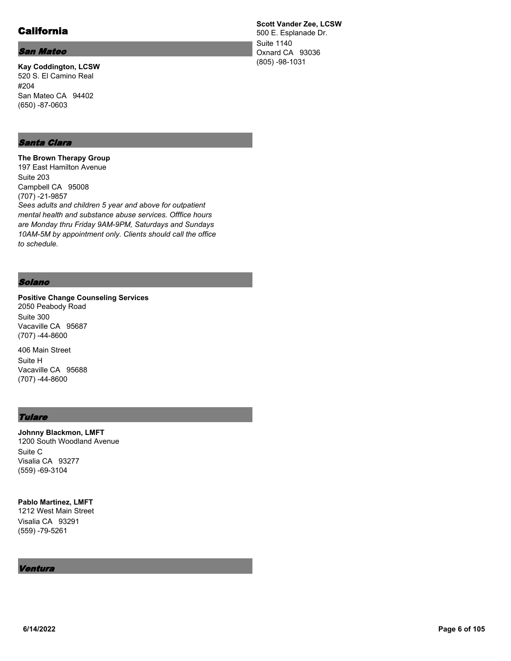# California

### San Mateo

**Kay Coddington, LCSW** 520 S. El Camino Real #204 San Mateo CA 94402 (650) -87-0603

### Santa Clara

**The Brown Therapy Group** 197 East Hamilton Avenue Suite 203 Campbell CA 95008 (707) -21-9857 *Sees adults and children 5 year and above for outpatient mental health and substance abuse services. Offfice hours are Monday thru Friday 9AM-9PM, Saturdays and Sundays 10AM-5M by appointment only. Clients should call the office to schedule.*

#### Solano

**Positive Change Counseling Services** 2050 Peabody Road Suite 300 Vacaville CA 95687 (707) -44-8600

406 Main Street Suite H Vacaville CA 95688 (707) -44-8600

### **Tulare**

**Johnny Blackmon, LMFT** 1200 South Woodland Avenue Suite C Visalia CA 93277 (559) -69-3104

**Pablo Martinez, LMFT** 1212 West Main Street Visalia CA 93291 (559) -79-5261

#### Ventura

**Scott Vander Zee, LCSW** 500 E. Esplanade Dr. Suite 1140 Oxnard CA 93036 (805) -98-1031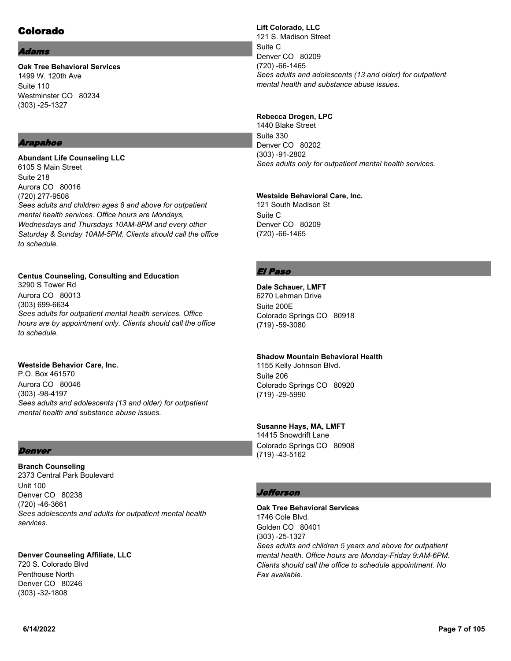# Colorado

#### dams

**Oak Tree Behavioral Services** 1499 W. 120th Ave Suite 110 Westminster CO 80234 (303) -25-1327

### Arapahoe

**Abundant Life Counseling LLC** 6105 S Main Street Suite 218 Aurora CO 80016 (720) 277-9508 *Sees adults and children ages 8 and above for outpatient mental health services. Office hours are Mondays, Wednesdays and Thursdays 10AM-8PM and every other Saturday & Sunday 10AM-5PM. Clients should call the office to schedule.*

### **Centus Counseling, Consulting and Education**

3290 S Tower Rd Aurora CO 80013 (303) 699-6634 *Sees adults for outpatient mental health services. Office hours are by appointment only. Clients should call the office to schedule.*

### **Westside Behavior Care, Inc.**

P.O. Box 461570 Aurora CO 80046 (303) -98-4197 *Sees adults and adolescents (13 and older) for outpatient mental health and substance abuse issues.*

### **Denver**

**Branch Counseling** 2373 Central Park Boulevard Unit 100 Denver CO 80238 (720) -46-3661 *Sees adolescents and adults for outpatient mental health services.*

**Denver Counseling Affiliate, LLC** 720 S. Colorado Blvd Penthouse North Denver CO 80246 (303) -32-1808

**Lift Colorado, LLC** 121 S. Madison Street Suite C Denver CO 80209 (720) -66-1465 *Sees adults and adolescents (13 and older) for outpatient mental health and substance abuse issues.*

### **Rebecca Drogen, LPC**

1440 Blake Street Suite 330 Denver CO 80202 (303) -91-2802 *Sees adults only for outpatient mental health services.*

#### **Westside Behavioral Care, Inc.**

121 South Madison St Suite C Denver CO 80209 (720) -66-1465

### El Paso

**Dale Schauer, LMFT** 6270 Lehman Drive Suite 200E Colorado Springs CO 80918 (719) -59-3080

### **Shadow Mountain Behavioral Health**

1155 Kelly Johnson Blvd. Suite 206 Colorado Springs CO 80920 (719) -29-5990

### **Susanne Hays, MA, LMFT**

14415 Snowdrift Lane Colorado Springs CO 80908 (719) -43-5162

### Jefferson

**Oak Tree Behavioral Services** 1746 Cole Blvd. Golden CO 80401 (303) -25-1327 *Sees adults and children 5 years and above for outpatient mental health. Office hours are Monday-Friday 9:AM-6PM. Clients should call the office to schedule appointment. No Fax available.*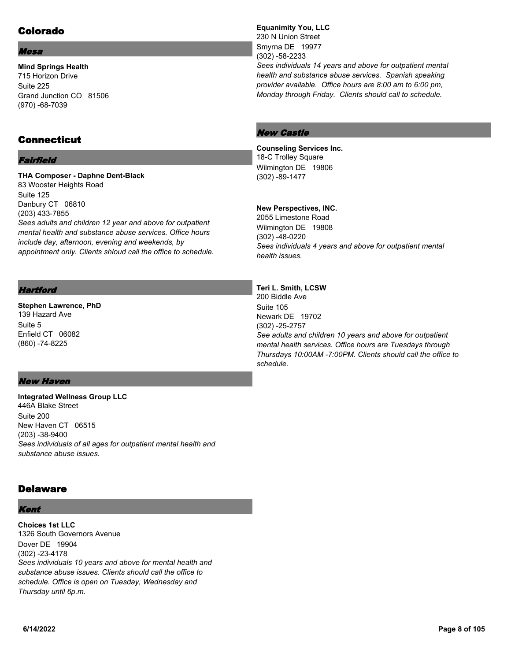# Colorado

#### Mesa

**Mind Springs Health** 715 Horizon Drive Suite 225 Grand Junction CO 81506 (970) -68-7039

## **Connecticut**

### Fairfield

**THA Composer - Daphne Dent-Black** 83 Wooster Heights Road Suite 125 Danbury CT 06810 (203) 433-7855 *Sees adults and children 12 year and above for outpatient mental health and substance abuse services. Office hours include day, afternoon, evening and weekends, by appointment only. Clients shloud call the office to schedule.*

### **Hartford**

**Stephen Lawrence, PhD** 139 Hazard Ave Suite 5 Enfield CT 06082 (860) -74-8225

### **Equanimity You, LLC** 230 N Union Street Smyrna DE 19977 (302) -58-2233 *Sees individuals 14 years and above for outpatient mental health and substance abuse services. Spanish speaking provider available. Office hours are 8:00 am to 6:00 pm, Monday through Friday. Clients should call to schedule.*

### New Castle

### **Counseling Services Inc.** 18-C Trolley Square

Wilmington DE 19806 (302) -89-1477

### **New Perspectives, INC.**

2055 Limestone Road Wilmington DE 19808 (302) -48-0220 *Sees individuals 4 years and above for outpatient mental health issues.*

### **Teri L. Smith, LCSW**

200 Biddle Ave Suite 105 Newark DE 19702 (302) -25-2757 *See adults and children 10 years and above for outpatient mental health services. Office hours are Tuesdays through Thursdays 10:00AM -7:00PM. Clients should call the office to schedule.*

### New Haven

**Integrated Wellness Group LLC** 446A Blake Street Suite 200 New Haven CT 06515 (203) -38-9400 *Sees individuals of all ages for outpatient mental health and substance abuse issues.*

## **Delaware**

### Kent

**Choices 1st LLC** 1326 South Governors Avenue Dover DE 19904 (302) -23-4178 *Sees individuals 10 years and above for mental health and substance abuse issues. Clients should call the office to schedule. Office is open on Tuesday, Wednesday and Thursday until 6p.m.*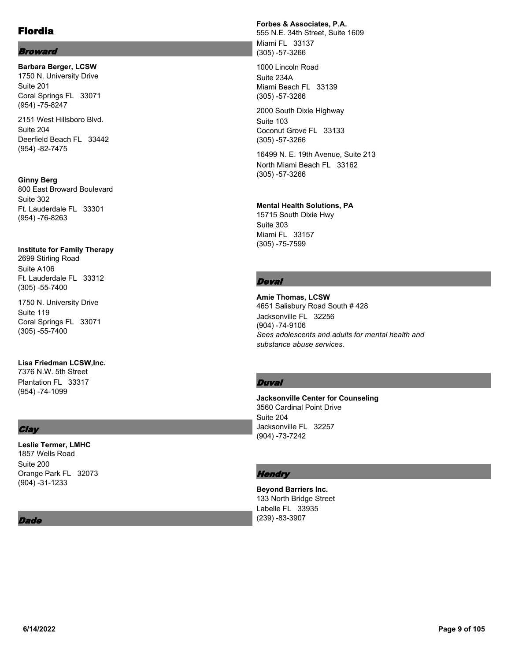### Broward

**Barbara Berger, LCSW** 1750 N. University Drive Suite 201 Coral Springs FL 33071 (954) -75-8247

2151 West Hillsboro Blvd. Suite 204 Deerfield Beach FL 33442 (954) -82-7475

### **Ginny Berg** 800 East Broward Boulevard Suite 302

Ft. Lauderdale FL 33301 (954) -76-8263

### **Institute for Family Therapy**

2699 Stirling Road Suite A106 Ft. Lauderdale FL 33312 (305) -55-7400

1750 N. University Drive Suite 119 Coral Springs FL 33071 (305) -55-7400

## **Lisa Friedman LCSW,Inc.**

7376 N.W. 5th Street Plantation FL 33317 (954) -74-1099

# **Clay**

### **Leslie Termer, LMHC** 1857 Wells Road Suite 200 Orange Park FL 32073 (904) -31-1233

### Dade

### **Forbes & Associates, P.A.**

555 N.E. 34th Street, Suite 1609 Miami FL 33137 (305) -57-3266

1000 Lincoln Road Suite 234A Miami Beach FL 33139 (305) -57-3266

2000 South Dixie Highway Suite 103 Coconut Grove FL 33133 (305) -57-3266

16499 N. E. 19th Avenue, Suite 213 North Miami Beach FL 33162 (305) -57-3266

### **Mental Health Solutions, PA**

15715 South Dixie Hwy Suite 303 Miami FL 33157 (305) -75-7599

### **Deval**

**Amie Thomas, LCSW** 4651 Salisbury Road South # 428 Jacksonville FL 32256 (904) -74-9106 *Sees adolescents and adults for mental health and substance abuse services.*

### **Duval**

**Jacksonville Center for Counseling** 3560 Cardinal Point Drive Suite 204 Jacksonville FL 32257 (904) -73-7242

### **Hendry**

**Beyond Barriers Inc.** 133 North Bridge Street Labelle FL 33935 (239) -83-3907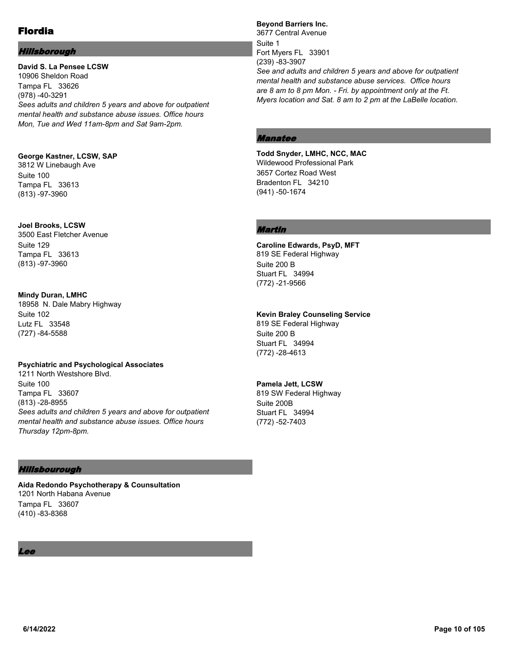### Hillsborough

**David S. La Pensee LCSW** 10906 Sheldon Road Tampa FL 33626 (978) -40-3291 *Sees adults and children 5 years and above for outpatient mental health and substance abuse issues. Office hours Mon, Tue and Wed 11am-8pm and Sat 9am-2pm.*

### **George Kastner, LCSW, SAP**

3812 W Linebaugh Ave Suite 100 Tampa FL 33613 (813) -97-3960

#### **Joel Brooks, LCSW**

3500 East Fletcher Avenue Suite 129 Tampa FL 33613 (813) -97-3960

### **Mindy Duran, LMHC**

18958 N. Dale Mabry Highway Suite 102 Lutz FL 33548 (727) -84-5588

#### **Psychiatric and Psychological Associates**

1211 North Westshore Blvd. Suite 100 Tampa FL 33607 (813) -28-8955 *Sees adults and children 5 years and above for outpatient mental health and substance abuse issues. Office hours Thursday 12pm-8pm.*

### Hillsbourough

**Aida Redondo Psychotherapy & Counsultation** 1201 North Habana Avenue Tampa FL 33607 (410) -83-8368

### Lee

**Beyond Barriers Inc.** 3677 Central Avenue Suite 1 Fort Myers FL 33901 (239) -83-3907 *See and adults and children 5 years and above for outpatient mental health and substance abuse services. Office hours are 8 am to 8 pm Mon. - Fri. by appointment only at the Ft. Myers location and Sat. 8 am to 2 pm at the LaBelle location.*

### Manatee

**Todd Snyder, LMHC, NCC, MAC** Wildewood Professional Park 3657 Cortez Road West Bradenton FL 34210 (941) -50-1674

### Martin

**Caroline Edwards, PsyD, MFT** 819 SE Federal Highway Suite 200 B Stuart FL 34994 (772) -21-9566

#### **Kevin Braley Counseling Service**

819 SE Federal Highway Suite 200 B Stuart FL 34994 (772) -28-4613

### **Pamela Jett, LCSW**

819 SW Federal Highway Suite 200B Stuart FL 34994 (772) -52-7403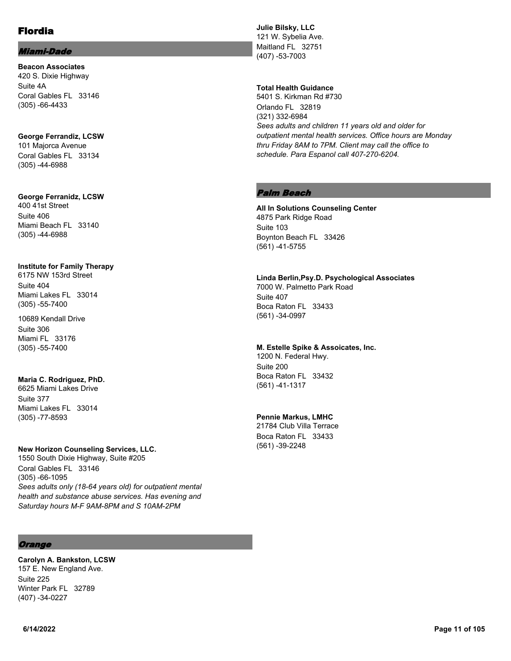#### Miami-Dade

**Beacon Associates** 420 S. Dixie Highway Suite 4A Coral Gables FL 33146 (305) -66-4433

**George Ferrandiz, LCSW** 101 Majorca Avenue Coral Gables FL 33134 (305) -44-6988

### **George Ferranidz, LCSW**

400 41st Street Suite 406 Miami Beach FL 33140 (305) -44-6988

#### **Institute for Family Therapy**

6175 NW 153rd Street Suite 404 Miami Lakes FL 33014 (305) -55-7400

10689 Kendall Drive Suite 306 Miami FL 33176 (305) -55-7400

#### **Maria C. Rodriguez, PhD.**

6625 Miami Lakes Drive Suite 377 Miami Lakes FL 33014 (305) -77-8593

#### **New Horizon Counseling Services, LLC.**

1550 South Dixie Highway, Suite #205 Coral Gables FL 33146 (305) -66-1095 *Sees adults only (18-64 years old) for outpatient mental health and substance abuse services. Has evening and Saturday hours M-F 9AM-8PM and S 10AM-2PM*

### **Orange**

**Carolyn A. Bankston, LCSW** 157 E. New England Ave. Suite 225 Winter Park FL 32789 (407) -34-0227

**Julie Bilsky, LLC** 121 W. Sybelia Ave. Maitland FL 32751 (407) -53-7003

### **Total Health Guidance**

5401 S. Kirkman Rd #730 Orlando FL 32819 (321) 332-6984 *Sees adults and children 11 years old and older for outpatient mental health services. Office hours are Monday thru Friday 8AM to 7PM. Client may call the office to schedule. Para Espanol call 407-270-6204.*

### Palm Beach

**All In Solutions Counseling Center** 4875 Park Ridge Road Suite 103 Boynton Beach FL 33426 (561) -41-5755

### **Linda Berlin,Psy.D. Psychological Associates** 7000 W. Palmetto Park Road

Suite 407 Boca Raton FL 33433 (561) -34-0997

### **M. Estelle Spike & Assoicates, Inc.**

1200 N. Federal Hwy. Suite 200 Boca Raton FL 33432 (561) -41-1317

### **Pennie Markus, LMHC**

21784 Club Villa Terrace Boca Raton FL 33433 (561) -39-2248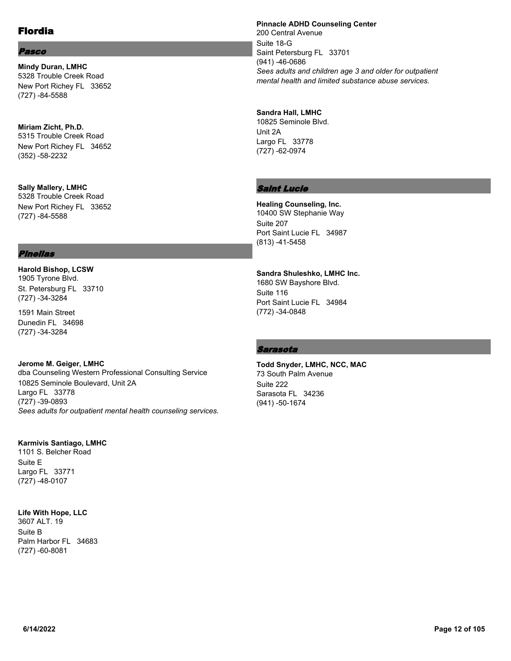### Pasco

**Mindy Duran, LMHC** 5328 Trouble Creek Road New Port Richey FL 33652 (727) -84-5588

### **Miriam Zicht, Ph.D.** 5315 Trouble Creek Road New Port Richey FL 34652 (352) -58-2232

**Sally Mallery, LMHC** 5328 Trouble Creek Road New Port Richey FL 33652 (727) -84-5588

### Pinellas

**Harold Bishop, LCSW** 1905 Tyrone Blvd. St. Petersburg FL 33710 (727) -34-3284

1591 Main Street Dunedin FL 34698 (727) -34-3284

#### **Jerome M. Geiger, LMHC** dba Counseling Western Professional Consulting Service 10825 Seminole Boulevard, Unit 2A Largo FL 33778 (727) -39-0893 *Sees adults for outpatient mental health counseling services.*

### **Karmivis Santiago, LMHC**

1101 S. Belcher Road Suite E Largo FL 33771 (727) -48-0107

### **Life With Hope, LLC**

3607 ALT. 19 Suite B Palm Harbor FL 34683 (727) -60-8081

#### **Pinnacle ADHD Counseling Center**

200 Central Avenue Suite 18-G Saint Petersburg FL 33701 (941) -46-0686 *Sees adults and children age 3 and older for outpatient mental health and limited substance abuse services.*

### **Sandra Hall, LMHC**

10825 Seminole Blvd. Unit 2A Largo FL 33778 (727) -62-0974

### Saint Lucie

**Healing Counseling, Inc.** 10400 SW Stephanie Way Suite 207 Port Saint Lucie FL 34987 (813) -41-5458

#### **Sandra Shuleshko, LMHC Inc.**

1680 SW Bayshore Blvd. Suite 116 Port Saint Lucie FL 34984 (772) -34-0848

### Sarasota

**Todd Snyder, LMHC, NCC, MAC** 73 South Palm Avenue Suite 222 Sarasota FL 34236 (941) -50-1674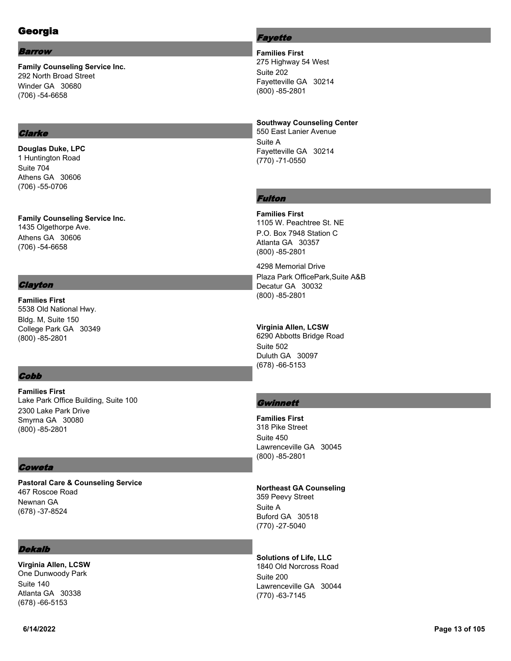# Georgia

#### Barrow

**Family Counseling Service Inc.** 292 North Broad Street Winder GA 30680 (706) -54-6658

### **Clarke**

**Douglas Duke, LPC** 1 Huntington Road Suite 704 Athens GA 30606 (706) -55-0706

**Family Counseling Service Inc.** 1435 Olgethorpe Ave. Athens GA 30606 (706) -54-6658

### **Clayton**

**Families First** 5538 Old National Hwy. Bldg. M, Suite 150 College Park GA 30349 (800) -85-2801

### **Cobb**

**Families First** Lake Park Office Building, Suite 100 2300 Lake Park Drive Smyrna GA 30080 (800) -85-2801

### **Coweta**

**Pastoral Care & Counseling Service** 467 Roscoe Road Newnan GA (678) -37-8524

### **Dekalb**

**Virginia Allen, LCSW** One Dunwoody Park Suite 140 Atlanta GA 30338 (678) -66-5153

### **Fayette**

**Families First** 275 Highway 54 West Suite 202 Fayetteville GA 30214 (800) -85-2801

### **Southway Counseling Center**

550 East Lanier Avenue Suite A Fayetteville GA 30214 (770) -71-0550

### Fulton

**Families First** 1105 W. Peachtree St. NE P.O. Box 7948 Station C Atlanta GA 30357 (800) -85-2801

4298 Memorial Drive Plaza Park OfficePark,Suite A&B Decatur GA 30032 (800) -85-2801

### **Virginia Allen, LCSW**

6290 Abbotts Bridge Road Suite 502 Duluth GA 30097 (678) -66-5153

### **Gwinnett**

**Families First** 318 Pike Street Suite 450 Lawrenceville GA 30045 (800) -85-2801

### **Northeast GA Counseling**

359 Peevy Street Suite A Buford GA 30518 (770) -27-5040

# **Solutions of Life, LLC**

1840 Old Norcross Road Suite 200 Lawrenceville GA 30044 (770) -63-7145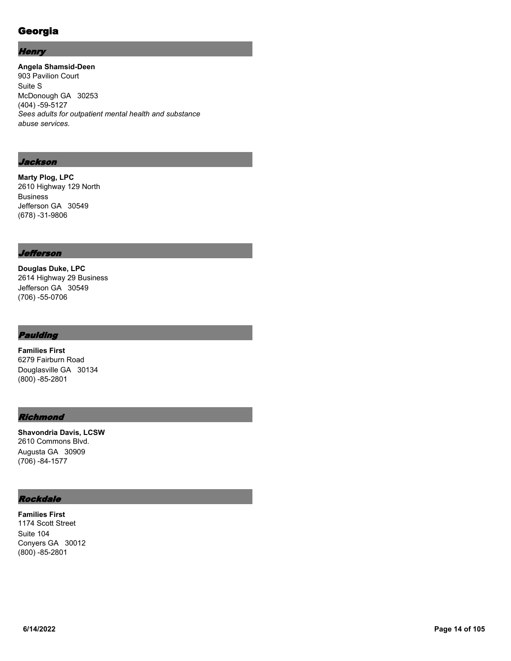# Georgia

### **Henry**

**Angela Shamsid-Deen** 903 Pavilion Court Suite S McDonough GA 30253 (404) -59-5127 *Sees adults for outpatient mental health and substance abuse services.*

### Jackson

**Marty Plog, LPC** 2610 Highway 129 North Business Jefferson GA 30549 (678) -31-9806

### Jefferson

**Douglas Duke, LPC** 2614 Highway 29 Business Jefferson GA 30549 (706) -55-0706

### Paulding

**Families First** 6279 Fairburn Road Douglasville GA 30134 (800) -85-2801

### **Richmond**

**Shavondria Davis, LCSW** 2610 Commons Blvd. Augusta GA 30909 (706) -84-1577

# Rockdale

**Families First** 1174 Scott Street Suite 104 Conyers GA 30012 (800) -85-2801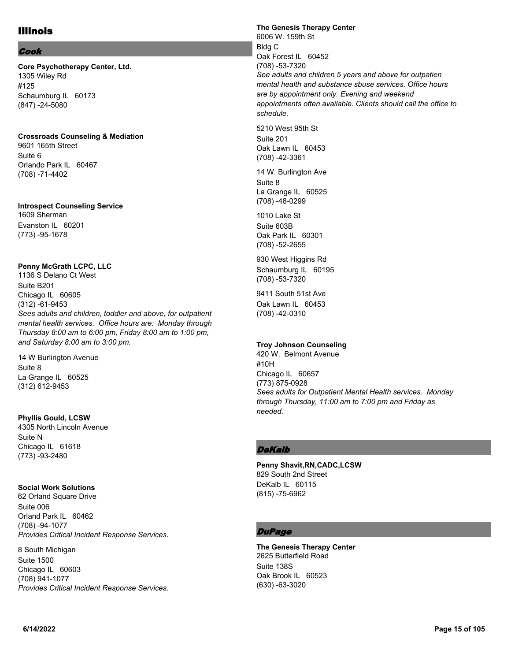# Illinois

#### Cook

**Core Psychotherapy Center, Ltd.** 1305 Wiley Rd #125 Schaumburg IL 60173 (847) -24-5080

#### **Crossroads Counseling & Mediation**

9601 165th Street Suite 6 Orlando Park IL 60467 (708) -71-4402

#### **Introspect Counseling Service**

1609 Sherman Evanston IL 60201 (773) -95-1678

### **Penny McGrath LCPC, LLC**

1136 S Delano Ct West Suite B201 Chicago IL 60605 (312) -61-9453 *Sees adults and children, toddler and above, for outpatient mental health services. Office hours are: Monday through Thursday 8:00 am to 6:00 pm, Friday 8:00 am to 1:00 pm, and Saturday 8:00 am to 3:00 pm.*

### Suite 8 La Grange IL 60525 (312) 612-9453

14 W Burlington Avenue

**Phyllis Gould, LCSW** 4305 North Lincoln Avenue Suite N Chicago IL 61618 (773) -93-2480

### **Social Work Solutions**

62 Orland Square Drive Suite 006 Orland Park IL 60462 (708) -94-1077 *Provides Critical Incident Response Services.*

8 South Michigan Suite 1500 Chicago IL 60603 (708) 941-1077 *Provides Critical Incident Response Services.* **The Genesis Therapy Center** 6006 W. 159th St Bldg C Oak Forest IL 60452 (708) -53-7320 *See adults and children 5 years and above for outpatien mental health and substance sbuse services. Office hours are by appointment only. Evening and weekend appointments often available. Clients should call the office to schedule.*

5210 West 95th St Suite 201 Oak Lawn IL 60453 (708) -42-3361

14 W. Burlington Ave Suite 8 La Grange IL 60525 (708) -48-0299

1010 Lake St Suite 603B Oak Park IL 60301 (708) -52-2655

930 West Higgins Rd Schaumburg IL 60195 (708) -53-7320

9411 South 51st Ave Oak Lawn IL 60453 (708) -42-0310

### **Troy Johnson Counseling**

420 W. Belmont Avenue #10H Chicago IL 60657 (773) 875-0928 *Sees adults for Outpatient Mental Health services. Monday through Thursday, 11:00 am to 7:00 pm and Friday as needed.*

### **DeKalb**

**Penny Shavit,RN,CADC,LCSW** 829 South 2nd Street DeKalb IL 60115 (815) -75-6962

### **DuPage**

**The Genesis Therapy Center** 2625 Butterfield Road Suite 138S Oak Brook IL 60523 (630) -63-3020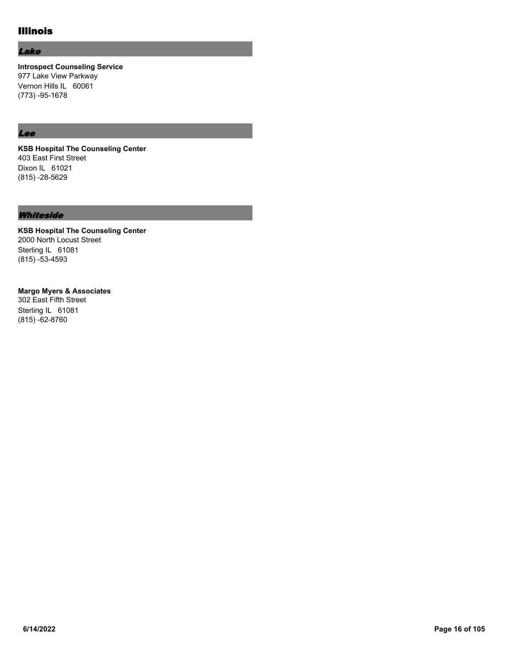# Illinois

### Lake

**Introspect Counseling Service** 977 Lake View Parkway Vernon Hills IL 60061 (773) -95-1678

### Lee

**KSB Hospital The Counseling Center** 403 East First Street Dixon IL 61021 (815) -28-5629

### **Whiteside**

**KSB Hospital The Counseling Center** 2000 North Locust Street Sterling IL 61081 (815) -53-4593

### **Margo Myers & Associates**

302 East Fifth Street Sterling IL 61081 (815) -62-8760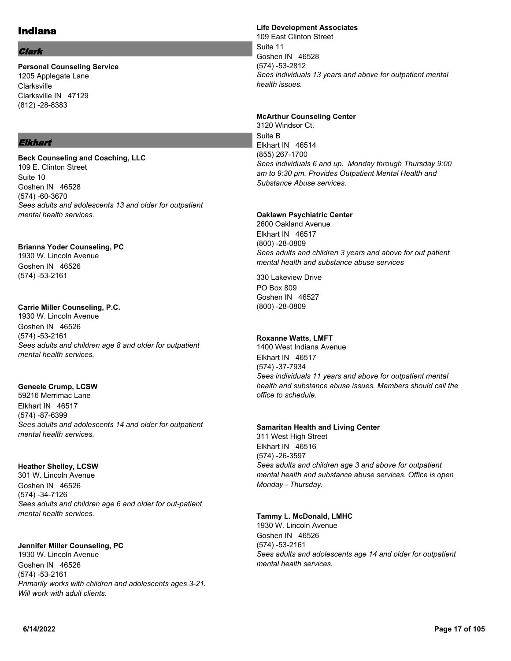### Indiana

### Clark

**Personal Counseling Service** 1205 Applegate Lane Clarksville Clarksville IN 47129 (812) -28-8383

### Elkhart

**Beck Counseling and Coaching, LLC** 109 E. Clinton Street Suite 10 Goshen IN 46528 (574) -60-3670 *Sees adults and adolescents 13 and older for outpatient mental health services.*

## **Brianna Yoder Counseling, PC**

1930 W. Lincoln Avenue Goshen IN 46526 (574) -53-2161

### **Carrie Miller Counseling, P.C.**

1930 W. Lincoln Avenue Goshen IN 46526 (574) -53-2161 *Sees adults and children age 8 and older for outpatient mental health services.*

### **Geneele Crump, LCSW**

59216 Merrimac Lane Elkhart IN 46517 (574) -87-6399 *Sees adults and adolescents 14 and older for outpatient mental health services.*

### **Heather Shelley, LCSW**

301 W. Lincoln Avenue Goshen IN 46526 (574) -34-7126 *Sees adults and children age 6 and older for out-patient mental health services.*

### **Jennifer Miller Counseling, PC**

1930 W. Lincoln Avenue Goshen IN 46526 (574) -53-2161 *Primarily works with children and adolescents ages 3-21. Will work with adult clients.*

### **Life Development Associates**

109 East Clinton Street Suite 11 Goshen IN 46528 (574) -53-2812 *Sees individuals 13 years and above for outpatient mental health issues.*

### **McArthur Counseling Center**

3120 Windsor Ct. Suite B Elkhart IN 46514 (855) 267-1700 *Sees individuals 6 and up. Monday through Thursday 9:00 am to 9:30 pm. Provides Outpatient Mental Health and Substance Abuse services.*

### **Oaklawn Psychiatric Center**

2600 Oakland Avenue Elkhart IN 46517 (800) -28-0809 *Sees adults and children 3 years and above for out patient mental health and substance abuse services*

330 Lakeview Drive PO Box 809 Goshen IN 46527 (800) -28-0809

### **Roxanne Watts, LMFT**

1400 West Indiana Avenue Elkhart IN 46517 (574) -37-7934 *Sees individuals 11 years and above for outpatient mental health and substance abuse issues. Members should call the office to schedule.*

#### **Samaritan Health and Living Center**

311 West High Street Elkhart IN 46516 (574) -26-3597 *Sees adults and children age 3 and above for outpatient mental health and substance abuse services. Office is open Monday - Thursday.*

### **Tammy L. McDonald, LMHC**

1930 W. Lincoln Avenue Goshen IN 46526 (574) -53-2161 *Sees adults and adolescents age 14 and older for outpatient mental health services.*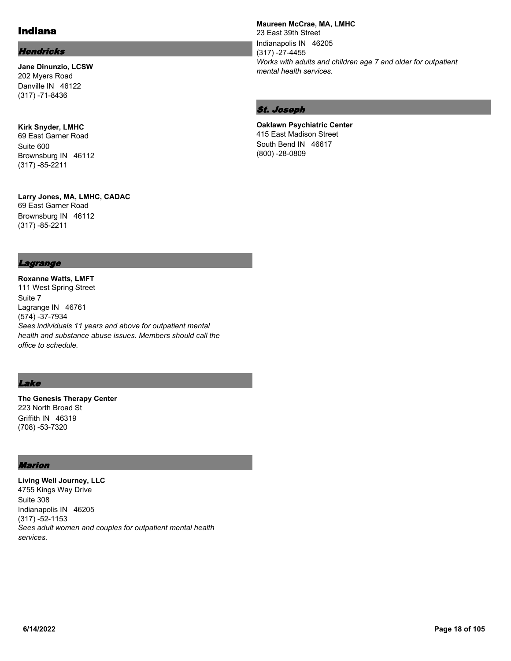## Indiana

### **Hendricks**

**Jane Dinunzio, LCSW** 202 Myers Road Danville IN 46122 (317) -71-8436

**Kirk Snyder, LMHC** 69 East Garner Road Suite 600 Brownsburg IN 46112 (317) -85-2211

**Larry Jones, MA, LMHC, CADAC** 69 East Garner Road Brownsburg IN 46112 (317) -85-2211

### **Maureen McCrae, MA, LMHC**

23 East 39th Street Indianapolis IN 46205 (317) -27-4455 *Works with adults and children age 7 and older for outpatient mental health services.*

### St. Joseph

**Oaklawn Psychiatric Center** 415 East Madison Street South Bend IN 46617 (800) -28-0809

### Lagrange

**Roxanne Watts, LMFT** 111 West Spring Street Suite 7 Lagrange IN 46761 (574) -37-7934 *Sees individuals 11 years and above for outpatient mental health and substance abuse issues. Members should call the office to schedule.*

### Lake

**The Genesis Therapy Center** 223 North Broad St Griffith IN 46319 (708) -53-7320

### Marion

**Living Well Journey, LLC** 4755 Kings Way Drive Suite 308 Indianapolis IN 46205 (317) -52-1153 *Sees adult women and couples for outpatient mental health services.*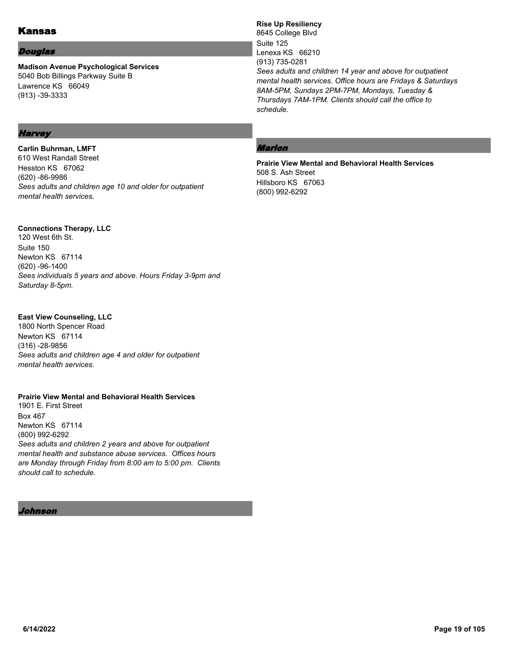## Kansas

### Douglas

**Madison Avenue Psychological Services** 5040 Bob Billings Parkway Suite B Lawrence KS 66049 (913) -39-3333

### **Rise Up Resiliency**

8645 College Blvd Suite 125 Lenexa KS 66210 (913) 735-0281 *Sees adults and children 14 year and above for outpatient mental health services. Office hours are Fridays & Saturdays 8AM-5PM, Sundays 2PM-7PM, Mondays, Tuesday & Thursdays 7AM-1PM. Clients should call the office to schedule.*

# **Harvey**

**Carlin Buhrman, LMFT** 610 West Randall Street Hesston KS 67062 (620) -86-9986 *Sees adults and children age 10 and older for outpatient mental health services.*

### **Connections Therapy, LLC**

120 West 6th St. Suite 150 Newton KS 67114 (620) -96-1400 *Sees individuals 5 years and above. Hours Friday 3-9pm and Saturday 8-5pm.*

### **East View Counseling, LLC**

1800 North Spencer Road Newton KS 67114 (316) -28-9856 *Sees adults and children age 4 and older for outpatient mental health services.*

## **Prairie View Mental and Behavioral Health Services**

1901 E. First Street Box 467 Newton KS 67114 (800) 992-6292 *Sees adults and children 2 years and above for outpatient mental health and substance abuse services. Offices hours are Monday through Friday from 8:00 am to 5:00 pm. Clients should call to schedule.*

Johnson

### Marion

**Prairie View Mental and Behavioral Health Services** 508 S. Ash Street Hillsboro KS 67063 (800) 992-6292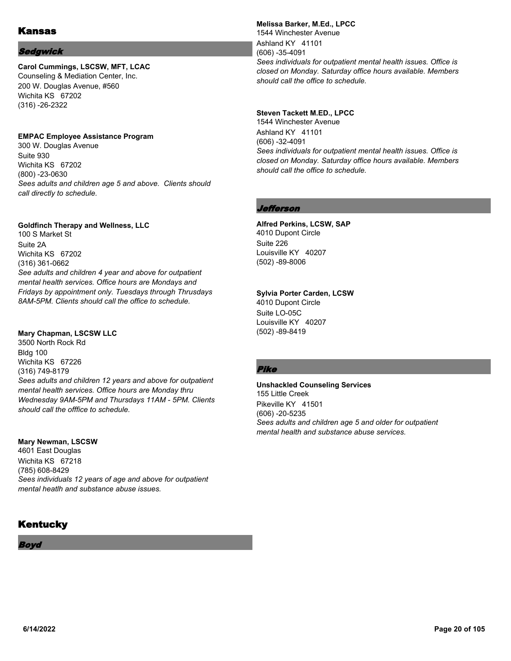#### Sedgwick

# **Carol Cummings, LSCSW, MFT, LCAC**

Counseling & Mediation Center, Inc. 200 W. Douglas Avenue, #560 Wichita KS 67202 (316) -26-2322

#### **EMPAC Employee Assistance Program**

300 W. Douglas Avenue Suite 930 Wichita KS 67202 (800) -23-0630 *Sees adults and children age 5 and above. Clients should call directly to schedule.*

#### **Goldfinch Therapy and Wellness, LLC**

100 S Market St Suite 2A Wichita KS 67202 (316) 361-0662 *See adults and children 4 year and above for outpatient mental health services. Office hours are Mondays and Fridays by appointment only. Tuesdays through Thrusdays 8AM-5PM. Clients should call the office to schedule.*

#### **Mary Chapman, LSCSW LLC**

3500 North Rock Rd Bldg 100 Wichita KS 67226 (316) 749-8179 *Sees adults and children 12 years and above for outpatient mental health services. Office hours are Monday thru Wednesday 9AM-5PM and Thursdays 11AM - 5PM. Clients should call the offfice to schedule.*

#### **Mary Newman, LSCSW**

4601 East Douglas Wichita KS 67218 (785) 608-8429 *Sees individuals 12 years of age and above for outpatient mental heatlh and substance abuse issues.*

## **Kentucky**

Boyd

#### **Melissa Barker, M.Ed., LPCC** 1544 Winchester Avenue

Ashland KY 41101 (606) -35-4091 *Sees individuals for outpatient mental health issues. Office is closed on Monday. Saturday office hours available. Members should call the office to schedule.*

### **Steven Tackett M.ED., LPCC**

1544 Winchester Avenue Ashland KY 41101 (606) -32-4091 *Sees individuals for outpatient mental health issues. Office is closed on Monday. Saturday office hours available. Members should call the office to schedule.*

### Jefferson

# **Alfred Perkins, LCSW, SAP**

4010 Dupont Circle Suite 226 Louisville KY 40207 (502) -89-8006

### **Sylvia Porter Carden, LCSW**

4010 Dupont Circle Suite LO-05C Louisville KY 40207 (502) -89-8419

### Pike

#### **Unshackled Counseling Services** 155 Little Creek Pikeville KY 41501 (606) -20-5235 *Sees adults and children age 5 and older for outpatient mental health and substance abuse services.*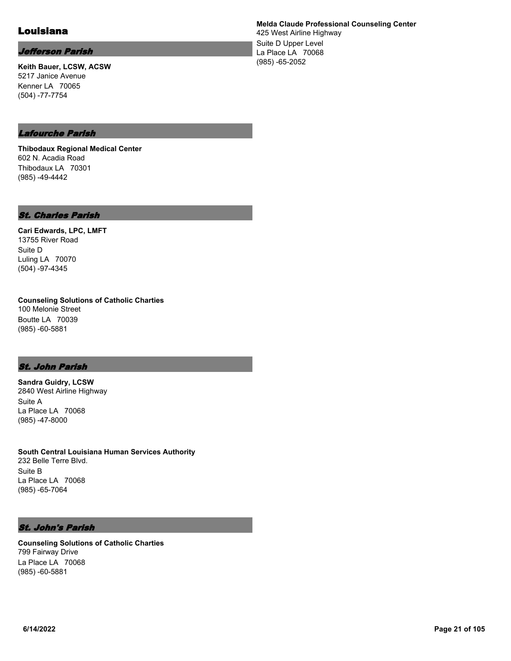## Louisiana

### Jefferson Parish

**Keith Bauer, LCSW, ACSW** 5217 Janice Avenue Kenner LA 70065 (504) -77-7754

**Melda Claude Professional Counseling Center**

425 West Airline Highway Suite D Upper Level La Place LA 70068 (985) -65-2052

### Lafourche Parish

**Thibodaux Regional Medical Center** 602 N. Acadia Road Thibodaux LA 70301 (985) -49-4442

### St. Charles Parish

**Cari Edwards, LPC, LMFT** 13755 River Road Suite D Luling LA 70070 (504) -97-4345

**Counseling Solutions of Catholic Charties** 100 Melonie Street Boutte LA 70039 (985) -60-5881

### St. John Parish

**Sandra Guidry, LCSW** 2840 West Airline Highway Suite A La Place LA 70068 (985) -47-8000

**South Central Louisiana Human Services Authority** 232 Belle Terre Blvd. Suite B La Place LA 70068 (985) -65-7064

### St. John's Parish

**Counseling Solutions of Catholic Charties** 799 Fairway Drive La Place LA 70068 (985) -60-5881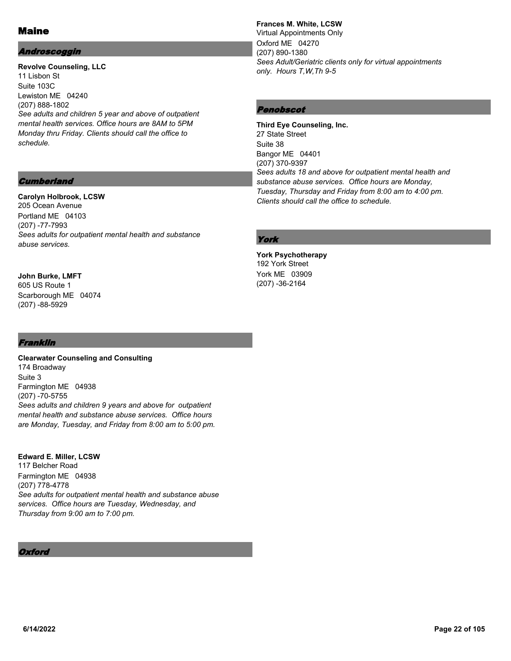## Maine

### Androscoggin

**Revolve Counseling, LLC** 11 Lisbon St Suite 103C Lewiston ME 04240 (207) 888-1802 *See adults and children 5 year and above of outpatient mental health services. Office hours are 8AM to 5PM Monday thru Friday. Clients should call the office to schedule.*

### **Frances M. White, LCSW**

Virtual Appointments Only Oxford ME 04270 (207) 890-1380 *Sees Adult/Geriatric clients only for virtual appointments only. Hours T,W,Th 9-5*

### Penobscot

**Third Eye Counseling, Inc.** 27 State Street Suite 38 Bangor ME 04401 (207) 370-9397 *Sees adults 18 and above for outpatient mental health and substance abuse services. Office hours are Monday, Tuesday, Thursday and Friday from 8:00 am to 4:00 pm. Clients should call the office to schedule.*

## York

**York Psychotherapy** 192 York Street York ME 03909 (207) -36-2164

### **Cumberland**

### **Carolyn Holbrook, LCSW**

205 Ocean Avenue Portland ME 04103 (207) -77-7993 *Sees adults for outpatient mental health and substance abuse services.*

#### **John Burke, LMFT** 605 US Route 1

Scarborough ME 04074 (207) -88-5929

### Franklin

**Clearwater Counseling and Consulting** 174 Broadway Suite 3 Farmington ME 04938 (207) -70-5755 *Sees adults and children 9 years and above for outpatient mental health and substance abuse services. Office hours are Monday, Tuesday, and Friday from 8:00 am to 5:00 pm.*

# **Edward E. Miller, LCSW**

117 Belcher Road Farmington ME 04938 (207) 778-4778 *See adults for outpatient mental health and substance abuse services. Office hours are Tuesday, Wednesday, and Thursday from 9:00 am to 7:00 pm.*

### **Oxford**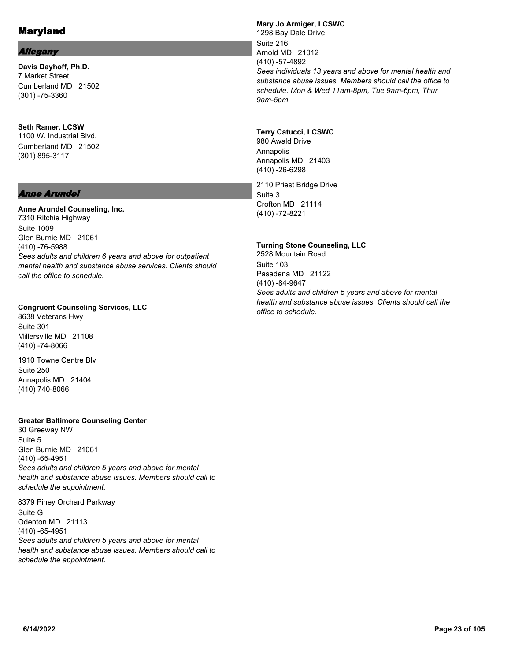### Allegany

**Davis Dayhoff, Ph.D.** 7 Market Street Cumberland MD 21502 (301) -75-3360

### **Seth Ramer, LCSW** 1100 W. Industrial Blvd. Cumberland MD 21502 (301) 895-3117

### Anne Arundel

# **Anne Arundel Counseling, Inc.**

7310 Ritchie Highway Suite 1009 Glen Burnie MD 21061 (410) -76-5988 *Sees adults and children 6 years and above for outpatient mental health and substance abuse services. Clients should call the office to schedule.*

#### **Congruent Counseling Services, LLC**

8638 Veterans Hwy Suite 301 Millersville MD 21108 (410) -74-8066

1910 Towne Centre Blv Suite 250 Annapolis MD 21404 (410) 740-8066

### **Greater Baltimore Counseling Center**

30 Greeway NW Suite 5 Glen Burnie MD 21061 (410) -65-4951 *Sees adults and children 5 years and above for mental health and substance abuse issues. Members should call to schedule the appointment.*

8379 Piney Orchard Parkway Suite G Odenton MD 21113 (410) -65-4951 *Sees adults and children 5 years and above for mental health and substance abuse issues. Members should call to schedule the appointment.*

#### **Mary Jo Armiger, LCSWC** 1298 Bay Dale Drive Suite 216 Arnold MD 21012 (410) -57-4892 *Sees individuals 13 years and above for mental health and substance abuse issues. Members should call the office to schedule. Mon & Wed 11am-8pm, Tue 9am-6pm, Thur 9am-5pm.*

#### **Terry Catucci, LCSWC**

980 Awald Drive Annapolis Annapolis MD 21403 (410) -26-6298

2110 Priest Bridge Drive Suite 3 Crofton MD 21114 (410) -72-8221

#### **Turning Stone Counseling, LLC**

2528 Mountain Road Suite 103 Pasadena MD 21122 (410) -84-9647 *Sees adults and children 5 years and above for mental health and substance abuse issues. Clients should call the office to schedule.*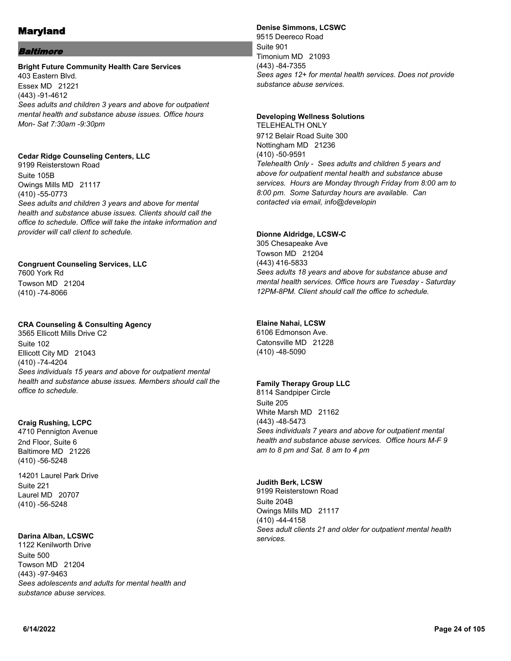### Baltimore

### **Bright Future Community Health Care Services**

403 Eastern Blvd. Essex MD 21221 (443) -91-4612 *Sees adults and children 3 years and above for outpatient mental health and substance abuse issues. Office hours Mon- Sat 7:30am -9:30pm*

### **Cedar Ridge Counseling Centers, LLC**

9199 Reisterstown Road Suite 105B Owings Mills MD 21117 (410) -55-0773 *Sees adults and children 3 years and above for mental health and substance abuse issues. Clients should call the office to schedule. Office will take the intake information and provider will call client to schedule.*

### **Congruent Counseling Services, LLC**

7600 York Rd Towson MD 21204 (410) -74-8066

### **CRA Counseling & Consulting Agency**

3565 Ellicott Mills Drive C2 Suite 102 Ellicott City MD 21043 (410) -74-4204 *Sees individuals 15 years and above for outpatient mental health and substance abuse issues. Members should call the office to schedule.*

### **Craig Rushing, LCPC**

4710 Pennigton Avenue 2nd Floor, Suite 6 Baltimore MD 21226 (410) -56-5248

14201 Laurel Park Drive Suite 221 Laurel MD 20707 (410) -56-5248

### **Darina Alban, LCSWC**

1122 Kenilworth Drive Suite 500 Towson MD 21204 (443) -97-9463 *Sees adolescents and adults for mental health and substance abuse services.*

## **Denise Simmons, LCSWC**

9515 Deereco Road Suite 901 Timonium MD 21093 (443) -84-7355 *Sees ages 12+ for mental health services. Does not provide substance abuse services.*

### **Developing Wellness Solutions**

TELEHEALTH ONLY 9712 Belair Road Suite 300 Nottingham MD 21236 (410) -50-9591 *Telehealth Only - Sees adults and children 5 years and above for outpatient mental health and substance abuse services. Hours are Monday through Friday from 8:00 am to 8:00 pm. Some Saturday hours are available. Can contacted via email, info@developin*

#### **Dionne Aldridge, LCSW-C**

305 Chesapeake Ave Towson MD 21204 (443) 416-5833 *Sees adults 18 years and above for substance abuse and mental health services. Office hours are Tuesday - Saturday 12PM-8PM. Client should call the office to schedule.*

### **Elaine Nahai, LCSW**

6106 Edmonson Ave. Catonsville MD 21228 (410) -48-5090

### **Family Therapy Group LLC**

8114 Sandpiper Circle Suite 205 White Marsh MD 21162 (443) -48-5473 *Sees individuals 7 years and above for outpatient mental health and substance abuse services. Office hours M-F 9 am to 8 pm and Sat. 8 am to 4 pm*

### **Judith Berk, LCSW**

9199 Reisterstown Road Suite 204B Owings Mills MD 21117 (410) -44-4158 *Sees adult clients 21 and older for outpatient mental health services.*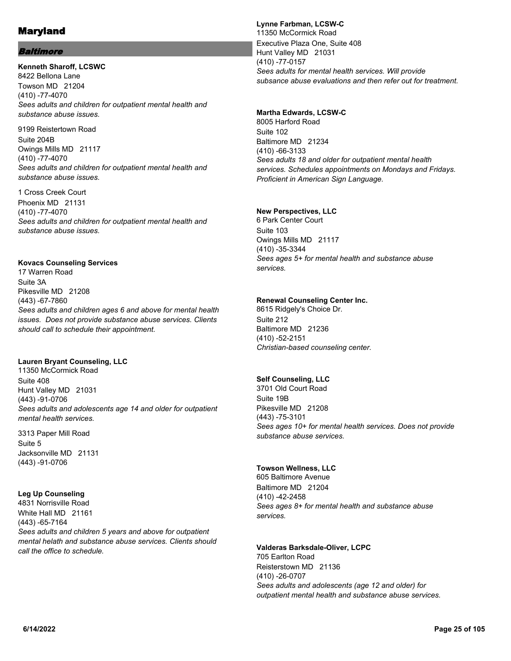### Baltimore

#### **Kenneth Sharoff, LCSWC** 8422 Bellona Lane Towson MD 21204 (410) -77-4070 *Sees adults and children for outpatient mental health and substance abuse issues.*

9199 Reistertown Road Suite 204B Owings Mills MD 21117 (410) -77-4070 *Sees adults and children for outpatient mental health and substance abuse issues.*

1 Cross Creek Court Phoenix MD 21131 (410) -77-4070 *Sees adults and children for outpatient mental health and substance abuse issues.*

#### **Kovacs Counseling Services**

17 Warren Road Suite 3A Pikesville MD 21208 (443) -67-7860 *Sees adults and children ages 6 and above for mental health issues. Does not provide substance abuse services. Clients should call to schedule their appointment.*

### **Lauren Bryant Counseling, LLC**

11350 McCormick Road Suite 408 Hunt Valley MD 21031 (443) -91-0706 *Sees adults and adolescents age 14 and older for outpatient mental health services.*

3313 Paper Mill Road Suite 5 Jacksonville MD 21131 (443) -91-0706

#### **Leg Up Counseling**

4831 Norrisville Road White Hall MD 21161 (443) -65-7164 *Sees adults and children 5 years and above for outpatient mental helath and substance abuse services. Clients should call the office to schedule.*

### **Lynne Farbman, LCSW-C**

11350 McCormick Road Executive Plaza One, Suite 408 Hunt Valley MD 21031 (410) -77-0157 *Sees adults for mental health services. Will provide subsance abuse evaluations and then refer out for treatment.*

### **Martha Edwards, LCSW-C**

8005 Harford Road Suite 102 Baltimore MD 21234 (410) -66-3133 *Sees adults 18 and older for outpatient mental health services. Schedules appointments on Mondays and Fridays. Proficient in American Sign Language.*

### **New Perspectives, LLC**

6 Park Center Court Suite 103 Owings Mills MD 21117 (410) -35-3344 *Sees ages 5+ for mental health and substance abuse services.*

### **Renewal Counseling Center Inc.**

8615 Ridgely's Choice Dr. Suite 212 Baltimore MD 21236 (410) -52-2151 *Christian-based counseling center.*

### **Self Counseling, LLC**

3701 Old Court Road Suite 19B Pikesville MD 21208 (443) -75-3101 *Sees ages 10+ for mental health services. Does not provide substance abuse services.*

### **Towson Wellness, LLC**

605 Baltimore Avenue Baltimore MD 21204 (410) -42-2458 *Sees ages 8+ for mental health and substance abuse services.*

### **Valderas Barksdale-Oliver, LCPC**

705 Earlton Road Reisterstown MD 21136 (410) -26-0707 *Sees adults and adolescents (age 12 and older) for outpatient mental health and substance abuse services.*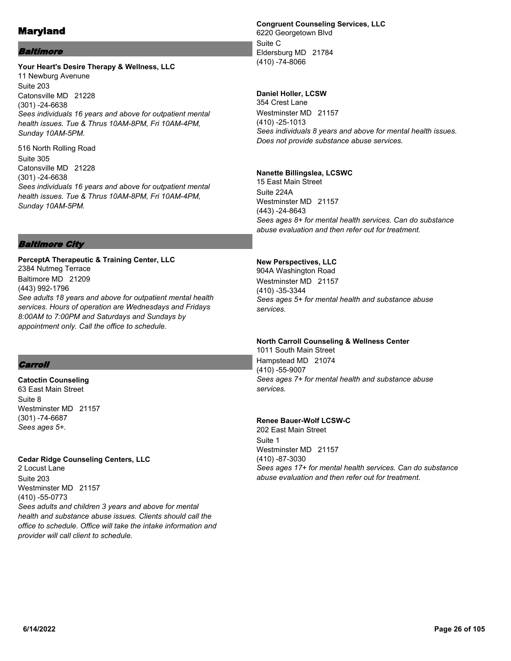### Baltimore

#### **Your Heart's Desire Therapy & Wellness, LLC** 11 Newburg Avenune Suite 203 Catonsville MD 21228 (301) -24-6638 *Sees individuals 16 years and above for outpatient mental health issues. Tue & Thrus 10AM-8PM, Fri 10AM-4PM, Sunday 10AM-5PM.*

516 North Rolling Road Suite 305 Catonsville MD 21228 (301) -24-6638 *Sees individuals 16 years and above for outpatient mental health issues. Tue & Thrus 10AM-8PM, Fri 10AM-4PM, Sunday 10AM-5PM.*

### **Congruent Counseling Services, LLC**

6220 Georgetown Blvd Suite C Eldersburg MD 21784 (410) -74-8066

### **Daniel Holler, LCSW**

354 Crest Lane Westminster MD 21157 (410) -25-1013 *Sees individuals 8 years and above for mental health issues. Does not provide substance abuse services.*

#### **Nanette Billingslea, LCSWC**

15 East Main Street Suite 224A Westminster MD 21157 (443) -24-8643 *Sees ages 8+ for mental health services. Can do substance abuse evaluation and then refer out for treatment.*

### Baltimore City

**PerceptA Therapeutic & Training Center, LLC** 2384 Nutmeg Terrace Baltimore MD 21209 (443) 992-1796 *See adults 18 years and above for outpatient mental health services. Hours of operation are Wednesdays and Fridays 8:00AM to 7:00PM and Saturdays and Sundays by appointment only. Call the office to schedule.*

### **Carroll**

**Catoctin Counseling** 63 East Main Street Suite 8 Westminster MD 21157 (301) -74-6687 *Sees ages 5+.*

### **Cedar Ridge Counseling Centers, LLC**

2 Locust Lane Suite 203 Westminster MD 21157 (410) -55-0773 *Sees adults and children 3 years and above for mental health and substance abuse issues. Clients should call the office to schedule. Office will take the intake information and provider will call client to schedule.*

### **New Perspectives, LLC**

904A Washington Road Westminster MD 21157 (410) -35-3344 *Sees ages 5+ for mental health and substance abuse services.*

### **North Carroll Counseling & Wellness Center**

1011 South Main Street Hampstead MD 21074 (410) -55-9007 *Sees ages 7+ for mental health and substance abuse services.*

#### **Renee Bauer-Wolf LCSW-C**

202 East Main Street Suite 1 Westminster MD 21157 (410) -87-3030 *Sees ages 17+ for mental health services. Can do substance abuse evaluation and then refer out for treatment.*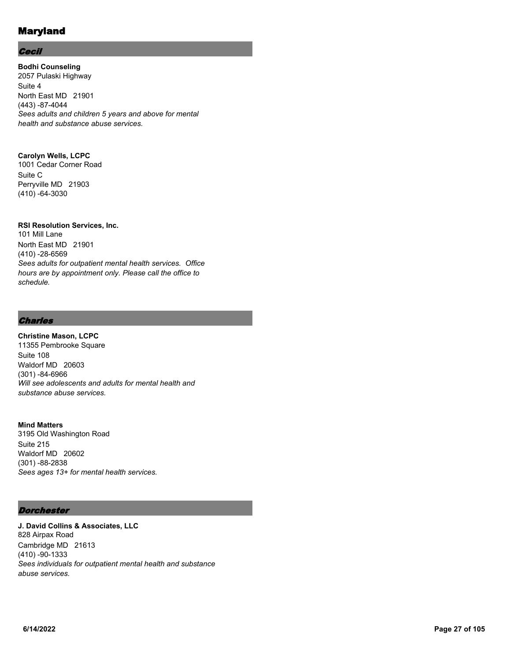### **Cecil**

**Bodhi Counseling** 2057 Pulaski Highway Suite 4 North East MD 21901 (443) -87-4044 *Sees adults and children 5 years and above for mental health and substance abuse services.*

### **Carolyn Wells, LCPC**

1001 Cedar Corner Road Suite C Perryville MD 21903 (410) -64-3030

### **RSI Resolution Services, Inc.**

101 Mill Lane North East MD 21901 (410) -28-6569 *Sees adults for outpatient mental health services. Office hours are by appointment only. Please call the office to schedule.*

### **Charles**

## **Christine Mason, LCPC**

11355 Pembrooke Square Suite 108 Waldorf MD 20603 (301) -84-6966 *Will see adolescents and adults for mental health and substance abuse services.*

### **Mind Matters**

3195 Old Washington Road Suite 215 Waldorf MD 20602 (301) -88-2838 *Sees ages 13+ for mental health services.*

### **Dorchester**

**J. David Collins & Associates, LLC** 828 Airpax Road Cambridge MD 21613 (410) -90-1333 *Sees individuals for outpatient mental health and substance abuse services.*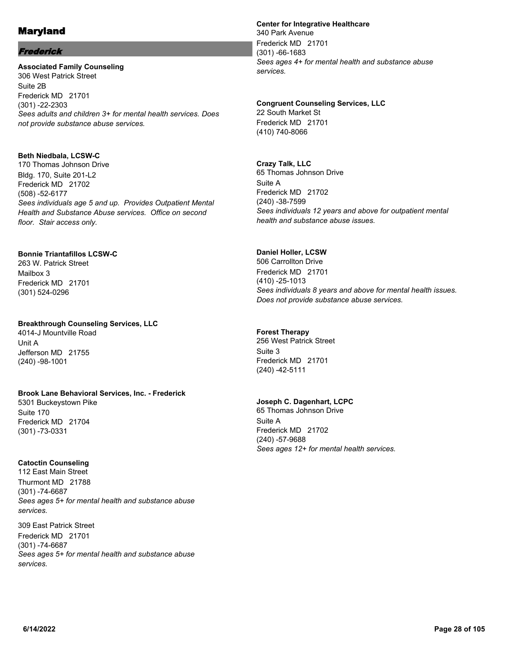### Frederick

**Associated Family Counseling** 306 West Patrick Street Suite 2B Frederick MD 21701 (301) -22-2303 *Sees adults and children 3+ for mental health services. Does not provide substance abuse services.*

### **Beth Niedbala, LCSW-C**

170 Thomas Johnson Drive Bldg. 170, Suite 201-L2 Frederick MD 21702 (508) -52-6177 *Sees individuals age 5 and up. Provides Outpatient Mental Health and Substance Abuse services. Office on second floor. Stair access only.*

### **Bonnie Triantafillos LCSW-C**

263 W. Patrick Street Mailbox 3 Frederick MD 21701 (301) 524-0296

### **Breakthrough Counseling Services, LLC**

4014-J Mountville Road Unit A Jefferson MD 21755 (240) -98-1001

### **Brook Lane Behavioral Services, Inc. - Frederick**

5301 Buckeystown Pike Suite 170 Frederick MD 21704 (301) -73-0331

### **Catoctin Counseling**

112 East Main Street Thurmont MD 21788 (301) -74-6687 *Sees ages 5+ for mental health and substance abuse services.*

309 East Patrick Street Frederick MD 21701 (301) -74-6687 *Sees ages 5+ for mental health and substance abuse services.*

#### **Center for Integrative Healthcare**

340 Park Avenue Frederick MD 21701 (301) -66-1683 *Sees ages 4+ for mental health and substance abuse services.*

#### **Congruent Counseling Services, LLC**

22 South Market St Frederick MD 21701 (410) 740-8066

### **Crazy Talk, LLC**

65 Thomas Johnson Drive Suite A Frederick MD 21702 (240) -38-7599 *Sees individuals 12 years and above for outpatient mental health and substance abuse issues.*

#### **Daniel Holler, LCSW**

506 Carrollton Drive Frederick MD 21701 (410) -25-1013 *Sees individuals 8 years and above for mental health issues. Does not provide substance abuse services.*

### **Forest Therapy**

256 West Patrick Street Suite 3 Frederick MD 21701 (240) -42-5111

### **Joseph C. Dagenhart, LCPC**

65 Thomas Johnson Drive Suite A Frederick MD 21702 (240) -57-9688 *Sees ages 12+ for mental health services.*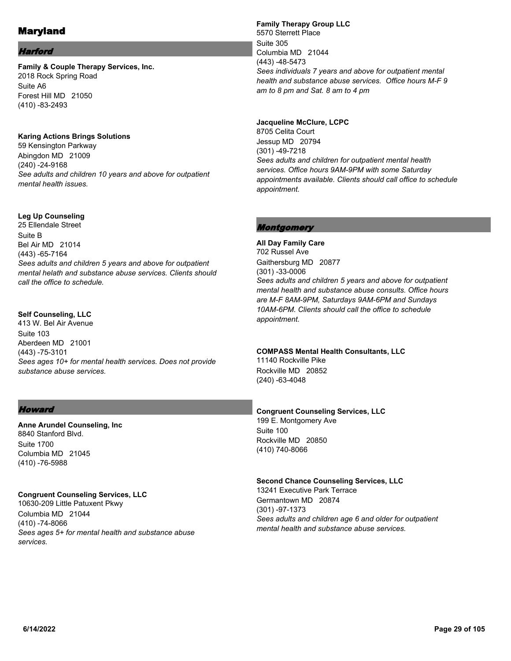### **Harford**

**Family & Couple Therapy Services, Inc.** 2018 Rock Spring Road Suite A6 Forest Hill MD 21050 (410) -83-2493

**Karing Actions Brings Solutions** 59 Kensington Parkway

Abingdon MD 21009 (240) -24-9168 *See adults and children 10 years and above for outpatient mental health issues.*

#### **Leg Up Counseling**

25 Ellendale Street Suite B Bel Air MD 21014 (443) -65-7164 *Sees adults and children 5 years and above for outpatient mental helath and substance abuse services. Clients should call the office to schedule.*

#### **Self Counseling, LLC**

413 W. Bel Air Avenue Suite 103 Aberdeen MD 21001 (443) -75-3101 *Sees ages 10+ for mental health services. Does not provide substance abuse services.*

#### **Howard**

**Anne Arundel Counseling, Inc** 8840 Stanford Blvd. Suite 1700 Columbia MD 21045 (410) -76-5988

#### **Congruent Counseling Services, LLC**

10630-209 Little Patuxent Pkwy Columbia MD 21044 (410) -74-8066 *Sees ages 5+ for mental health and substance abuse services.*

### **Family Therapy Group LLC** 5570 Sterrett Place Suite 305 Columbia MD 21044 (443) -48-5473 *Sees individuals 7 years and above for outpatient mental health and substance abuse services. Office hours M-F 9 am to 8 pm and Sat. 8 am to 4 pm*

**Jacqueline McClure, LCPC** 8705 Celita Court Jessup MD 20794 (301) -49-7218 *Sees adults and children for outpatient mental health services. Office hours 9AM-9PM with some Saturday appointments available. Clients should call office to schedule appointment.*

#### Montgomery

**All Day Family Care** 702 Russel Ave Gaithersburg MD 20877 (301) -33-0006 *Sees adults and children 5 years and above for outpatient mental health and substance abuse consults. Office hours are M-F 8AM-9PM, Saturdays 9AM-6PM and Sundays 10AM-6PM. Clients should call the office to schedule appointment.*

#### **COMPASS Mental Health Consultants, LLC**

11140 Rockville Pike Rockville MD 20852 (240) -63-4048

#### **Congruent Counseling Services, LLC**

199 E. Montgomery Ave Suite 100 Rockville MD 20850 (410) 740-8066

#### **Second Chance Counseling Services, LLC**

13241 Executive Park Terrace Germantown MD 20874 (301) -97-1373 *Sees adults and children age 6 and older for outpatient mental health and substance abuse services.*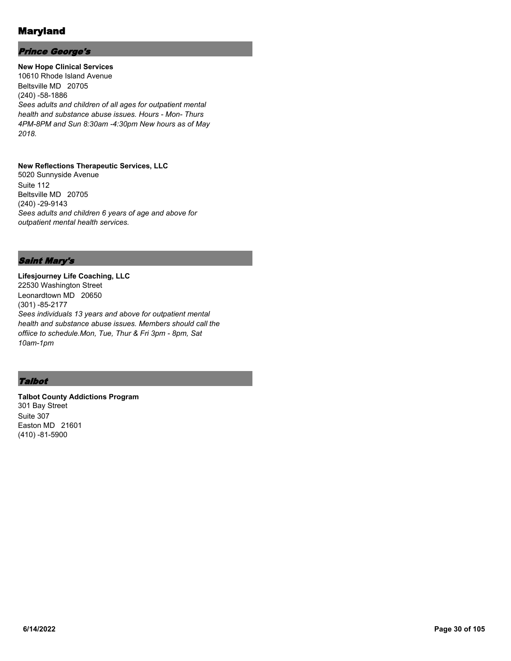### Prince George's

**New Hope Clinical Services** 10610 Rhode Island Avenue Beltsville MD 20705 (240) -58-1886 *Sees adults and children of all ages for outpatient mental health and substance abuse issues. Hours - Mon- Thurs 4PM-8PM and Sun 8:30am -4:30pm New hours as of May 2018.*

#### **New Reflections Therapeutic Services, LLC**

5020 Sunnyside Avenue Suite 112 Beltsville MD 20705 (240) -29-9143 *Sees adults and children 6 years of age and above for outpatient mental health services.*

### Saint Mary's

**Lifesjourney Life Coaching, LLC** 22530 Washington Street Leonardtown MD 20650 (301) -85-2177 *Sees individuals 13 years and above for outpatient mental health and substance abuse issues. Members should call the offiice to schedule.Mon, Tue, Thur & Fri 3pm - 8pm, Sat 10am-1pm*

### **Talbot**

**Talbot County Addictions Program** 301 Bay Street Suite 307 Easton MD 21601 (410) -81-5900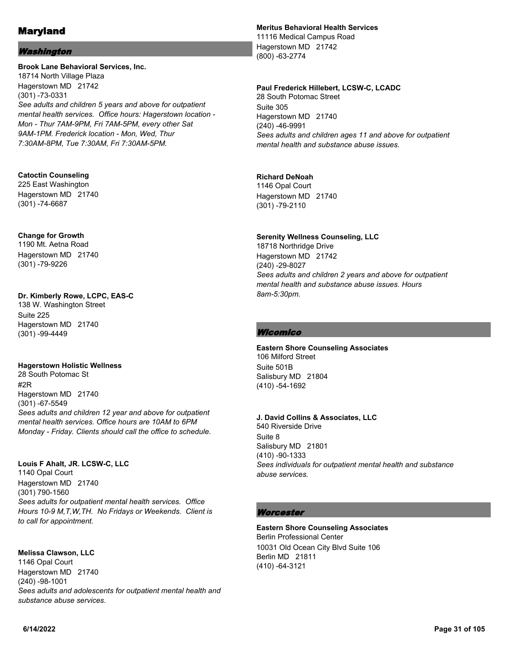### Washington

#### **Brook Lane Behavioral Services, Inc.**

18714 North Village Plaza Hagerstown MD 21742 (301) -73-0331 *See adults and children 5 years and above for outpatient mental health services. Office hours: Hagerstown location - Mon - Thur 7AM-9PM, Fri 7AM-5PM, every other Sat 9AM-1PM. Frederick location - Mon, Wed, Thur 7:30AM-8PM, Tue 7:30AM, Fri 7:30AM-5PM.*

#### **Catoctin Counseling**

225 East Washington Hagerstown MD 21740 (301) -74-6687

#### **Change for Growth**

1190 Mt. Aetna Road Hagerstown MD 21740 (301) -79-9226

#### **Dr. Kimberly Rowe, LCPC, EAS-C**

138 W. Washington Street Suite 225 Hagerstown MD 21740 (301) -99-4449

#### **Hagerstown Holistic Wellness**

28 South Potomac St #2R Hagerstown MD 21740 (301) -67-5549 *Sees adults and children 12 year and above for outpatient mental health services. Office hours are 10AM to 6PM Monday - Friday. Clients should call the office to schedule.*

#### **Louis F Ahalt, JR. LCSW-C, LLC**

1140 Opal Court Hagerstown MD 21740 (301) 790-1560 *Sees adults for outpatient mental health services. Office Hours 10-9 M,T,W,TH. No Fridays or Weekends. Client is to call for appointment.*

#### **Melissa Clawson, LLC**

1146 Opal Court Hagerstown MD 21740 (240) -98-1001 *Sees adults and adolescents for outpatient mental health and substance abuse services.*

### **Meritus Behavioral Health Services**

11116 Medical Campus Road Hagerstown MD 21742 (800) -63-2774

### **Paul Frederick Hillebert, LCSW-C, LCADC**

28 South Potomac Street Suite 305 Hagerstown MD 21740 (240) -46-9991 *Sees adults and children ages 11 and above for outpatient mental health and substance abuse issues.*

### **Richard DeNoah**

1146 Opal Court Hagerstown MD 21740 (301) -79-2110

### **Serenity Wellness Counseling, LLC**

18718 Northridge Drive Hagerstown MD 21742 (240) -29-8027 *Sees adults and children 2 years and above for outpatient mental health and substance abuse issues. Hours 8am-5:30pm.*

### **Wicomico**

**Eastern Shore Counseling Associates** 106 Milford Street Suite 501B Salisbury MD 21804 (410) -54-1692

### **J. David Collins & Associates, LLC**

540 Riverside Drive Suite 8 Salisbury MD 21801 (410) -90-1333 *Sees individuals for outpatient mental health and substance abuse services.*

### **Worcester**

**Eastern Shore Counseling Associates** Berlin Professional Center 10031 Old Ocean City Blvd Suite 106 Berlin MD 21811 (410) -64-3121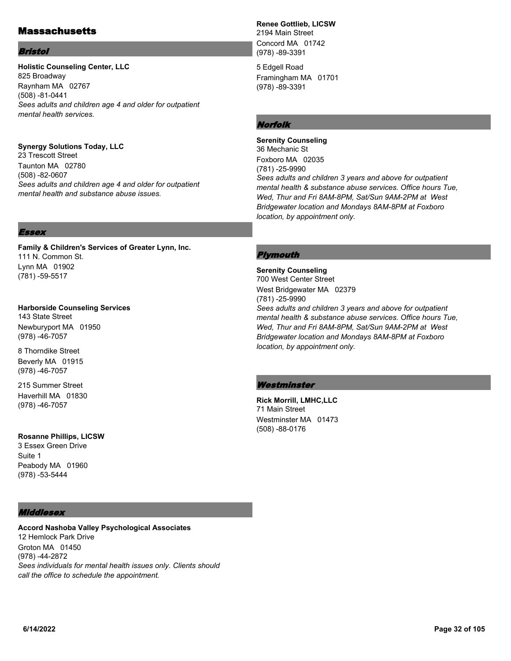## **Massachusetts**

#### Bristol

### **Holistic Counseling Center, LLC** 825 Broadway

Raynham MA 02767 (508) -81-0441 *Sees adults and children age 4 and older for outpatient mental health services.*

### **Synergy Solutions Today, LLC**

23 Trescott Street Taunton MA 02780 (508) -82-0607 *Sees adults and children age 4 and older for outpatient mental health and substance abuse issues.*

## **Renee Gottlieb, LICSW**

2194 Main Street Concord MA 01742 (978) -89-3391

5 Edgell Road Framingham MA 01701 (978) -89-3391

## Norfolk

**Serenity Counseling** 36 Mechanic St Foxboro MA 02035 (781) -25-9990 *Sees adults and children 3 years and above for outpatient mental health & substance abuse services. Office hours Tue, Wed, Thur and Fri 8AM-8PM, Sat/Sun 9AM-2PM at West Bridgewater location and Mondays 8AM-8PM at Foxboro location, by appointment only.*

### Essex

**Family & Children's Services of Greater Lynn, Inc.** 111 N. Common St. Lynn MA 01902 (781) -59-5517

**Harborside Counseling Services** 143 State Street Newburyport MA 01950 (978) -46-7057

8 Thorndike Street Beverly MA 01915 (978) -46-7057

215 Summer Street Haverhill MA 01830 (978) -46-7057

# **Rosanne Phillips, LICSW**

3 Essex Green Drive Suite 1 Peabody MA 01960 (978) -53-5444

### **Middlesex**

**Accord Nashoba Valley Psychological Associates** 12 Hemlock Park Drive Groton MA 01450 (978) -44-2872 *Sees individuals for mental health issues only. Clients should call the office to schedule the appointment.*

### Plymouth

**Serenity Counseling** 700 West Center Street West Bridgewater MA 02379 (781) -25-9990 *Sees adults and children 3 years and above for outpatient mental health & substance abuse services. Office hours Tue, Wed, Thur and Fri 8AM-8PM, Sat/Sun 9AM-2PM at West Bridgewater location and Mondays 8AM-8PM at Foxboro location, by appointment only.*

### **Westminster**

**Rick Morrill, LMHC,LLC** 71 Main Street Westminster MA 01473 (508) -88-0176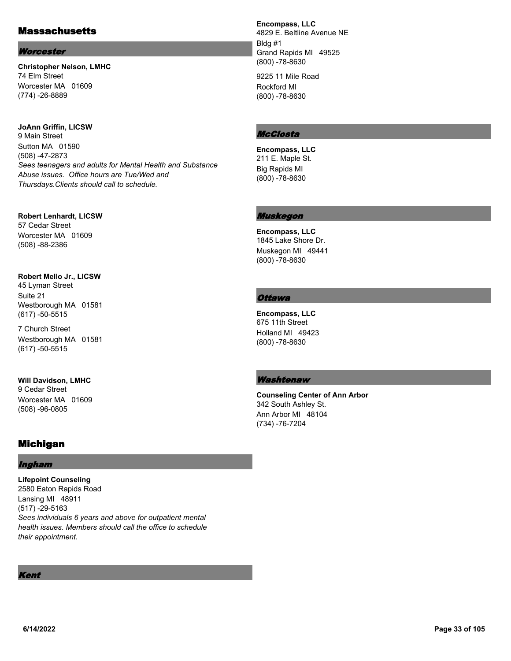# Massachusetts

#### **Worcester**

**Christopher Nelson, LMHC** 74 Elm Street Worcester MA 01609 (774) -26-8889

**JoAnn Griffin, LICSW** 9 Main Street Sutton MA 01590 (508) -47-2873 *Sees teenagers and adults for Mental Health and Substance Abuse issues. Office hours are Tue/Wed and Thursdays.Clients should call to schedule.*

**Robert Lenhardt, LICSW** 57 Cedar Street Worcester MA 01609 (508) -88-2386

#### **Robert Mello Jr., LICSW**

45 Lyman Street Suite 21 Westborough MA 01581 (617) -50-5515

7 Church Street Westborough MA 01581 (617) -50-5515

**Will Davidson, LMHC**

9 Cedar Street Worcester MA 01609 (508) -96-0805

# Michigan

### Ingham

**Lifepoint Counseling** 2580 Eaton Rapids Road Lansing MI 48911 (517) -29-5163 *Sees individuals 6 years and above for outpatient mental health issues. Members should call the office to schedule their appointment.*

Kent

**Encompass, LLC**

4829 E. Beltline Avenue NE Bldg #1 Grand Rapids MI 49525 (800) -78-8630

9225 11 Mile Road Rockford MI (800) -78-8630

### McClosta

**Encompass, LLC** 211 E. Maple St. Big Rapids MI (800) -78-8630

### Muskegon

**Encompass, LLC** 1845 Lake Shore Dr. Muskegon MI 49441 (800) -78-8630

### **Ottawa**

**Encompass, LLC** 675 11th Street Holland MI 49423 (800) -78-8630

### Washtenaw

**Counseling Center of Ann Arbor** 342 South Ashley St. Ann Arbor MI 48104 (734) -76-7204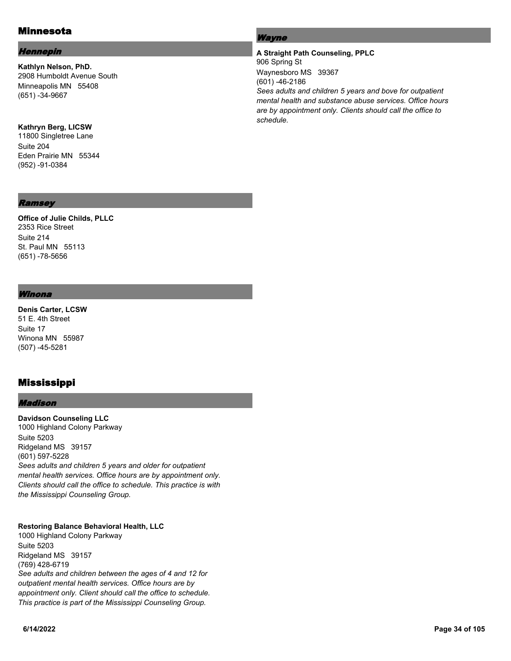# Minnesota

### Hennepin

**Kathlyn Nelson, PhD.** 2908 Humboldt Avenue South Minneapolis MN 55408 (651) -34-9667

### **Kathryn Berg, LICSW**

11800 Singletree Lane Suite 204 Eden Prairie MN 55344 (952) -91-0384

### Ramsey

**Office of Julie Childs, PLLC** 2353 Rice Street Suite 214 St. Paul MN 55113 (651) -78-5656

#### Winona

**Denis Carter, LCSW** 51 E. 4th Street Suite 17 Winona MN 55987 (507) -45-5281

# Mississippi

#### Madison

**Davidson Counseling LLC** 1000 Highland Colony Parkway Suite 5203 Ridgeland MS 39157 (601) 597-5228 *Sees adults and children 5 years and older for outpatient mental health services. Office hours are by appointment only. Clients should call the office to schedule. This practice is with the Mississippi Counseling Group.*

### **Restoring Balance Behavioral Health, LLC**

1000 Highland Colony Parkway Suite 5203 Ridgeland MS 39157 (769) 428-6719 *See adults and children between the ages of 4 and 12 for outpatient mental health services. Office hours are by appointment only. Client should call the office to schedule. This practice is part of the Mississippi Counseling Group.*

### Wayne

### **A Straight Path Counseling, PPLC** 906 Spring St Waynesboro MS 39367 (601) -46-2186 *Sees adults and children 5 years and bove for outpatient mental health and substance abuse services. Office hours are by appointment only. Clients should call the office to schedule.*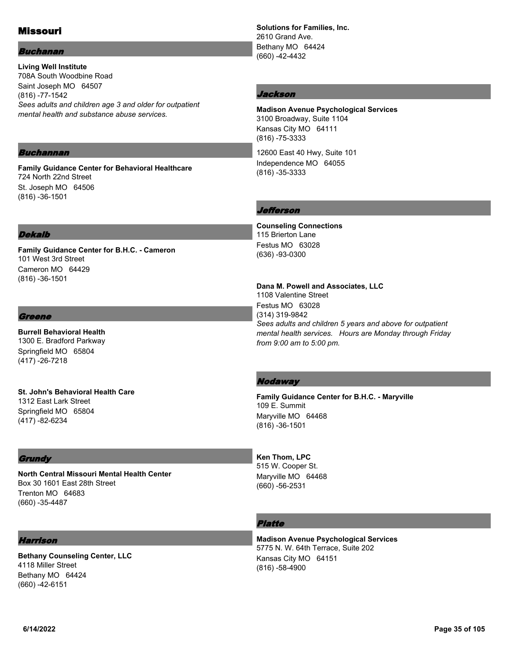# Missouri

### Buchanan

**Living Well Institute** 708A South Woodbine Road Saint Joseph MO 64507 (816) -77-1542 *Sees adults and children age 3 and older for outpatient mental health and substance abuse services.*

#### Buchannan

**Family Guidance Center for Behavioral Healthcare** 724 North 22nd Street St. Joseph MO 64506 (816) -36-1501

#### Dekalb

**Family Guidance Center for B.H.C. - Cameron** 101 West 3rd Street Cameron MO 64429 (816) -36-1501

#### Greene

**Burrell Behavioral Health** 1300 E. Bradford Parkway Springfield MO 65804 (417) -26-7218

**St. John's Behavioral Health Care** 1312 East Lark Street Springfield MO 65804 (417) -82-6234

#### **Grundy**

**North Central Missouri Mental Health Center** Box 30 1601 East 28th Street Trenton MO 64683 (660) -35-4487

#### Harrison

**Bethany Counseling Center, LLC** 4118 Miller Street Bethany MO 64424 (660) -42-6151

**Solutions for Families, Inc.** 2610 Grand Ave. Bethany MO 64424 (660) -42-4432

#### Jackson

**Madison Avenue Psychological Services** 3100 Broadway, Suite 1104 Kansas City MO 64111 (816) -75-3333

12600 East 40 Hwy, Suite 101 Independence MO 64055 (816) -35-3333

### Jefferson

**Counseling Connections** 115 Brierton Lane Festus MO 63028 (636) -93-0300

#### **Dana M. Powell and Associates, LLC**

1108 Valentine Street Festus MO 63028 (314) 319-9842 *Sees adults and children 5 years and above for outpatient mental health services. Hours are Monday through Friday from 9:00 am to 5:00 pm.*

#### **Nodaway**

**Family Guidance Center for B.H.C. - Maryville** 109 E. Summit Maryville MO 64468 (816) -36-1501

#### **Ken Thom, LPC** 515 W. Cooper St. Maryville MO 64468 (660) -56-2531

### Platte

**Madison Avenue Psychological Services** 5775 N. W. 64th Terrace, Suite 202 Kansas City MO 64151 (816) -58-4900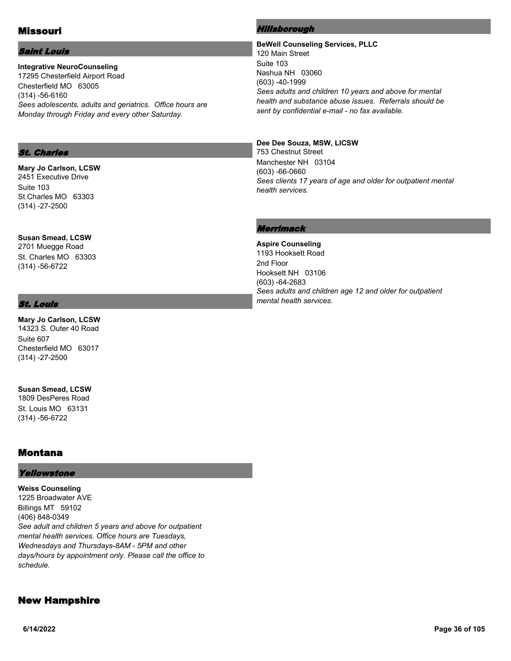# Missouri

### Saint Louis

**Integrative NeuroCounseling** 17295 Chesterfield Airport Road Chesterfield MO 63005 (314) -56-6160 *Sees adolescents, adults and geriatrics. Office hours are Monday through Friday and every other Saturday.*

### St. Charles

**Mary Jo Carlson, LCSW** 2451 Executive Drive Suite 103 St.Charles MO 63303 (314) -27-2500

**Susan Smead, LCSW** 2701 Muegge Road St. Charles MO 63303 (314) -56-6722

### St. Louis

**Mary Jo Carlson, LCSW** 14323 S. Outer 40 Road Suite 607 Chesterfield MO 63017 (314) -27-2500

**Susan Smead, LCSW** 1809 DesPeres Road St. Louis MO 63131

## Montana

(314) -56-6722

#### Yellowstone

**Weiss Counseling** 1225 Broadwater AVE Billings MT 59102 (406) 848-0349 *See adult and children 5 years and above for outpatient mental health services. Office hours are Tuesdays, Wednesdays and Thursdays-8AM - 5PM and other days/hours by appointment only. Please call the office to schedule.*

# New Hampshire

#### Hillsborough

**BeWell Counseling Services, PLLC** 120 Main Street Suite 103 Nashua NH 03060 (603) -40-1999 *Sees adults and children 10 years and above for mental health and substance abuse issues. Referrals should be sent by confidential e-mail - no fax available.*

#### **Dee Dee Souza, MSW, LICSW**

753 Chestnut Street Manchester NH 03104 (603) -66-0660 *Sees clients 17 years of age and older for outpatient mental health services.*

### Merrimack

**Aspire Counseling** 1193 Hooksett Road 2nd Floor Hooksett NH 03106 (603) -64-2683 *Sees adults and children age 12 and older for outpatient mental health services.*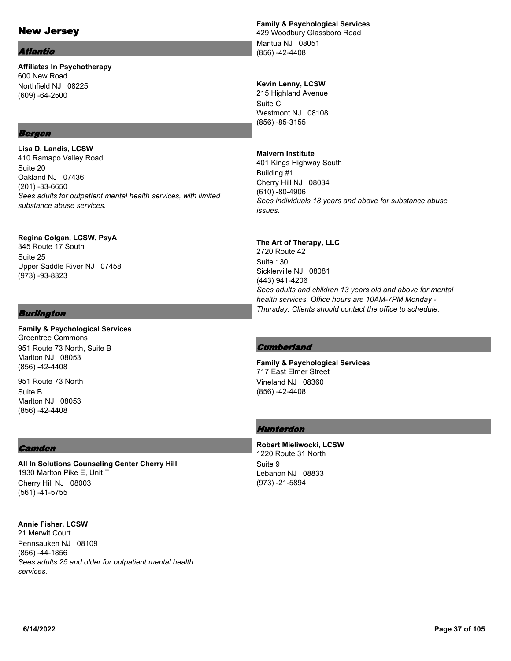# New Jersey

#### Atlantic

**Affiliates In Psychotherapy** 600 New Road Northfield NJ 08225 (609) -64-2500

## Bergen

**Lisa D. Landis, LCSW** 410 Ramapo Valley Road Suite 20 Oakland NJ 07436 (201) -33-6650 *Sees adults for outpatient mental health services, with limited substance abuse services.*

**Regina Colgan, LCSW, PsyA** 345 Route 17 South Suite 25 Upper Saddle River NJ 07458 (973) -93-8323

## Burlington

**Family & Psychological Services** Greentree Commons 951 Route 73 North, Suite B Marlton NJ 08053 (856) -42-4408

951 Route 73 North Suite B Marlton NJ 08053 (856) -42-4408

## **Camden**

**All In Solutions Counseling Center Cherry Hill** 1930 Marlton Pike E, Unit T Cherry Hill NJ 08003 (561) -41-5755

**Annie Fisher, LCSW** 21 Merwit Court Pennsauken NJ 08109 (856) -44-1856 *Sees adults 25 and older for outpatient mental health services.*

## **Family & Psychological Services**

429 Woodbury Glassboro Road Mantua NJ 08051 (856) -42-4408

## **Kevin Lenny, LCSW**

215 Highland Avenue Suite C Westmont NJ 08108 (856) -85-3155

## **Malvern Institute**

401 Kings Highway South Building #1 Cherry Hill NJ 08034 (610) -80-4906 *Sees individuals 18 years and above for substance abuse issues.*

## **The Art of Therapy, LLC**

2720 Route 42 Suite 130 Sicklerville NJ 08081 (443) 941-4206 *Sees adults and children 13 years old and above for mental health services. Office hours are 10AM-7PM Monday - Thursday. Clients should contact the office to schedule.*

## **Cumberland**

**Family & Psychological Services** 717 East Elmer Street Vineland NJ 08360 (856) -42-4408

## Hunterdon

**Robert Mieliwocki, LCSW** 1220 Route 31 North Suite 9 Lebanon NJ 08833 (973) -21-5894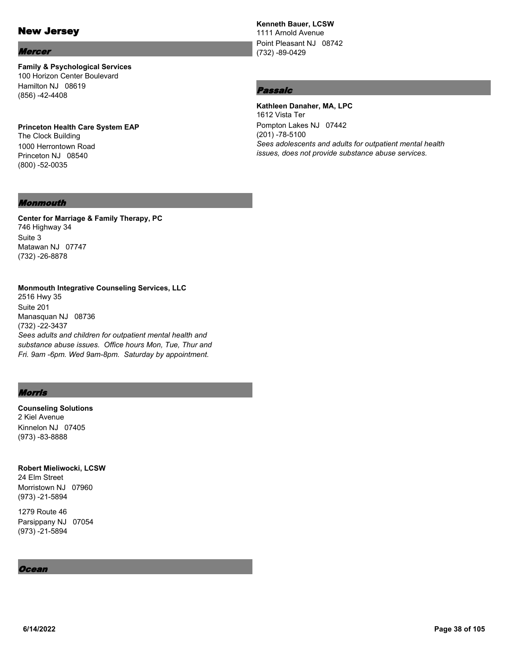# New Jersey

#### Mercer

**Family & Psychological Services** 100 Horizon Center Boulevard Hamilton NJ 08619 (856) -42-4408

**Princeton Health Care System EAP** The Clock Building 1000 Herrontown Road Princeton NJ 08540 (800) -52-0035

#### **Kenneth Bauer, LCSW**

1111 Arnold Avenue Point Pleasant NJ 08742 (732) -89-0429

## Passaic

**Kathleen Danaher, MA, LPC** 1612 Vista Ter Pompton Lakes NJ 07442 (201) -78-5100 *Sees adolescents and adults for outpatient mental health issues, does not provide substance abuse services.*

#### Monmouth

**Center for Marriage & Family Therapy, PC** 746 Highway 34 Suite 3 Matawan NJ 07747 (732) -26-8878

**Monmouth Integrative Counseling Services, LLC** 2516 Hwy 35 Suite 201 Manasquan NJ 08736 (732) -22-3437 *Sees adults and children for outpatient mental health and substance abuse issues. Office hours Mon, Tue, Thur and Fri. 9am -6pm. Wed 9am-8pm. Saturday by appointment.*

## Morris

**Counseling Solutions** 2 Kiel Avenue Kinnelon NJ 07405 (973) -83-8888

**Robert Mieliwocki, LCSW** 24 Elm Street Morristown NJ 07960 (973) -21-5894

1279 Route 46 Parsippany NJ 07054 (973) -21-5894

#### Ocean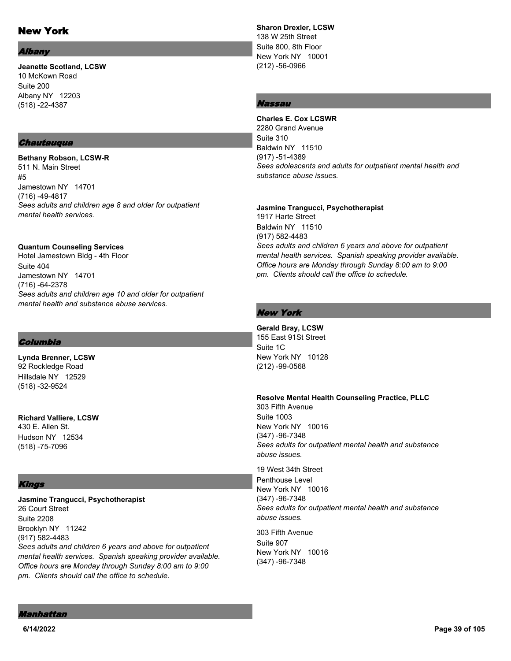# New York

#### *Ibany*

**Jeanette Scotland, LCSW** 10 McKown Road Suite 200 Albany NY 12203 (518) -22-4387

#### **Chautauqua**

**Bethany Robson, LCSW-R** 511 N. Main Street #5 Jamestown NY 14701 (716) -49-4817 *Sees adults and children age 8 and older for outpatient mental health services.*

#### **Quantum Counseling Services**

Hotel Jamestown Bldg - 4th Floor Suite 404 Jamestown NY 14701 (716) -64-2378 *Sees adults and children age 10 and older for outpatient mental health and substance abuse services.*

## Columbia

**Lynda Brenner, LCSW** 92 Rockledge Road Hillsdale NY 12529 (518) -32-9524

**Richard Valliere, LCSW** 430 E. Allen St. Hudson NY 12534 (518) -75-7096

## Kings

**Jasmine Trangucci, Psychotherapist** 26 Court Street Suite 2208 Brooklyn NY 11242 (917) 582-4483 *Sees adults and children 6 years and above for outpatient mental health services. Spanish speaking provider available. Office hours are Monday through Sunday 8:00 am to 9:00 pm. Clients should call the office to schedule.*

**Sharon Drexler, LCSW** 138 W 25th Street Suite 800, 8th Floor New York NY 10001 (212) -56-0966

## Nassau

**Charles E. Cox LCSWR** 2280 Grand Avenue Suite 310 Baldwin NY 11510 (917) -51-4389 *Sees adolescents and adults for outpatient mental health and substance abuse issues.*

**Jasmine Trangucci, Psychotherapist** 1917 Harte Street Baldwin NY 11510 (917) 582-4483 *Sees adults and children 6 years and above for outpatient mental health services. Spanish speaking provider available. Office hours are Monday through Sunday 8:00 am to 9:00 pm. Clients should call the office to schedule.*

## New York

**Gerald Bray, LCSW** 155 East 91St Street Suite 1C New York NY 10128 (212) -99-0568

**Resolve Mental Health Counseling Practice, PLLC** 303 Fifth Avenue Suite 1003 New York NY 10016 (347) -96-7348 *Sees adults for outpatient mental health and substance abuse issues.*

19 West 34th Street Penthouse Level New York NY 10016 (347) -96-7348 *Sees adults for outpatient mental health and substance abuse issues.*

303 Fifth Avenue Suite 907 New York NY 10016 (347) -96-7348

#### Manhattan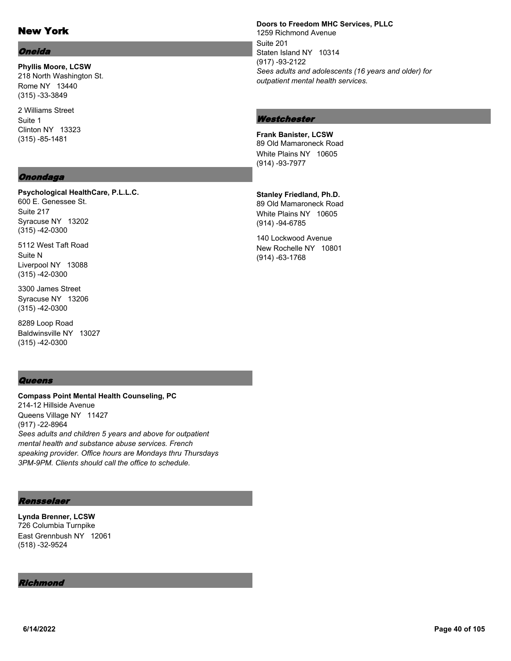# New York

#### Oneida

**Phyllis Moore, LCSW** 218 North Washington St. Rome NY 13440 (315) -33-3849

2 Williams Street Suite 1 Clinton NY 13323 (315) -85-1481

## Onondaga

**Psychological HealthCare, P.L.L.C.** 600 E. Genessee St. Suite 217

Syracuse NY 13202 (315) -42-0300

5112 West Taft Road Suite N Liverpool NY 13088 (315) -42-0300

3300 James Street Syracuse NY 13206 (315) -42-0300

8289 Loop Road Baldwinsville NY 13027 (315) -42-0300

## **Queens**

**Compass Point Mental Health Counseling, PC** 214-12 Hillside Avenue Queens Village NY 11427 (917) -22-8964 *Sees adults and children 5 years and above for outpatient mental health and substance abuse services. French speaking provider. Office hours are Mondays thru Thursdays 3PM-9PM. Clients should call the office to schedule.*

## Rensselaer

**Lynda Brenner, LCSW** 726 Columbia Turnpike East Grennbush NY 12061 (518) -32-9524

#### Richmond

**Doors to Freedom MHC Services, PLLC** 1259 Richmond Avenue Suite 201 Staten Island NY 10314 (917) -93-2122 *Sees adults and adolescents (16 years and older) for outpatient mental health services.*

#### **Westchester**

**Frank Banister, LCSW** 89 Old Mamaroneck Road White Plains NY 10605 (914) -93-7977

**Stanley Friedland, Ph.D.** 89 Old Mamaroneck Road White Plains NY 10605 (914) -94-6785

140 Lockwood Avenue New Rochelle NY 10801 (914) -63-1768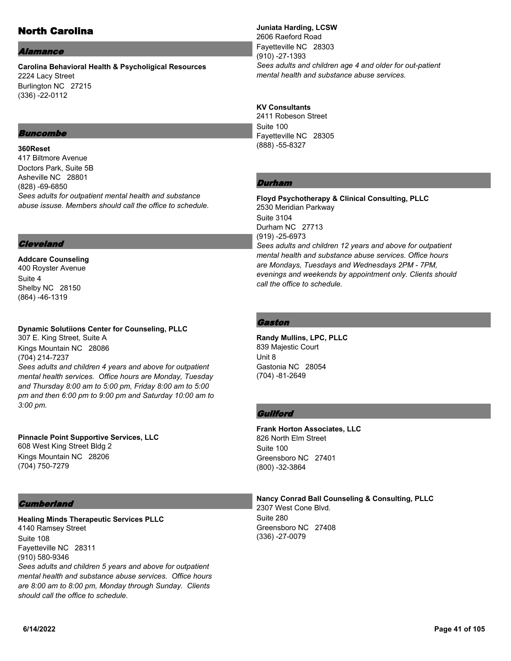# North Carolina

#### *Vamance*

**Carolina Behavioral Health & Psycholigical Resources** 2224 Lacy Street Burlington NC 27215 (336) -22-0112

## Buncombe

**360Reset** 417 Biltmore Avenue Doctors Park, Suite 5B Asheville NC 28801 (828) -69-6850 *Sees adults for outpatient mental health and substance abuse issuse. Members should call the office to schedule.*

#### **Cleveland**

**Addcare Counseling** 400 Royster Avenue Suite 4 Shelby NC 28150 (864) -46-1319

**Dynamic Solutiions Center for Counseling, PLLC** 307 E. King Street, Suite A Kings Mountain NC 28086 (704) 214-7237 *Sees adults and children 4 years and above for outpatient mental health services. Office hours are Monday, Tuesday and Thursday 8:00 am to 5:00 pm, Friday 8:00 am to 5:00 pm and then 6:00 pm to 9:00 pm and Saturday 10:00 am to* 

**Pinnacle Point Supportive Services, LLC** 608 West King Street Bldg 2 Kings Mountain NC 28206 (704) 750-7279

## **Cumberland**

*3:00 pm.*

**Healing Minds Therapeutic Services PLLC** 4140 Ramsey Street Suite 108 Fayetteville NC 28311 (910) 580-9346 *Sees adults and children 5 years and above for outpatient mental health and substance abuse services. Office hours are 8:00 am to 8:00 pm, Monday through Sunday. Clients should call the office to schedule.*

**Juniata Harding, LCSW** 2606 Raeford Road Fayetteville NC 28303 (910) -27-1393 *Sees adults and children age 4 and older for out-patient mental health and substance abuse services.*

#### **KV Consultants**

2411 Robeson Street Suite 100 Fayetteville NC 28305 (888) -55-8327

## Durham

**Floyd Psychotherapy & Clinical Consulting, PLLC** 2530 Meridian Parkway Suite 3104 Durham NC 27713 (919) -25-6973 *Sees adults and children 12 years and above for outpatient mental health and substance abuse services. Office hours are Mondays, Tuesdays and Wednesdays 2PM - 7PM, evenings and weekends by appointment only. Clients should call the office to schedule.*

## Gaston

**Randy Mullins, LPC, PLLC** 839 Majestic Court Unit 8 Gastonia NC 28054 (704) -81-2649

## **Guilford**

**Frank Horton Associates, LLC** 826 North Elm Street Suite 100 Greensboro NC 27401 (800) -32-3864

**Nancy Conrad Ball Counseling & Consulting, PLLC** 2307 West Cone Blvd. Suite 280 Greensboro NC 27408 (336) -27-0079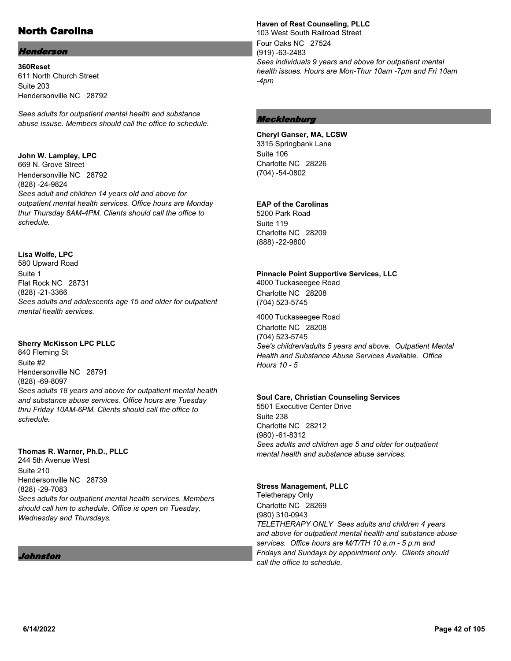# North Carolina

## Henderson

**360Reset** 611 North Church Street Suite 203 Hendersonville NC 28792

*Sees adults for outpatient mental health and substance abuse issuse. Members should call the office to schedule.*

## **John W. Lampley, LPC**

669 N. Grove Street Hendersonville NC 28792 (828) -24-9824 *Sees adult and children 14 years old and above for outpatient mental health services. Office hours are Monday thur Thursday 8AM-4PM. Clients should call the office to schedule.*

## **Lisa Wolfe, LPC**

580 Upward Road Suite 1 Flat Rock NC 28731 (828) -21-3366 *Sees adults and adolescents age 15 and older for outpatient mental health services.*

## **Sherry McKisson LPC PLLC**

840 Fleming St Suite #2 Hendersonville NC 28791 (828) -69-8097 *Sees adults 18 years and above for outpatient mental health and substance abuse services. Office hours are Tuesday thru Friday 10AM-6PM. Clients should call the office to schedule.*

#### **Thomas R. Warner, Ph.D., PLLC**

244 5th Avenue West Suite 210 Hendersonville NC 28739 (828) -29-7083 *Sees adults for outpatient mental health services. Members should call him to schedule. Office is open on Tuesday, Wednesday and Thursdays.*

## Johnston

#### **Haven of Rest Counseling, PLLC**

103 West South Railroad Street Four Oaks NC 27524 (919) -63-2483 *Sees individuals 9 years and above for outpatient mental health issues. Hours are Mon-Thur 10am -7pm and Fri 10am -4pm*

## **Mecklenburg**

**Cheryl Ganser, MA, LCSW** 3315 Springbank Lane Suite 106 Charlotte NC 28226 (704) -54-0802

## **EAP of the Carolinas**

5200 Park Road Suite 119 Charlotte NC 28209 (888) -22-9800

## **Pinnacle Point Supportive Services, LLC**

4000 Tuckaseegee Road Charlotte NC 28208 (704) 523-5745

4000 Tuckaseegee Road Charlotte NC 28208 (704) 523-5745 *See's children/adults 5 years and above. Outpatient Mental Health and Substance Abuse Services Available. Office Hours 10 - 5*

#### **Soul Care, Christian Counseling Services**

5501 Executive Center Drive Suite 238 Charlotte NC 28212 (980) -61-8312 *Sees adults and children age 5 and older for outpatient mental health and substance abuse services.*

## **Stress Management, PLLC**

Teletherapy Only Charlotte NC 28269 (980) 310-0943 *TELETHERAPY ONLY Sees adults and children 4 years and above for outpatient mental health and substance abuse services. Office hours are M/T/TH 10 a.m - 5 p.m and Fridays and Sundays by appointment only. Clients should call the office to schedule.*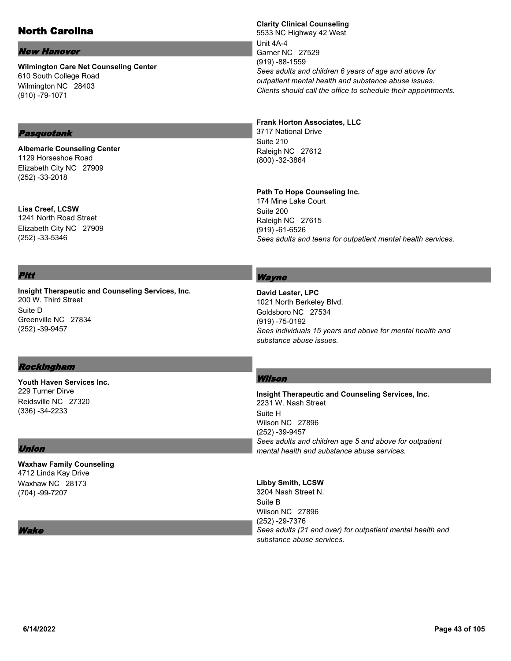# North Carolina

#### New Hanover

**Wilmington Care Net Counseling Center** 610 South College Road Wilmington NC 28403 (910) -79-1071

# Pasquotank

**Albemarle Counseling Center** 1129 Horseshoe Road Elizabeth City NC 27909 (252) -33-2018

**Lisa Creef, LCSW** 1241 North Road Street Elizabeth City NC 27909 (252) -33-5346

## **Clarity Clinical Counseling**

5533 NC Highway 42 West Unit 4A-4 Garner NC 27529 (919) -88-1559 *Sees adults and children 6 years of age and above for outpatient mental health and substance abuse issues. Clients should call the office to schedule their appointments.*

#### **Frank Horton Associates, LLC**

3717 National Drive Suite 210 Raleigh NC 27612 (800) -32-3864

#### **Path To Hope Counseling Inc.**

174 Mine Lake Court Suite 200 Raleigh NC 27615 (919) -61-6526 *Sees adults and teens for outpatient mental health services.*

## Pitt

**Insight Therapeutic and Counseling Services, Inc.** 200 W. Third Street Suite D Greenville NC 27834 (252) -39-9457

## Wayne

**David Lester, LPC** 1021 North Berkeley Blvd. Goldsboro NC 27534 (919) -75-0192 *Sees individuals 15 years and above for mental health and substance abuse issues.*

## Rockingham

**Youth Haven Services Inc.** 229 Turner Dirve Reidsville NC 27320 (336) -34-2233

## Union

**Waxhaw Family Counseling** 4712 Linda Kay Drive Waxhaw NC 28173 (704) -99-7207

#### lake

## Wilson

**Insight Therapeutic and Counseling Services, Inc.** 2231 W. Nash Street Suite H Wilson NC 27896 (252) -39-9457 *Sees adults and children age 5 and above for outpatient mental health and substance abuse services.*

#### **Libby Smith, LCSW**

3204 Nash Street N. Suite B Wilson NC 27896 (252) -29-7376 *Sees adults (21 and over) for outpatient mental health and substance abuse services.*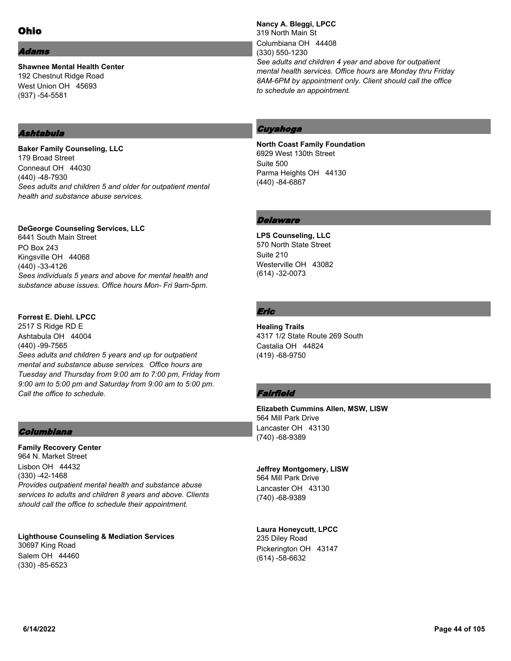#### dams

**Shawnee Mental Health Center** 192 Chestnut Ridge Road West Union OH 45693 (937) -54-5581

## Ashtabula

**Baker Family Counseling, LLC** 179 Broad Street Conneaut OH 44030 (440) -48-7930 *Sees adults and children 5 and older for outpatient mental health and substance abuse services.*

#### **DeGeorge Counseling Services, LLC**

6441 South Main Street PO Box 243 Kingsville OH 44068 (440) -33-4126 *Sees individuals 5 years and above for mental health and substance abuse issues. Office hours Mon- Fri 9am-5pm.*

#### **Forrest E. Diehl. LPCC**

2517 S Ridge RD E Ashtabula OH 44004 (440) -99-7565 *Sees adults and children 5 years and up for outpatient mental and substance abuse services. Office hours are Tuesday and Thursday from 9:00 am to 7:00 pm, Friday from 9:00 am to 5:00 pm and Saturday from 9:00 am to 5:00 pm. Call the office to schedule.*

## Columbiana

**Family Recovery Center** 964 N. Market Street Lisbon OH 44432 (330) -42-1468 *Provides outpatient mental health and substance abuse services to adults and children 8 years and above. Clients should call the office to schedule their appointment.*

**Lighthouse Counseling & Mediation Services** 30697 King Road Salem OH 44460 (330) -85-6523

**Nancy A. Bleggi, LPCC** 319 North Main St Columbiana OH 44408 (330) 550-1230 *See adults and children 4 year and above for outpatient mental health services. Office hours are Monday thru Friday 8AM-6PM by appointment only. Client should call the office to schedule an appointment.*

## Cuyahoga

**North Coast Family Foundation** 6929 West 130th Street Suite 500 Parma Heights OH 44130 (440) -84-6867

## **Delaware**

**LPS Counseling, LLC** 570 North State Street Suite 210 Westerville OH 43082 (614) -32-0073

## Eric

**Healing Trails** 4317 1/2 State Route 269 South Castalia OH 44824 (419) -68-9750

## Fairfield

**Elizabeth Cummins Allen, MSW, LISW** 564 Mill Park Drive Lancaster OH 43130 (740) -68-9389

#### **Jeffrey Montgomery, LISW**

564 Mill Park Drive Lancaster OH 43130 (740) -68-9389

## **Laura Honeycutt, LPCC**

235 Diley Road Pickerington OH 43147 (614) -58-6632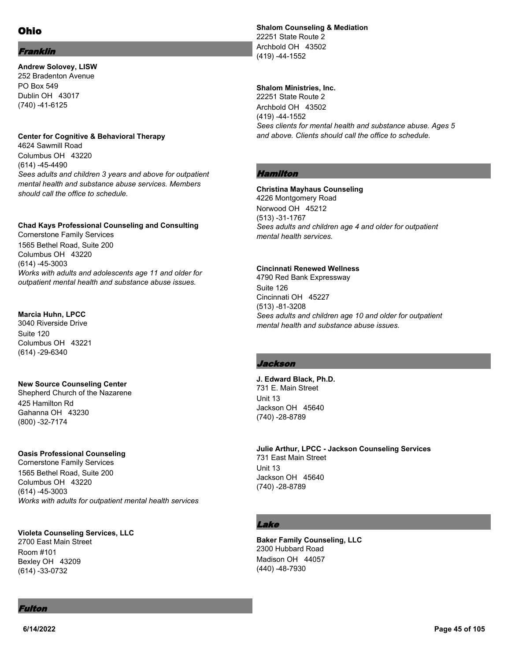## Franklin

**Andrew Solovey, LISW** 252 Bradenton Avenue PO Box 549 Dublin OH 43017 (740) -41-6125

#### **Center for Cognitive & Behavioral Therapy**

4624 Sawmill Road Columbus OH 43220 (614) -45-4490 *Sees adults and children 3 years and above for outpatient mental health and substance abuse services. Members should call the office to schedule.*

## **Chad Kays Professional Counseling and Consulting**

Cornerstone Family Services 1565 Bethel Road, Suite 200 Columbus OH 43220 (614) -45-3003 *Works with adults and adolescents age 11 and older for outpatient mental health and substance abuse issues.*

#### **Marcia Huhn, LPCC**

3040 Riverside Drive Suite 120 Columbus OH 43221 (614) -29-6340

## **New Source Counseling Center**

Shepherd Church of the Nazarene 425 Hamilton Rd Gahanna OH 43230 (800) -32-7174

#### **Oasis Professional Counseling**

Cornerstone Family Services 1565 Bethel Road, Suite 200 Columbus OH 43220 (614) -45-3003 *Works with adults for outpatient mental health services*

#### **Violeta Counseling Services, LLC**

2700 East Main Street Room #101 Bexley OH 43209 (614) -33-0732

**Shalom Counseling & Mediation** 22251 State Route 2 Archbold OH 43502 (419) -44-1552

#### **Shalom Ministries, Inc.**

22251 State Route 2 Archbold OH 43502 (419) -44-1552 *Sees clients for mental health and substance abuse. Ages 5 and above. Clients should call the office to schedule.*

## Hamilton

#### **Christina Mayhaus Counseling**

4226 Montgomery Road Norwood OH 45212 (513) -31-1767 *Sees adults and children age 4 and older for outpatient mental health services.*

#### **Cincinnati Renewed Wellness**

4790 Red Bank Expressway Suite 126 Cincinnati OH 45227 (513) -81-3208 *Sees adults and children age 10 and older for outpatient mental health and substance abuse issues.*

## Jackson

**J. Edward Black, Ph.D.** 731 E. Main Street Unit 13 Jackson OH 45640 (740) -28-8789

**Julie Arthur, LPCC - Jackson Counseling Services** 731 East Main Street Unit 13 Jackson OH 45640 (740) -28-8789

## Lake

**Baker Family Counseling, LLC** 2300 Hubbard Road Madison OH 44057 (440) -48-7930

## Fulton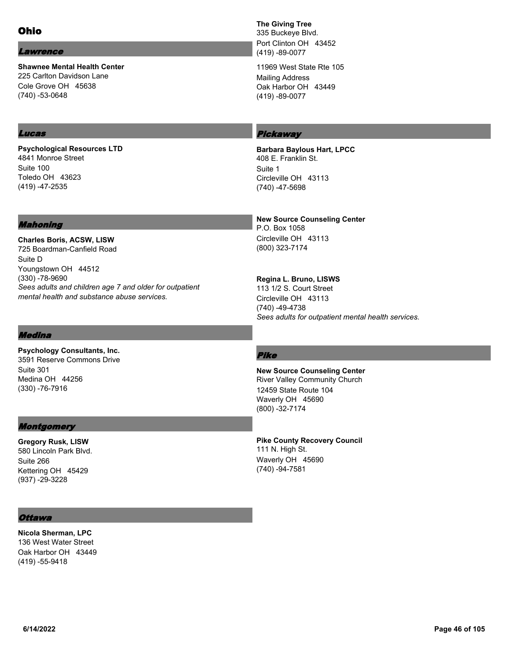#### Lawrence

**Shawnee Mental Health Center** 225 Carlton Davidson Lane Cole Grove OH 45638 (740) -53-0648

## Lucas

**Psychological Resources LTD** 4841 Monroe Street Suite 100 Toledo OH 43623 (419) -47-2535

## Mahoning

**Charles Boris, ACSW, LISW** 725 Boardman-Canfield Road Suite D Youngstown OH 44512 (330) -78-9690 *Sees adults and children age 7 and older for outpatient mental health and substance abuse services.*

## Medina

**Psychology Consultants, Inc.** 3591 Reserve Commons Drive Suite 301 Medina OH 44256 (330) -76-7916

## **Montgomery**

**Gregory Rusk, LISW** 580 Lincoln Park Blvd. Suite 266 Kettering OH 45429 (937) -29-3228

## **The Giving Tree**

335 Buckeye Blvd. Port Clinton OH 43452 (419) -89-0077

11969 West State Rte 105 Mailing Address Oak Harbor OH 43449 (419) -89-0077

# **Pickaway**

**Barbara Baylous Hart, LPCC** 408 E. Franklin St. Suite 1 Circleville OH 43113 (740) -47-5698

**New Source Counseling Center** P.O. Box 1058 Circleville OH 43113 (800) 323-7174

**Regina L. Bruno, LISWS** 113 1/2 S. Court Street Circleville OH 43113 (740) -49-4738 *Sees adults for outpatient mental health services.*

## Pike

**New Source Counseling Center** River Valley Community Church 12459 State Route 104 Waverly OH 45690 (800) -32-7174

**Pike County Recovery Council** 111 N. High St. Waverly OH 45690 (740) -94-7581

## **Ottawa**

**Nicola Sherman, LPC** 136 West Water Street Oak Harbor OH 43449 (419) -55-9418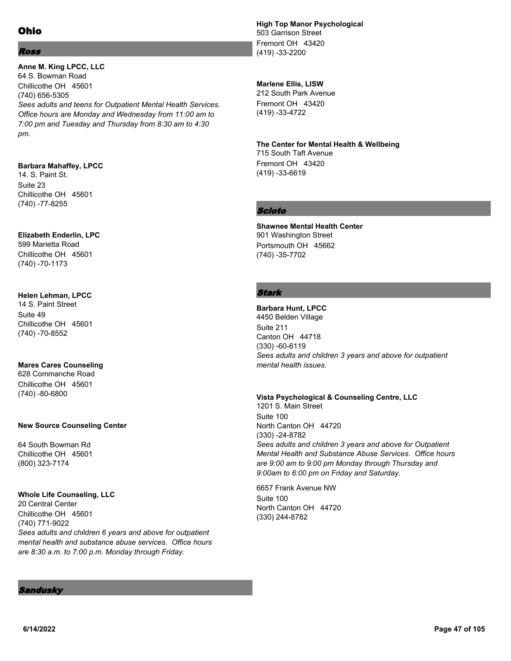## Ross

**Anne M. King LPCC, LLC** 64 S. Bowman Road Chillicothe OH 45601 (740) 656-5305 *Sees adults and teens for Outpatient Mental Health Services. Office hours are Monday and Wednesday from 11:00 am to 7:00 pm and Tuesday and Thursday from 8:30 am to 4:30 pm.*

## **Barbara Mahaffey, LPCC**

14. S. Paint St. Suite 23 Chillicothe OH 45601 (740) -77-8255

## **Elizabeth Enderlin, LPC**

599 Marietta Road Chillicothe OH 45601 (740) -70-1173

## **Helen Lehman, LPCC**

14 S. Paint Street Suite 49 Chillicothe OH 45601 (740) -70-8552

## **Mares Cares Counseling**

628 Commanche Road Chillicothe OH 45601 (740) -80-6800

## **New Source Counseling Center**

64 South Bowman Rd Chillicothe OH 45601 (800) 323-7174

## **Whole Life Counseling, LLC**

20 Central Center Chillicothe OH 45601 (740) 771-9022 *Sees adults and children 6 years and above for outpatient mental health and substance abuse services. Office hours are 8:30 a.m. to 7:00 p.m. Monday through Friday.*

#### **High Top Manor Psychological** 503 Garrison Street Fremont OH 43420

(419) -33-2200

## **Marlene Ellis, LISW**

212 South Park Avenue Fremont OH 43420 (419) -33-4722

# **The Center for Mental Health & Wellbeing**

715 South Taft Avenue Fremont OH 43420 (419) -33-6619

## Scioto

**Shawnee Mental Health Center** 901 Washington Street Portsmouth OH 45662 (740) -35-7702

## Stark

**Barbara Hunt, LPCC** 4450 Belden Village Suite 211 Canton OH 44718 (330) -60-6119 *Sees adults and children 3 years and above for outpatient mental health issues.*

**Vista Psychological & Counseling Centre, LLC** 1201 S. Main Street Suite 100 North Canton OH 44720 (330) -24-8782 *Sees adults and children 3 years and above for Outpatient Mental Health and Substance Abuse Services. Office hours are 9:00 am to 9:00 pm Monday through Thursday and 9:00am to 6:00 pm on Friday and Saturday.*

6657 Frank Avenue NW Suite 100 North Canton OH 44720 (330) 244-8782

#### Sandusky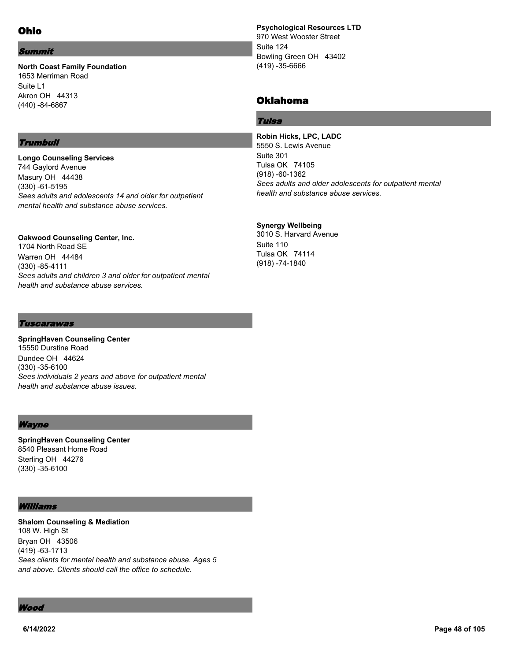#### Summit

#### **North Coast Family Foundation** 1653 Merriman Road Suite L1 Akron OH 44313 (440) -84-6867

## **Trumbull**

**Longo Counseling Services** 744 Gaylord Avenue Masury OH 44438 (330) -61-5195 *Sees adults and adolescents 14 and older for outpatient mental health and substance abuse services.*

**Oakwood Counseling Center, Inc.** 1704 North Road SE Warren OH 44484 (330) -85-4111 *Sees adults and children 3 and older for outpatient mental health and substance abuse services.*

**Psychological Resources LTD** 970 West Wooster Street Suite 124 Bowling Green OH 43402 (419) -35-6666

## Oklahoma

#### Tulsa

**Robin Hicks, LPC, LADC** 5550 S. Lewis Avenue Suite 301 Tulsa OK 74105 (918) -60-1362 *Sees adults and older adolescents for outpatient mental health and substance abuse services.*

## **Synergy Wellbeing**

3010 S. Harvard Avenue Suite 110 Tulsa OK 74114 (918) -74-1840

#### Tuscarawas

**SpringHaven Counseling Center** 15550 Durstine Road Dundee OH 44624 (330) -35-6100 *Sees individuals 2 years and above for outpatient mental health and substance abuse issues.*

#### **Wayne**

**SpringHaven Counseling Center** 8540 Pleasant Home Road Sterling OH 44276 (330) -35-6100

#### Williams

**Shalom Counseling & Mediation** 108 W. High St Bryan OH 43506 (419) -63-1713 *Sees clients for mental health and substance abuse. Ages 5 and above. Clients should call the office to schedule.*

Wood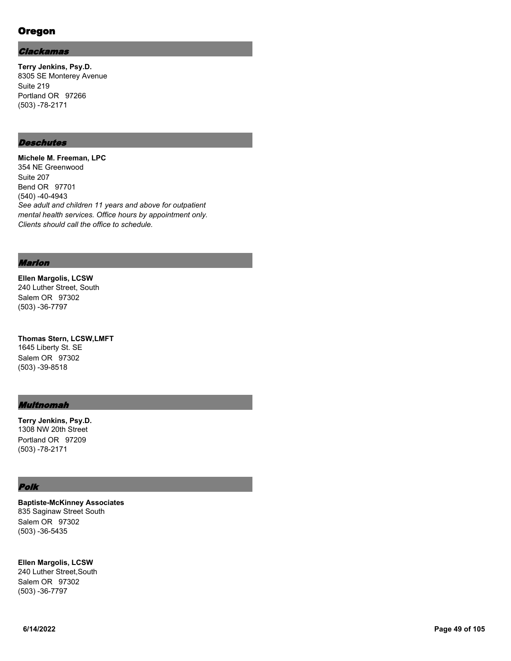# Oregon

#### Clackamas

**Terry Jenkins, Psy.D.** 8305 SE Monterey Avenue Suite 219 Portland OR 97266 (503) -78-2171

## **Deschutes**

**Michele M. Freeman, LPC** 354 NE Greenwood Suite 207 Bend OR 97701 (540) -40-4943 *See adult and children 11 years and above for outpatient mental health services. Office hours by appointment only. Clients should call the office to schedule.*

#### Marion

**Ellen Margolis, LCSW** 240 Luther Street, South Salem OR 97302 (503) -36-7797

**Thomas Stern, LCSW,LMFT** 1645 Liberty St. SE Salem OR 97302 (503) -39-8518

#### Multnomah

**Terry Jenkins, Psy.D.** 1308 NW 20th Street Portland OR 97209 (503) -78-2171

#### Polk

**Baptiste-McKinney Associates** 835 Saginaw Street South Salem OR 97302 (503) -36-5435

**Ellen Margolis, LCSW** 240 Luther Street,South Salem OR 97302

(503) -36-7797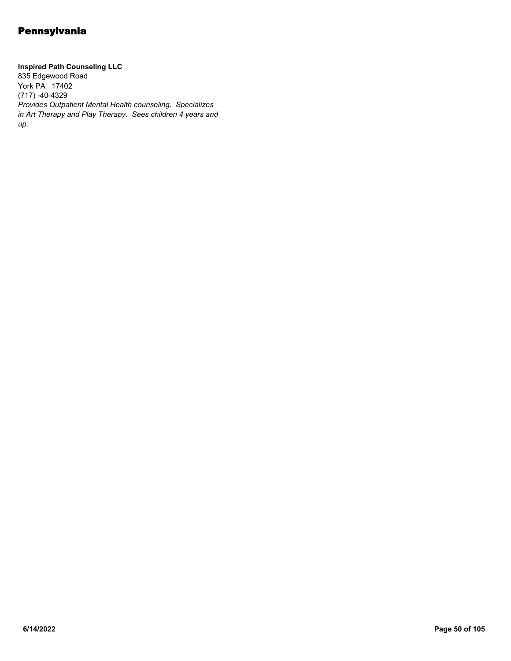**Inspired Path Counseling LLC** 835 Edgewood Road York PA 17402 (717) -40-4329 *Provides Outpatient Mental Health counseling. Specializes in Art Therapy and Play Therapy. Sees children 4 years and up.*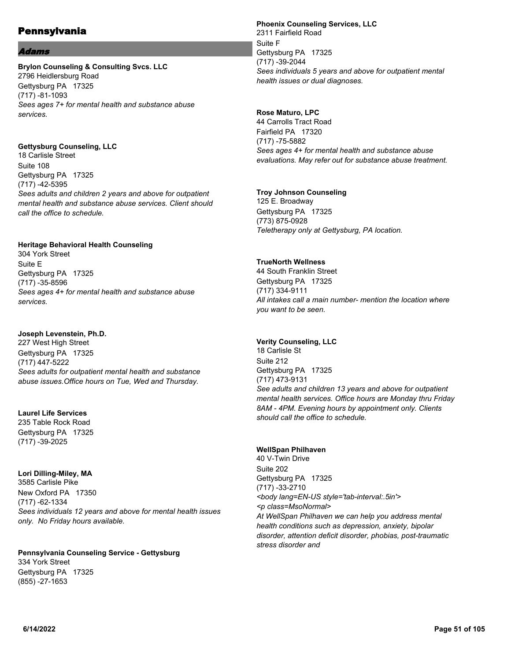#### **Idams**

#### **Brylon Counseling & Consulting Svcs. LLC** 2796 Heidlersburg Road Gettysburg PA 17325 (717) -81-1093 *Sees ages 7+ for mental health and substance abuse services.*

## **Gettysburg Counseling, LLC**

18 Carlisle Street Suite 108 Gettysburg PA 17325 (717) -42-5395 *Sees adults and children 2 years and above for outpatient mental health and substance abuse services. Client should call the office to schedule.*

#### **Heritage Behavioral Health Counseling**

304 York Street Suite E Gettysburg PA 17325 (717) -35-8596 *Sees ages 4+ for mental health and substance abuse services.*

#### **Joseph Levenstein, Ph.D.**

227 West High Street Gettysburg PA 17325 (717) 447-5222 *Sees adults for outpatient mental health and substance abuse issues.Office hours on Tue, Wed and Thursday.*

## **Laurel Life Services**

235 Table Rock Road Gettysburg PA 17325 (717) -39-2025

## **Lori Dilling-Miley, MA**

3585 Carlisle Pike New Oxford PA 17350 (717) -62-1334 *Sees individuals 12 years and above for mental health issues only. No Friday hours available.*

**Pennsylvania Counseling Service - Gettysburg** 334 York Street Gettysburg PA 17325 (855) -27-1653

## **Phoenix Counseling Services, LLC**

2311 Fairfield Road Suite F Gettysburg PA 17325 (717) -39-2044 *Sees individuals 5 years and above for outpatient mental health issues or dual diagnoses.*

## **Rose Maturo, LPC**

44 Carrolls Tract Road Fairfield PA 17320 (717) -75-5882 *Sees ages 4+ for mental health and substance abuse evaluations. May refer out for substance abuse treatment.*

#### **Troy Johnson Counseling**

125 E. Broadway Gettysburg PA 17325 (773) 875-0928 *Teletherapy only at Gettysburg, PA location.*

## **TrueNorth Wellness**

44 South Franklin Street Gettysburg PA 17325 (717) 334-9111 *All intakes call a main number- mention the location where you want to be seen.*

## **Verity Counseling, LLC**

18 Carlisle St Suite 212 Gettysburg PA 17325 (717) 473-9131 *See adults and children 13 years and above for outpatient mental health services. Office hours are Monday thru Friday 8AM - 4PM. Evening hours by appointment only. Clients should call the office to schedule.*

## **WellSpan Philhaven**

40 V-Twin Drive Suite 202 Gettysburg PA 17325 (717) -33-2710 *<body lang=EN-US style='tab-interval:.5in'> <p class=MsoNormal> At WellSpan Philhaven we can help you address mental health conditions such as depression, anxiety, bipolar disorder, attention deficit disorder, phobias, post-traumatic stress disorder and*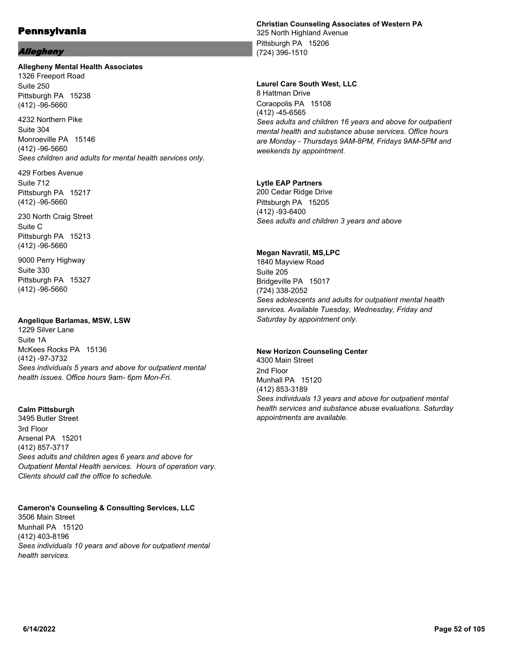#### Allegheny

#### **Allegheny Mental Health Associates**

1326 Freeport Road Suite 250 Pittsburgh PA 15238 (412) -96-5660

4232 Northern Pike Suite 304 Monroeville PA 15146 (412) -96-5660 *Sees children and adults for mental health services only.*

429 Forbes Avenue Suite 712 Pittsburgh PA 15217 (412) -96-5660

230 North Craig Street Suite C Pittsburgh PA 15213 (412) -96-5660

9000 Perry Highway Suite 330 Pittsburgh PA 15327 (412) -96-5660

#### **Angelique Barlamas, MSW, LSW**

1229 Silver Lane Suite 1A McKees Rocks PA 15136 (412) -97-3732 *Sees individuals 5 years and above for outpatient mental health issues. Office hours 9am- 6pm Mon-Fri.*

#### **Calm Pittsburgh**

3495 Butler Street 3rd Floor Arsenal PA 15201 (412) 857-3717 *Sees adults and children ages 6 years and above for Outpatient Mental Health services. Hours of operation vary. Clients should call the office to schedule.*

**Cameron's Counseling & Consulting Services, LLC** 3506 Main Street Munhall PA 15120 (412) 403-8196 *Sees individuals 10 years and above for outpatient mental health services.*

## **Christian Counseling Associates of Western PA**

325 North Highland Avenue Pittsburgh PA 15206 (724) 396-1510

#### **Laurel Care South West, LLC**

8 Hattman Drive Coraopolis PA 15108 (412) -45-6565 *Sees adults and children 16 years and above for outpatient mental health and substance abuse services. Office hours are Monday - Thursdays 9AM-8PM, Fridays 9AM-5PM and weekends by appointment.*

#### **Lytle EAP Partners**

200 Cedar Ridge Drive Pittsburgh PA 15205 (412) -93-6400 *Sees adults and children 3 years and above*

#### **Megan Navratil, MS,LPC**

1840 Mayview Road Suite 205 Bridgeville PA 15017 (724) 338-2052 *Sees adolescents and adults for outpatient mental health services. Available Tuesday, Wednesday, Friday and Saturday by appointment only.*

#### **New Horizon Counseling Center**

4300 Main Street 2nd Floor Munhall PA 15120 (412) 853-3189 *Sees individuals 13 years and above for outpatient mental health services and substance abuse evaluations. Saturday appointments are available.*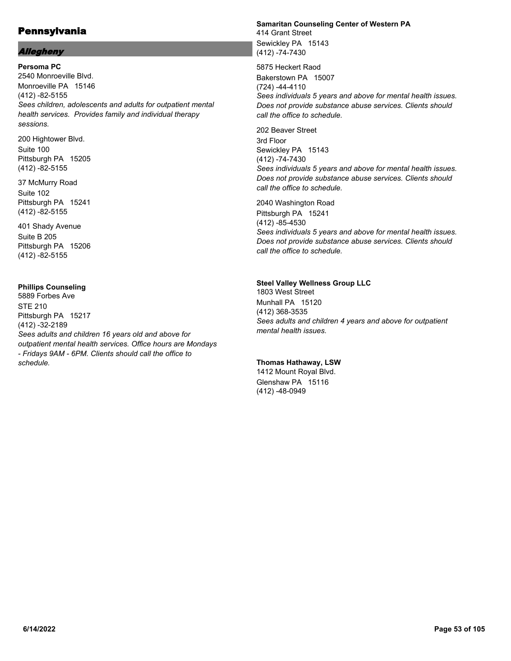## Allegheny

**Persoma PC** 2540 Monroeville Blvd. Monroeville PA 15146 (412) -82-5155 *Sees children, adolescents and adults for outpatient mental health services. Provides family and individual therapy sessions.*

200 Hightower Blvd. Suite 100 Pittsburgh PA 15205 (412) -82-5155

37 McMurry Road Suite 102 Pittsburgh PA 15241 (412) -82-5155

401 Shady Avenue Suite B 205 Pittsburgh PA 15206 (412) -82-5155

## **Phillips Counseling**

5889 Forbes Ave STE 210 Pittsburgh PA 15217 (412) -32-2189 *Sees adults and children 16 years old and above for outpatient mental health services. Office hours are Mondays - Fridays 9AM - 6PM. Clients should call the office to schedule.*

## **Samaritan Counseling Center of Western PA** 414 Grant Street

Sewickley PA 15143 (412) -74-7430

5875 Heckert Raod Bakerstown PA 15007 (724) -44-4110 *Sees individuals 5 years and above for mental health issues. Does not provide substance abuse services. Clients should call the office to schedule.*

202 Beaver Street 3rd Floor Sewickley PA 15143 (412) -74-7430 *Sees individuals 5 years and above for mental health issues. Does not provide substance abuse services. Clients should call the office to schedule.*

2040 Washington Road Pittsburgh PA 15241 (412) -85-4530 *Sees individuals 5 years and above for mental health issues. Does not provide substance abuse services. Clients should call the office to schedule.*

#### **Steel Valley Wellness Group LLC**

1803 West Street Munhall PA 15120 (412) 368-3535 *Sees adults and children 4 years and above for outpatient mental health issues.*

## **Thomas Hathaway, LSW**

1412 Mount Royal Blvd. Glenshaw PA 15116 (412) -48-0949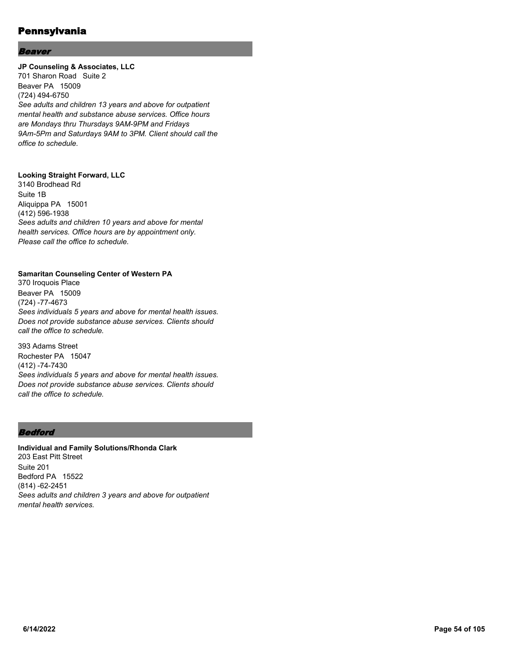#### Beaver

#### **JP Counseling & Associates, LLC**

701 Sharon Road Suite 2 Beaver PA 15009 (724) 494-6750 *See adults and children 13 years and above for outpatient mental health and substance abuse services. Office hours are Mondays thru Thursdays 9AM-9PM and Fridays 9Am-5Pm and Saturdays 9AM to 3PM. Client should call the office to schedule.*

## **Looking Straight Forward, LLC**

3140 Brodhead Rd Suite 1B Aliquippa PA 15001 (412) 596-1938 *Sees adults and children 10 years and above for mental health services. Office hours are by appointment only. Please call the office to schedule.*

#### **Samaritan Counseling Center of Western PA**

370 Iroquois Place Beaver PA 15009 (724) -77-4673 *Sees individuals 5 years and above for mental health issues. Does not provide substance abuse services. Clients should call the office to schedule.*

393 Adams Street Rochester PA 15047 (412) -74-7430 *Sees individuals 5 years and above for mental health issues. Does not provide substance abuse services. Clients should call the office to schedule.*

## **Bedford**

**Individual and Family Solutions/Rhonda Clark** 203 East Pitt Street Suite 201 Bedford PA 15522 (814) -62-2451 *Sees adults and children 3 years and above for outpatient mental health services.*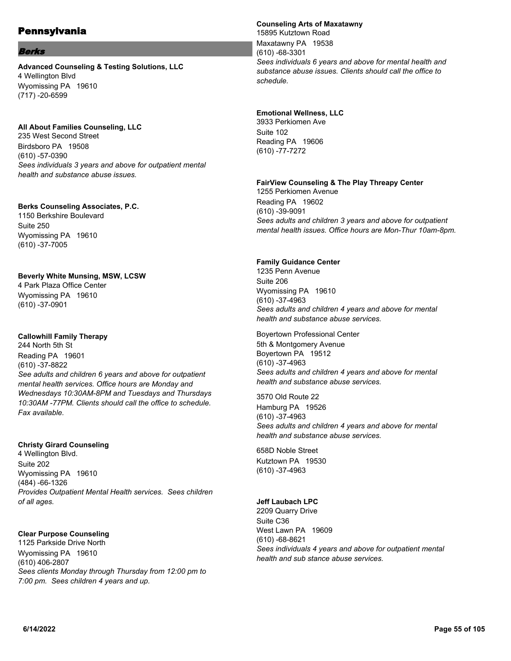#### **Berks**

**Advanced Counseling & Testing Solutions, LLC** 4 Wellington Blvd Wyomissing PA 19610 (717) -20-6599

#### **All About Families Counseling, LLC**

235 West Second Street Birdsboro PA 19508 (610) -57-0390 *Sees individuals 3 years and above for outpatient mental health and substance abuse issues.*

#### **Berks Counseling Associates, P.C.**

1150 Berkshire Boulevard Suite 250 Wyomissing PA 19610 (610) -37-7005

#### **Beverly White Munsing, MSW, LCSW**

4 Park Plaza Office Center Wyomissing PA 19610 (610) -37-0901

## **Callowhill Family Therapy**

244 North 5th St Reading PA 19601 (610) -37-8822 *See adults and children 6 years and above for outpatient mental health services. Office hours are Monday and Wednesdays 10:30AM-8PM and Tuesdays and Thursdays 10:30AM -77PM. Clients should call the office to schedule. Fax available.*

## **Christy Girard Counseling**

4 Wellington Blvd. Suite 202 Wyomissing PA 19610 (484) -66-1326 *Provides Outpatient Mental Health services. Sees children of all ages.*

## **Clear Purpose Counseling**

1125 Parkside Drive North Wyomissing PA 19610 (610) 406-2807 *Sees clients Monday through Thursday from 12:00 pm to 7:00 pm. Sees children 4 years and up.*

#### **Counseling Arts of Maxatawny**

15895 Kutztown Road Maxatawny PA 19538 (610) -68-3301 *Sees individuals 6 years and above for mental health and substance abuse issues. Clients should call the office to schedule.*

#### **Emotional Wellness, LLC**

3933 Perkiomen Ave Suite 102 Reading PA 19606 (610) -77-7272

#### **FairView Counseling & The Play Threapy Center**

1255 Perkiomen Avenue Reading PA 19602 (610) -39-9091 *Sees adults and children 3 years and above for outpatient mental health issues. Office hours are Mon-Thur 10am-8pm.*

#### **Family Guidance Center**

1235 Penn Avenue Suite 206 Wyomissing PA 19610 (610) -37-4963 *Sees adults and children 4 years and above for mental health and substance abuse services.*

Boyertown Professional Center 5th & Montgomery Avenue Boyertown PA 19512 (610) -37-4963 *Sees adults and children 4 years and above for mental health and substance abuse services.*

3570 Old Route 22 Hamburg PA 19526 (610) -37-4963 *Sees adults and children 4 years and above for mental health and substance abuse services.*

658D Noble Street Kutztown PA 19530 (610) -37-4963

## **Jeff Laubach LPC**

2209 Quarry Drive Suite C36 West Lawn PA 19609 (610) -68-8621 *Sees individuals 4 years and above for outpatient mental health and sub stance abuse services.*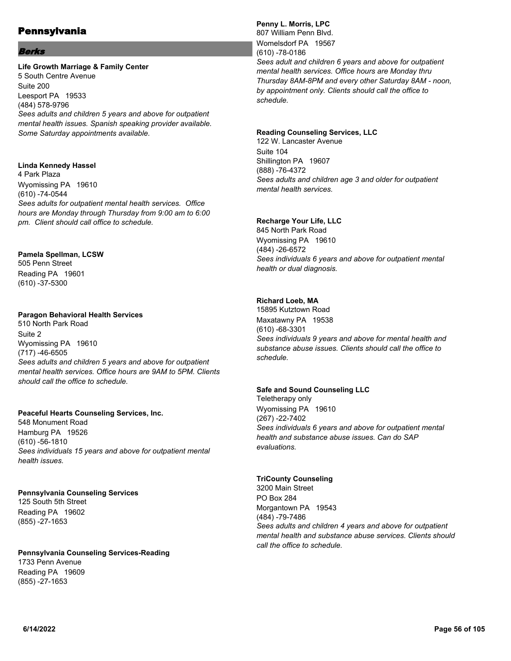#### **Berks**

#### **Life Growth Marriage & Family Center**

5 South Centre Avenue Suite 200 Leesport PA 19533 (484) 578-9796 *Sees adults and children 5 years and above for outpatient mental health issues. Spanish speaking provider available. Some Saturday appointments available.*

#### **Linda Kennedy Hassel**

4 Park Plaza Wyomissing PA 19610 (610) -74-0544 *Sees adults for outpatient mental health services. Office hours are Monday through Thursday from 9:00 am to 6:00 pm. Client should call office to schedule.*

## **Pamela Spellman, LCSW**

505 Penn Street Reading PA 19601 (610) -37-5300

## **Paragon Behavioral Health Services**

510 North Park Road Suite 2 Wyomissing PA 19610 (717) -46-6505 *Sees adults and children 5 years and above for outpatient mental health services. Office hours are 9AM to 5PM. Clients should call the office to schedule.*

## **Peaceful Hearts Counseling Services, Inc.**

548 Monument Road Hamburg PA 19526 (610) -56-1810 *Sees individuals 15 years and above for outpatient mental health issues.*

## **Pennsylvania Counseling Services**

125 South 5th Street Reading PA 19602 (855) -27-1653

#### **Pennsylvania Counseling Services-Reading** 1733 Penn Avenue Reading PA 19609 (855) -27-1653

## **Penny L. Morris, LPC**

807 William Penn Blvd. Womelsdorf PA 19567 (610) -78-0186 *Sees adult and children 6 years and above for outpatient mental health services. Office hours are Monday thru Thursday 8AM-8PM and every other Saturday 8AM - noon, by appointment only. Clients should call the office to schedule.*

#### **Reading Counseling Services, LLC**

122 W. Lancaster Avenue Suite 104 Shillington PA 19607 (888) -76-4372 *Sees adults and children age 3 and older for outpatient mental health services.*

## **Recharge Your Life, LLC**

845 North Park Road Wyomissing PA 19610 (484) -26-6572 *Sees individuals 6 years and above for outpatient mental health or dual diagnosis.*

## **Richard Loeb, MA**

15895 Kutztown Road Maxatawny PA 19538 (610) -68-3301 *Sees individuals 9 years and above for mental health and substance abuse issues. Clients should call the office to schedule.*

## **Safe and Sound Counseling LLC**

Teletherapy only Wyomissing PA 19610 (267) -22-7402 *Sees individuals 6 years and above for outpatient mental health and substance abuse issues. Can do SAP evaluations.*

#### **TriCounty Counseling**

3200 Main Street PO Box 284 Morgantown PA 19543 (484) -79-7486 *Sees adults and children 4 years and above for outpatient mental health and substance abuse services. Clients should call the office to schedule.*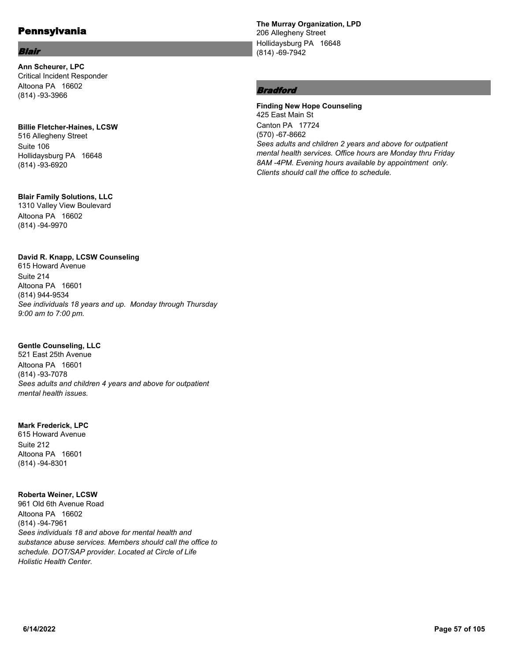#### Blair

**Ann Scheurer, LPC** Critical Incident Responder Altoona PA 16602 (814) -93-3966

#### **Billie Fletcher-Haines, LCSW**

516 Allegheny Street Suite 106 Hollidaysburg PA 16648 (814) -93-6920

## **Blair Family Solutions, LLC**

1310 Valley View Boulevard Altoona PA 16602 (814) -94-9970

## **David R. Knapp, LCSW Counseling**

615 Howard Avenue Suite 214 Altoona PA 16601 (814) 944-9534 *See individuals 18 years and up. Monday through Thursday 9:00 am to 7:00 pm.*

## **Gentle Counseling, LLC**

521 East 25th Avenue Altoona PA 16601 (814) -93-7078 *Sees adults and children 4 years and above for outpatient mental health issues.*

## **Mark Frederick, LPC**

615 Howard Avenue Suite 212 Altoona PA 16601 (814) -94-8301

## **Roberta Weiner, LCSW**

961 Old 6th Avenue Road Altoona PA 16602 (814) -94-7961 *Sees individuals 18 and above for mental health and substance abuse services. Members should call the office to schedule. DOT/SAP provider. Located at Circle of Life Holistic Health Center.*

**The Murray Organization, LPD** 206 Allegheny Street Hollidaysburg PA 16648 (814) -69-7942

## Bradford

**Finding New Hope Counseling** 425 East Main St Canton PA 17724 (570) -67-8662 *Sees adults and children 2 years and above for outpatient mental health services. Office hours are Monday thru Friday 8AM -4PM. Evening hours available by appointment only. Clients should call the office to schedule.*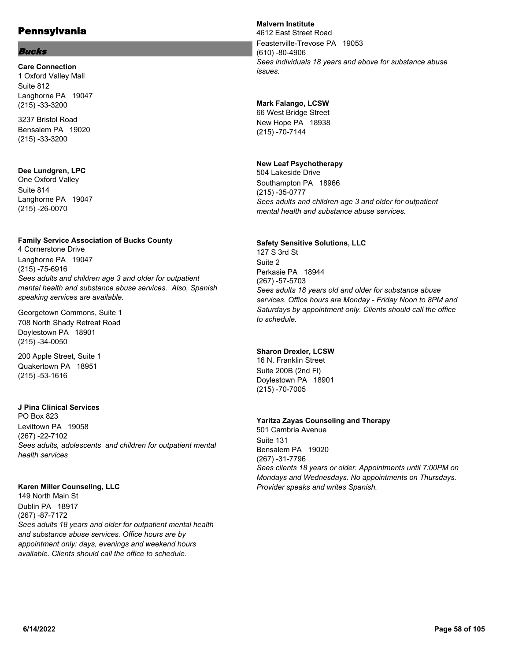#### Bucks

**Care Connection** 1 Oxford Valley Mall Suite 812 Langhorne PA 19047 (215) -33-3200

3237 Bristol Road Bensalem PA 19020 (215) -33-3200

## **Dee Lundgren, LPC**

One Oxford Valley Suite 814 Langhorne PA 19047 (215) -26-0070

## **Family Service Association of Bucks County**

4 Cornerstone Drive Langhorne PA 19047 (215) -75-6916 *Sees adults and children age 3 and older for outpatient mental health and substance abuse services. Also, Spanish speaking services are available.*

Georgetown Commons, Suite 1 708 North Shady Retreat Road Doylestown PA 18901 (215) -34-0050

200 Apple Street, Suite 1 Quakertown PA 18951 (215) -53-1616

## **J Pina Clinical Services**

PO Box 823 Levittown PA 19058 (267) -22-7102 *Sees adults, adolescents and children for outpatient mental health services*

## **Karen Miller Counseling, LLC**

149 North Main St Dublin PA 18917 (267) -87-7172 *Sees adults 18 years and older for outpatient mental health and substance abuse services. Office hours are by appointment only: days, evenings and weekend hours available. Clients should call the office to schedule.*

## **Malvern Institute**

4612 East Street Road Feasterville-Trevose PA 19053 (610) -80-4906 *Sees individuals 18 years and above for substance abuse issues.*

## **Mark Falango, LCSW**

66 West Bridge Street New Hope PA 18938 (215) -70-7144

## **New Leaf Psychotherapy**

504 Lakeside Drive Southampton PA 18966 (215) -35-0777 *Sees adults and children age 3 and older for outpatient mental health and substance abuse services.*

## **Safety Sensitive Solutions, LLC**

127 S 3rd St Suite 2 Perkasie PA 18944 (267) -57-5703 *Sees adults 18 years old and older for substance abuse services. Office hours are Monday - Friday Noon to 8PM and Saturdays by appointment only. Clients should call the office to schedule.*

## **Sharon Drexler, LCSW**

16 N. Franklin Street Suite 200B (2nd Fl) Doylestown PA 18901 (215) -70-7005

#### **Yaritza Zayas Counseling and Therapy**

501 Cambria Avenue Suite 131 Bensalem PA 19020 (267) -31-7796 *Sees clients 18 years or older. Appointments until 7:00PM on Mondays and Wednesdays. No appointments on Thursdays. Provider speaks and writes Spanish.*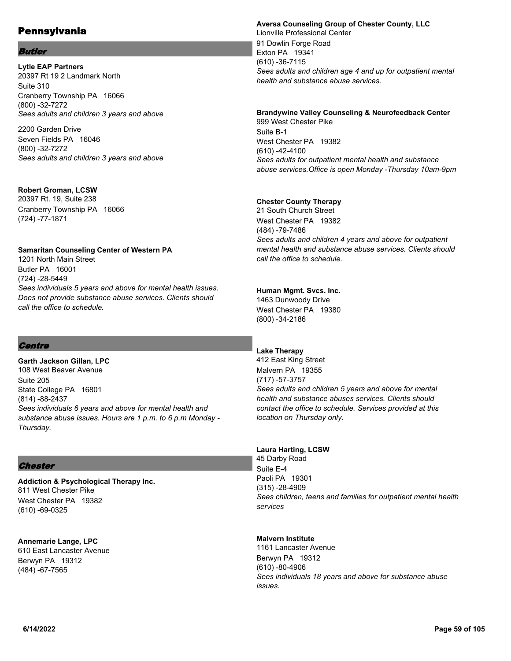#### Butler

**Lytle EAP Partners** 20397 Rt 19 2 Landmark North Suite 310 Cranberry Township PA 16066 (800) -32-7272 *Sees adults and children 3 years and above*

2200 Garden Drive Seven Fields PA 16046 (800) -32-7272 *Sees adults and children 3 years and above*

#### **Robert Groman, LCSW**

20397 Rt. 19, Suite 238 Cranberry Township PA 16066 (724) -77-1871

#### **Samaritan Counseling Center of Western PA**

1201 North Main Street Butler PA 16001 (724) -28-5449 *Sees individuals 5 years and above for mental health issues. Does not provide substance abuse services. Clients should call the office to schedule.*

## **Centre**

**Garth Jackson Gillan, LPC** 108 West Beaver Avenue Suite 205 State College PA 16801 (814) -88-2437 *Sees individuals 6 years and above for mental health and substance abuse issues. Hours are 1 p.m. to 6 p.m Monday - Thursday.*

## **Chester**

**Addiction & Psychological Therapy Inc.** 811 West Chester Pike West Chester PA 19382 (610) -69-0325

**Annemarie Lange, LPC** 610 East Lancaster Avenue Berwyn PA 19312 (484) -67-7565

#### **Aversa Counseling Group of Chester County, LLC** Lionville Professional Center 91 Dowlin Forge Road Exton PA 19341 (610) -36-7115 *Sees adults and children age 4 and up for outpatient mental health and substance abuse services.*

# **Brandywine Valley Counseling & Neurofeedback Center**

999 West Chester Pike Suite B-1 West Chester PA 19382 (610) -42-4100 *Sees adults for outpatient mental health and substance abuse services.Office is open Monday -Thursday 10am-9pm*

## **Chester County Therapy**

21 South Church Street West Chester PA 19382 (484) -79-7486 *Sees adults and children 4 years and above for outpatient mental health and substance abuse services. Clients should call the office to schedule.*

#### **Human Mgmt. Svcs. Inc.**

1463 Dunwoody Drive West Chester PA 19380 (800) -34-2186

## **Lake Therapy**

412 East King Street Malvern PA 19355 (717) -57-3757 *Sees adults and children 5 years and above for mental health and substance abuses services. Clients should contact the office to schedule. Services provided at this location on Thursday only.*

#### **Laura Harting, LCSW**

45 Darby Road Suite E-4 Paoli PA 19301 (315) -28-4909 *Sees children, teens and families for outpatient mental health services*

#### **Malvern Institute**

1161 Lancaster Avenue Berwyn PA 19312 (610) -80-4906 *Sees individuals 18 years and above for substance abuse issues.*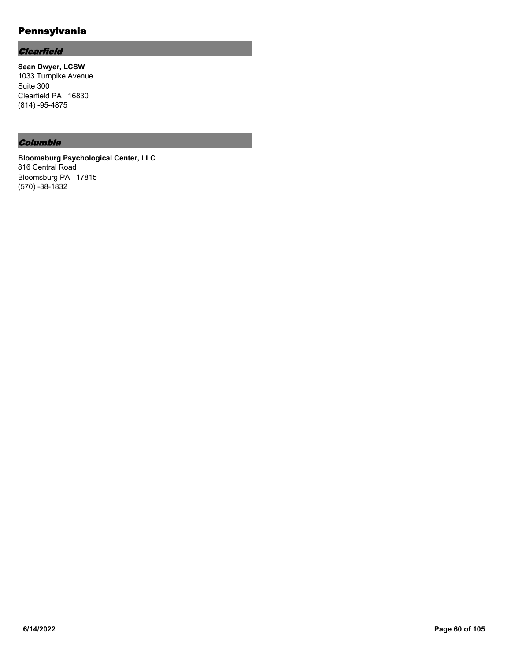# **Clearfield**

**Sean Dwyer, LCSW** 1033 Turnpike Avenue Suite 300 Clearfield PA 16830 (814) -95-4875

## Columbia

**Bloomsburg Psychological Center, LLC** 816 Central Road Bloomsburg PA 17815 (570) -38-1832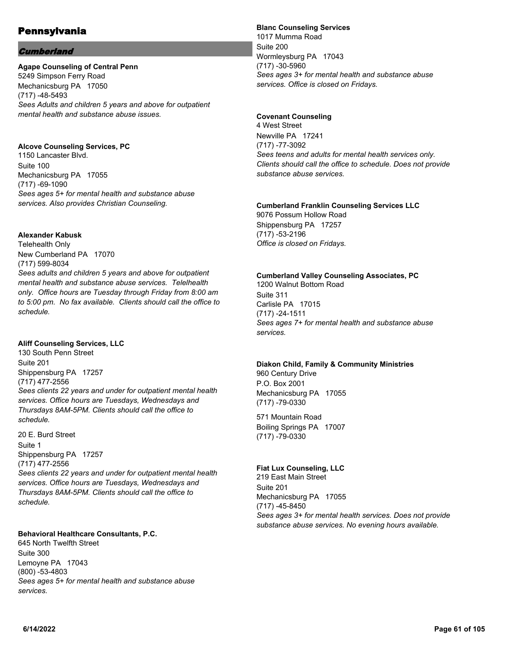## **Cumberland**

#### **Agape Counseling of Central Penn**

5249 Simpson Ferry Road Mechanicsburg PA 17050 (717) -48-5493 *Sees Adults and children 5 years and above for outpatient mental health and substance abuse issues.*

#### **Alcove Counseling Services, PC**

1150 Lancaster Blvd. Suite 100 Mechanicsburg PA 17055 (717) -69-1090 *Sees ages 5+ for mental health and substance abuse services. Also provides Christian Counseling.*

#### **Alexander Kabusk**

Telehealth Only New Cumberland PA 17070 (717) 599-8034 *Sees adults and children 5 years and above for outpatient mental health and substance abuse services. Telelhealth only. Office hours are Tuesday through Friday from 8:00 am to 5:00 pm. No fax available. Clients should call the office to schedule.*

## **Aliff Counseling Services, LLC**

130 South Penn Street Suite 201 Shippensburg PA 17257 (717) 477-2556 *Sees clients 22 years and under for outpatient mental health services. Office hours are Tuesdays, Wednesdays and Thursdays 8AM-5PM. Clients should call the office to schedule.*

20 E. Burd Street Suite 1 Shippensburg PA 17257 (717) 477-2556 *Sees clients 22 years and under for outpatient mental health services. Office hours are Tuesdays, Wednesdays and Thursdays 8AM-5PM. Clients should call the office to schedule.*

## **Behavioral Healthcare Consultants, P.C.**

645 North Twelfth Street Suite 300 Lemoyne PA 17043 (800) -53-4803 *Sees ages 5+ for mental health and substance abuse services.*

#### **Blanc Counseling Services**

1017 Mumma Road Suite 200 Wormleysburg PA 17043 (717) -30-5960 *Sees ages 3+ for mental health and substance abuse services. Office is closed on Fridays.*

#### **Covenant Counseling**

4 West Street Newville PA 17241 (717) -77-3092 *Sees teens and adults for mental health services only. Clients should call the office to schedule. Does not provide substance abuse services.*

## **Cumberland Franklin Counseling Services LLC**

9076 Possum Hollow Road Shippensburg PA 17257 (717) -53-2196 *Office is closed on Fridays.*

#### **Cumberland Valley Counseling Associates, PC**

1200 Walnut Bottom Road Suite 311 Carlisle PA 17015 (717) -24-1511 *Sees ages 7+ for mental health and substance abuse services.*

#### **Diakon Child, Family & Community Ministries**

960 Century Drive P.O. Box 2001 Mechanicsburg PA 17055 (717) -79-0330

571 Mountain Road Boiling Springs PA 17007 (717) -79-0330

#### **Fiat Lux Counseling, LLC**

219 East Main Street Suite 201 Mechanicsburg PA 17055 (717) -45-8450 *Sees ages 3+ for mental health services. Does not provide substance abuse services. No evening hours available.*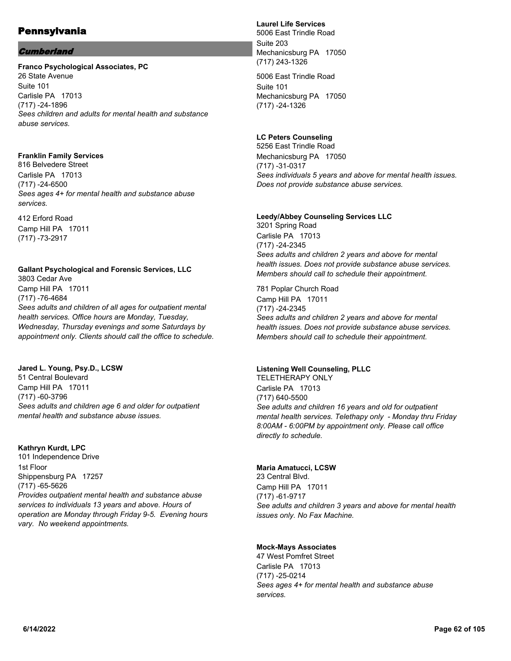## **Cumberland**

#### **Franco Psychological Associates, PC**

26 State Avenue Suite 101 Carlisle PA 17013 (717) -24-1896 *Sees children and adults for mental health and substance abuse services.*

## **Franklin Family Services**

816 Belvedere Street Carlisle PA 17013 (717) -24-6500 *Sees ages 4+ for mental health and substance abuse services.*

412 Erford Road Camp Hill PA 17011 (717) -73-2917

#### **Gallant Psychological and Forensic Services, LLC** 3803 Cedar Ave

Camp Hill PA 17011 (717) -76-4684 *Sees adults and children of all ages for outpatient mental health services. Office hours are Monday, Tuesday, Wednesday, Thursday evenings and some Saturdays by appointment only. Clients should call the office to schedule.*

#### **Jared L. Young, Psy.D., LCSW** 51 Central Boulevard Camp Hill PA 17011 (717) -60-3796 *Sees adults and children age 6 and older for outpatient*

*mental health and substance abuse issues.*

## **Kathryn Kurdt, LPC**

101 Independence Drive 1st Floor Shippensburg PA 17257 (717) -65-5626 *Provides outpatient mental health and substance abuse services to individuals 13 years and above. Hours of operation are Monday through Friday 9-5. Evening hours vary. No weekend appointments.*

## **Laurel Life Services**

5006 East Trindle Road Suite 203 Mechanicsburg PA 17050 (717) 243-1326

5006 East Trindle Road Suite 101 Mechanicsburg PA 17050 (717) -24-1326

## **LC Peters Counseling**

5256 East Trindle Road Mechanicsburg PA 17050 (717) -31-0317 *Sees individuals 5 years and above for mental health issues. Does not provide substance abuse services.*

## **Leedy/Abbey Counseling Services LLC**

3201 Spring Road Carlisle PA 17013 (717) -24-2345 *Sees adults and children 2 years and above for mental health issues. Does not provide substance abuse services. Members should call to schedule their appointment.*

781 Poplar Church Road Camp Hill PA 17011 (717) -24-2345 *Sees adults and children 2 years and above for mental health issues. Does not provide substance abuse services. Members should call to schedule their appointment.*

## **Listening Well Counseling, PLLC**

TELETHERAPY ONLY Carlisle PA 17013 (717) 640-5500 *See adults and children 16 years and old for outpatient mental health services. Telethapy only - Monday thru Friday 8:00AM - 6:00PM by appointment only. Please call office directly to schedule.*

## **Maria Amatucci, LCSW**

23 Central Blvd. Camp Hill PA 17011 (717) -61-9717 *See adults and children 3 years and above for mental health issues only. No Fax Machine.*

## **Mock-Mays Associates**

47 West Pomfret Street Carlisle PA 17013 (717) -25-0214 *Sees ages 4+ for mental health and substance abuse services.*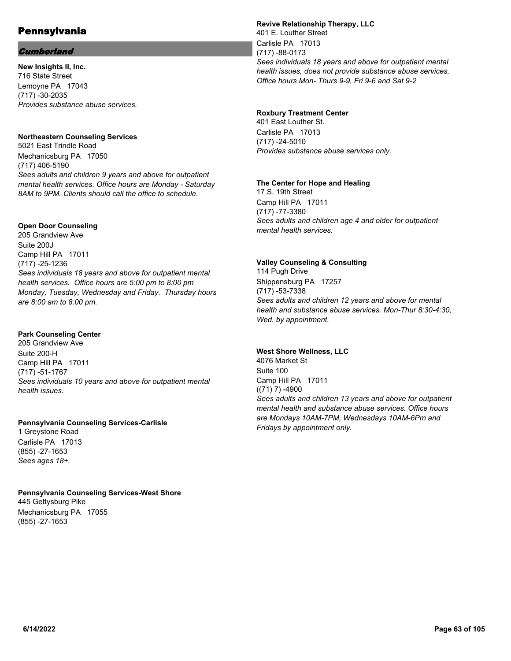## **Cumberland**

**New Insights II, Inc.** 716 State Street Lemoyne PA 17043 (717) -30-2035 *Provides substance abuse services.*

#### **Northeastern Counseling Services**

5021 East Trindle Road Mechanicsburg PA 17050 (717) 406-5190 *Sees adults and children 9 years and above for outpatient mental health services. Office hours are Monday - Saturday 8AM to 9PM. Clients should call the office to schedule.*

## **Open Door Counseling**

205 Grandview Ave Suite 200J Camp Hill PA 17011 (717) -25-1236 *Sees individuals 18 years and above for outpatient mental health services. Office hours are 5:00 pm to 8:00 pm Monday, Tuesday, Wednesday and Friday. Thursday hours are 8:00 am to 8:00 pm.*

#### **Park Counseling Center**

205 Grandview Ave Suite 200-H Camp Hill PA 17011 (717) -51-1767 *Sees individuals 10 years and above for outpatient mental health issues.*

#### **Pennsylvania Counseling Services-Carlisle**

1 Greystone Road Carlisle PA 17013 (855) -27-1653 *Sees ages 18+.*

**Pennsylvania Counseling Services-West Shore** 445 Gettysburg Pike Mechanicsburg PA 17055 (855) -27-1653

#### **Revive Relationship Therapy, LLC**

401 E. Louther Street Carlisle PA 17013 (717) -88-0173 *Sees individuals 18 years and above for outpatient mental health issues, does not provide substance abuse services. Office hours Mon- Thurs 9-9, Fri 9-6 and Sat 9-2*

## **Roxbury Treatment Center**

401 East Louther St. Carlisle PA 17013 (717) -24-5010 *Provides substance abuse services only.*

#### **The Center for Hope and Healing**

17 S. 19th Street Camp Hill PA 17011 (717) -77-3380 *Sees adults and children age 4 and older for outpatient mental health services.*

#### **Valley Counseling & Consulting**

114 Pugh Drive Shippensburg PA 17257 (717) -53-7338 *Sees adults and children 12 years and above for mental health and substance abuse services. Mon-Thur 8:30-4:30, Wed. by appointment.*

#### **West Shore Wellness, LLC**

4076 Market St Suite 100 Camp Hill PA 17011  $((71) 7) - 4900$ *Sees adults and children 13 years and above for outpatient mental health and substance abuse services. Office hours are Mondays 10AM-7PM, Wednesdays 10AM-6Pm and Fridays by appointment only.*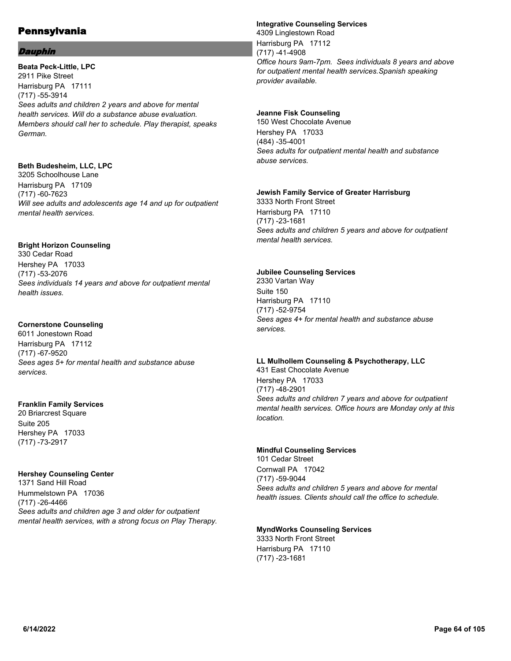#### Dauphin

**Beata Peck-Little, LPC** 2911 Pike Street Harrisburg PA 17111 (717) -55-3914 *Sees adults and children 2 years and above for mental health services. Will do a substance abuse evaluation. Members should call her to schedule. Play therapist, speaks German.*

#### **Beth Budesheim, LLC, LPC**

3205 Schoolhouse Lane Harrisburg PA 17109 (717) -60-7623 *Will see adults and adolescents age 14 and up for outpatient mental health services.*

## **Bright Horizon Counseling**

330 Cedar Road Hershey PA 17033 (717) -53-2076 *Sees individuals 14 years and above for outpatient mental health issues.*

## **Cornerstone Counseling**

6011 Jonestown Road Harrisburg PA 17112 (717) -67-9520 *Sees ages 5+ for mental health and substance abuse services.*

## **Franklin Family Services**

20 Briarcrest Square Suite 205 Hershey PA 17033 (717) -73-2917

## **Hershey Counseling Center**

1371 Sand Hill Road Hummelstown PA 17036 (717) -26-4466 *Sees adults and children age 3 and older for outpatient mental health services, with a strong focus on Play Therapy.*

#### **Integrative Counseling Services**

4309 Linglestown Road Harrisburg PA 17112 (717) -41-4908 *Office hours 9am-7pm. Sees individuals 8 years and above for outpatient mental health services.Spanish speaking provider available.*

## **Jeanne Fisk Counseling**

150 West Chocolate Avenue Hershey PA 17033 (484) -35-4001 *Sees adults for outpatient mental health and substance abuse services.*

#### **Jewish Family Service of Greater Harrisburg**

3333 North Front Street Harrisburg PA 17110 (717) -23-1681 *Sees adults and children 5 years and above for outpatient mental health services.*

#### **Jubilee Counseling Services**

2330 Vartan Way Suite 150 Harrisburg PA 17110 (717) -52-9754 *Sees ages 4+ for mental health and substance abuse services.*

#### **LL Mulhollem Counseling & Psychotherapy, LLC** 431 East Chocolate Avenue

Hershey PA 17033 (717) -48-2901 *Sees adults and children 7 years and above for outpatient mental health services. Office hours are Monday only at this location.*

## **Mindful Counseling Services**

101 Cedar Street Cornwall PA 17042 (717) -59-9044 *Sees adults and children 5 years and above for mental health issues. Clients should call the office to schedule.*

## **MyndWorks Counseling Services**

3333 North Front Street Harrisburg PA 17110 (717) -23-1681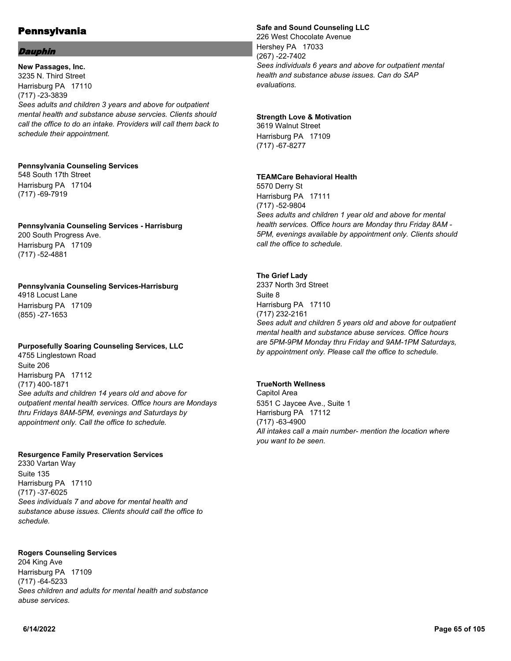#### Dauphin

**New Passages, Inc.** 3235 N. Third Street Harrisburg PA 17110 (717) -23-3839 *Sees adults and children 3 years and above for outpatient mental health and substance abuse servcies. Clients should call the office to do an intake. Providers will call them back to schedule their appointment.*

#### **Pennsylvania Counseling Services** 548 South 17th Street Harrisburg PA 17104 (717) -69-7919

**Pennsylvania Counseling Services - Harrisburg** 200 South Progress Ave. Harrisburg PA 17109 (717) -52-4881

**Pennsylvania Counseling Services-Harrisburg** 4918 Locust Lane Harrisburg PA 17109 (855) -27-1653

## **Purposefully Soaring Counseling Services, LLC**

4755 Linglestown Road Suite 206 Harrisburg PA 17112 (717) 400-1871 *See adults and children 14 years old and above for outpatient mental health services. Office hours are Mondays thru Fridays 8AM-5PM, evenings and Saturdays by appointment only. Call the office to schedule.*

## **Resurgence Family Preservation Services**

2330 Vartan Way Suite 135 Harrisburg PA 17110 (717) -37-6025 *Sees individuals 7 and above for mental health and substance abuse issues. Clients should call the office to schedule.*

**Rogers Counseling Services** 204 King Ave Harrisburg PA 17109 (717) -64-5233 *Sees children and adults for mental health and substance abuse services.*

## **Safe and Sound Counseling LLC**

226 West Chocolate Avenue Hershey PA 17033 (267) -22-7402 *Sees individuals 6 years and above for outpatient mental health and substance abuse issues. Can do SAP evaluations.*

#### **Strength Love & Motivation**

3619 Walnut Street Harrisburg PA 17109 (717) -67-8277

#### **TEAMCare Behavioral Health**

5570 Derry St Harrisburg PA 17111 (717) -52-9804 *Sees adults and children 1 year old and above for mental health services. Office hours are Monday thru Friday 8AM - 5PM, evenings available by appointment only. Clients should call the office to schedule.*

#### **The Grief Lady**

2337 North 3rd Street Suite 8 Harrisburg PA 17110 (717) 232-2161 *Sees adult and children 5 years old and above for outpatient mental health and substance abuse services. Office hours are 5PM-9PM Monday thru Friday and 9AM-1PM Saturdays, by appointment only. Please call the office to schedule.*

#### **TrueNorth Wellness**

Capitol Area 5351 C Jaycee Ave., Suite 1 Harrisburg PA 17112 (717) -63-4900 *All intakes call a main number- mention the location where you want to be seen.*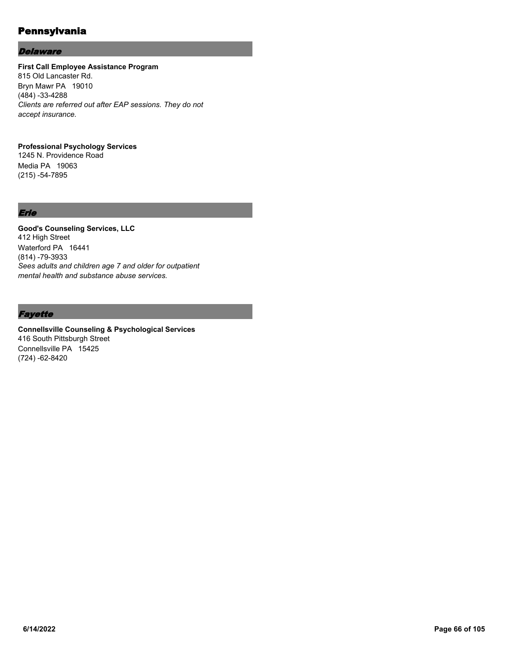#### **Delaware**

# **First Call Employee Assistance Program**

815 Old Lancaster Rd. Bryn Mawr PA 19010 (484) -33-4288 *Clients are referred out after EAP sessions. They do not accept insurance.*

#### **Professional Psychology Services**

1245 N. Providence Road Media PA 19063 (215) -54-7895

## Erie

**Good's Counseling Services, LLC** 412 High Street Waterford PA 16441 (814) -79-3933 *Sees adults and children age 7 and older for outpatient mental health and substance abuse services.*

## **Fayette**

**Connellsville Counseling & Psychological Services** 416 South Pittsburgh Street Connellsville PA 15425 (724) -62-8420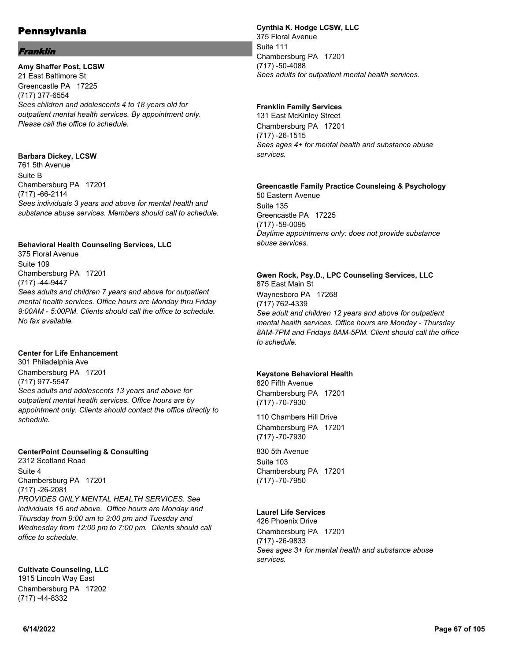## Franklin

**Amy Shaffer Post, LCSW** 21 East Baltimore St Greencastle PA 17225 (717) 377-6554 *Sees children and adolescents 4 to 18 years old for outpatient mental health services. By appointment only. Please call the office to schedule.*

#### **Barbara Dickey, LCSW** 761 5th Avenue Suite B Chambersburg PA 17201 (717) -66-2114 *Sees individuals 3 years and above for mental health and substance abuse services. Members should call to schedule.*

#### **Behavioral Health Counseling Services, LLC**

375 Floral Avenue Suite 109 Chambersburg PA 17201 (717) -44-9447 *Sees adults and children 7 years and above for outpatient mental health services. Office hours are Monday thru Friday 9:00AM - 5:00PM. Clients should call the office to schedule. No fax available.*

#### **Center for Life Enhancement**

301 Philadelphia Ave Chambersburg PA 17201 (717) 977-5547 *Sees adults and adolescents 13 years and above for outpatient mental heatlh services. Office hours are by appointment only. Clients should contact the office directly to schedule.*

#### **CenterPoint Counseling & Consulting**

2312 Scotland Road Suite 4 Chambersburg PA 17201 (717) -26-2081 *PROVIDES ONLY MENTAL HEALTH SERVICES. See individuals 16 and above. Office hours are Monday and Thursday from 9:00 am to 3:00 pm and Tuesday and Wednesday from 12:00 pm to 7:00 pm. Clients should call office to schedule.*

#### **Cultivate Counseling, LLC** 1915 Lincoln Way East

Chambersburg PA 17202 (717) -44-8332

## **Cynthia K. Hodge LCSW, LLC**

375 Floral Avenue Suite 111 Chambersburg PA 17201 (717) -50-4088 *Sees adults for outpatient mental health services.*

#### **Franklin Family Services**

131 East McKinley Street Chambersburg PA 17201 (717) -26-1515 *Sees ages 4+ for mental health and substance abuse services.*

## **Greencastle Family Practice Counsleing & Psychology**

50 Eastern Avenue Suite 135 Greencastle PA 17225 (717) -59-0095 *Daytime appointmens only: does not provide substance abuse services.*

## **Gwen Rock, Psy.D., LPC Counseling Services, LLC**

875 East Main St Waynesboro PA 17268 (717) 762-4339 *See adult and children 12 years and above for outpatient mental health services. Office hours are Monday - Thursday 8AM-7PM and Fridays 8AM-5PM. Client should call the office to schedule.*

#### **Keystone Behavioral Health**

820 Fifth Avenue Chambersburg PA 17201 (717) -70-7930

110 Chambers Hill Drive Chambersburg PA 17201 (717) -70-7930

830 5th Avenue Suite 103 Chambersburg PA 17201 (717) -70-7950

## **Laurel Life Services**

426 Phoenix Drive Chambersburg PA 17201 (717) -26-9833 *Sees ages 3+ for mental health and substance abuse services.*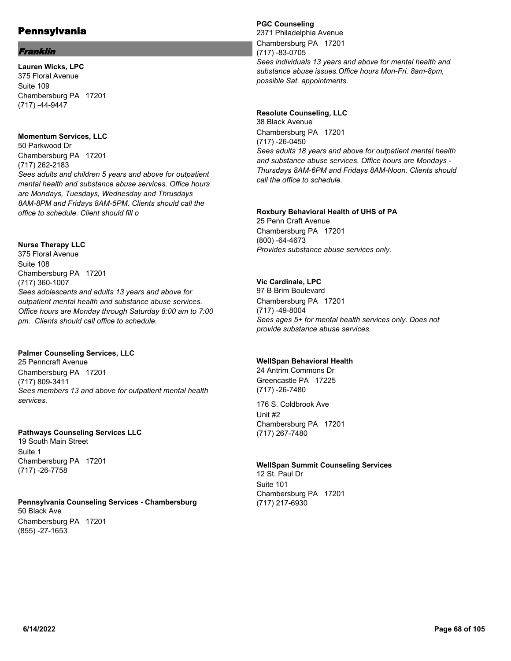## Franklin

**Lauren Wicks, LPC** 375 Floral Avenue Suite 109 Chambersburg PA 17201 (717) -44-9447

## **Momentum Services, LLC**

50 Parkwood Dr Chambersburg PA 17201 (717) 262-2183 *Sees adults and children 5 years and above for outpatient mental health and substance abuse services. Office hours are Mondays, Tuesdays, Wednesday and Thrusdays 8AM-8PM and Fridays 8AM-5PM. Clients should call the office to schedule. Client should fill o*

## **Nurse Therapy LLC**

375 Floral Avenue Suite 108 Chambersburg PA 17201 (717) 360-1007 *Sees adolescents and adults 13 years and above for outpatient mental health and substance abuse services. Office hours are Monday through Saturday 8:00 am to 7:00 pm. Clients should call office to schedule.*

## **Palmer Counseling Services, LLC**

25 Penncraft Avenue Chambersburg PA 17201 (717) 809-3411 *Sees members 13 and above for outpatient mental health services.*

## **Pathways Counseling Services LLC**

19 South Main Street Suite 1 Chambersburg PA 17201 (717) -26-7758

#### **Pennsylvania Counseling Services - Chambersburg** 50 Black Ave Chambersburg PA 17201 (855) -27-1653

## **PGC Counseling**

2371 Philadelphia Avenue Chambersburg PA 17201 (717) -83-0705 *Sees individuals 13 years and above for mental health and substance abuse issues.Office hours Mon-Fri. 8am-8pm, possible Sat. appointments.*

## **Resolute Counseling, LLC**

38 Black Avenue Chambersburg PA 17201 (717) -26-0450 *Sees adults 18 years and above for outpatient mental health and substance abuse services. Office hours are Mondays - Thursdays 8AM-6PM and Fridays 8AM-Noon. Clients should call the office to schedule.*

## **Roxbury Behavioral Health of UHS of PA**

25 Penn Craft Avenue Chambersburg PA 17201 (800) -64-4673 *Provides substance abuse services only.*

## **Vic Cardinale, LPC**

97 B Brim Boulevard Chambersburg PA 17201 (717) -49-8004 *Sees ages 5+ for mental health services only. Does not provide substance abuse services.*

## **WellSpan Behavioral Health**

24 Antrim Commons Dr Greencastle PA 17225 (717) -26-7480

176 S. Coldbrook Ave Unit #2 Chambersburg PA 17201 (717) 267-7480

## **WellSpan Summit Counseling Services**

12 St. Paul Dr Suite 101 Chambersburg PA 17201 (717) 217-6930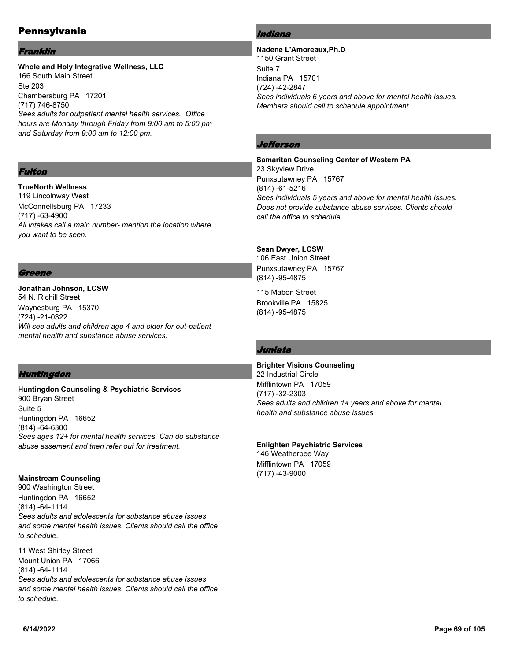#### Franklin

#### **Whole and Holy Integrative Wellness, LLC** 166 South Main Street Ste 203 Chambersburg PA 17201 (717) 746-8750 *Sees adults for outpatient mental health services. Office hours are Monday through Friday from 9:00 am to 5:00 pm and Saturday from 9:00 am to 12:00 pm.*

#### Fulton

**TrueNorth Wellness** 119 Lincolnway West McConnellsburg PA 17233 (717) -63-4900 *All intakes call a main number- mention the location where you want to be seen.*

#### Greene

#### **Jonathan Johnson, LCSW** 54 N. Richill Street Waynesburg PA 15370 (724) -21-0322 *Will see adults and children age 4 and older for out-patient mental health and substance abuse services.*

## Huntingdon

**Huntingdon Counseling & Psychiatric Services** 900 Bryan Street Suite 5 Huntingdon PA 16652 (814) -64-6300 *Sees ages 12+ for mental health services. Can do substance abuse assement and then refer out for treatment.*

## **Mainstream Counseling**

900 Washington Street Huntingdon PA 16652 (814) -64-1114 *Sees adults and adolescents for substance abuse issues and some mental health issues. Clients should call the office to schedule.*

11 West Shirley Street Mount Union PA 17066 (814) -64-1114 *Sees adults and adolescents for substance abuse issues and some mental health issues. Clients should call the office to schedule.*

## Indiana

**Nadene L'Amoreaux,Ph.D** 1150 Grant Street Suite 7 Indiana PA 15701 (724) -42-2847 *Sees individuals 6 years and above for mental health issues. Members should call to schedule appointment.*

## *Jefferson*

**Samaritan Counseling Center of Western PA** 23 Skyview Drive Punxsutawney PA 15767 (814) -61-5216 *Sees individuals 5 years and above for mental health issues. Does not provide substance abuse services. Clients should call the office to schedule.*

## **Sean Dwyer, LCSW**

106 East Union Street Punxsutawney PA 15767 (814) -95-4875

115 Mabon Street Brookville PA 15825 (814) -95-4875

## Juniata

#### **Brighter Visions Counseling**

22 Industrial Circle Mifflintown PA 17059 (717) -32-2303 *Sees adults and children 14 years and above for mental health and substance abuse issues.*

## **Enlighten Psychiatric Services**

146 Weatherbee Way Mifflintown PA 17059 (717) -43-9000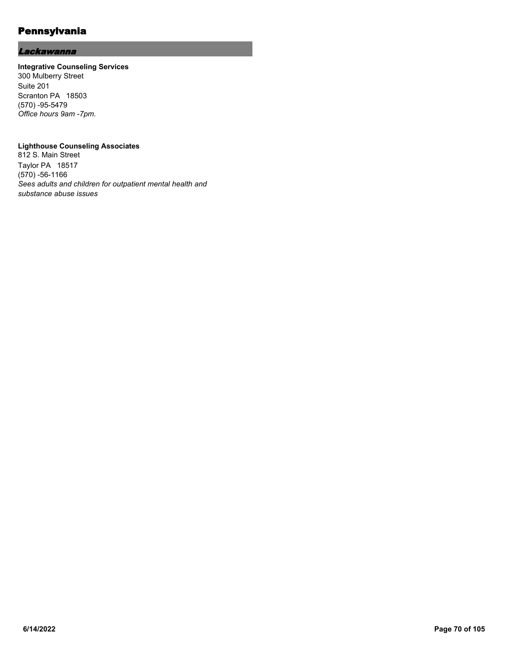## **Lackawanna**

#### **Integrative Counseling Services**

300 Mulberry Street Suite 201 Scranton PA 18503 (570) -95-5479 *Office hours 9am -7pm.*

#### **Lighthouse Counseling Associates**

812 S. Main Street Taylor PA 18517 (570) -56-1166 *Sees adults and children for outpatient mental health and substance abuse issues*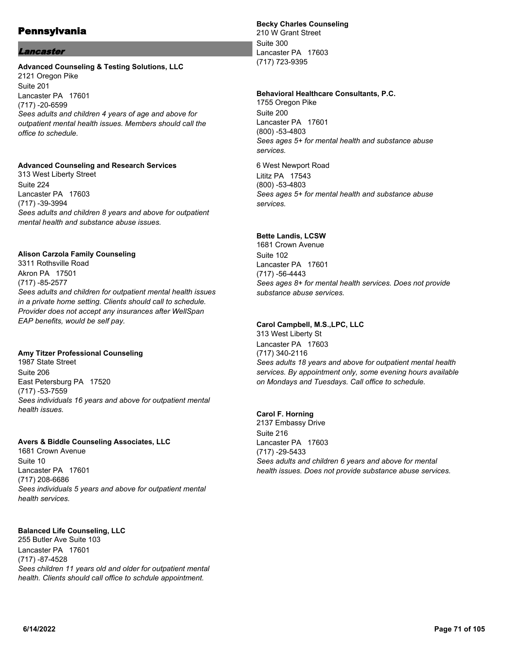#### Lancaster

#### **Advanced Counseling & Testing Solutions, LLC** 2121 Oregon Pike Suite 201 Lancaster PA 17601 (717) -20-6599 *Sees adults and children 4 years of age and above for outpatient mental health issues. Members should call the office to schedule.*

#### **Advanced Counseling and Research Services**

313 West Liberty Street Suite 224 Lancaster PA 17603 (717) -39-3994 *Sees adults and children 8 years and above for outpatient mental health and substance abuse issues.*

#### **Alison Carzola Family Counseling**

3311 Rothsville Road Akron PA 17501 (717) -85-2577 *Sees adults and children for outpatient mental health issues in a private home setting. Clients should call to schedule. Provider does not accept any insurances after WellSpan EAP benefits, would be self pay.*

#### **Amy Titzer Professional Counseling**

1987 State Street Suite 206 East Petersburg PA 17520 (717) -53-7559 *Sees individuals 16 years and above for outpatient mental health issues.*

## **Avers & Biddle Counseling Associates, LLC**

1681 Crown Avenue Suite 10 Lancaster PA 17601 (717) 208-6686 *Sees individuals 5 years and above for outpatient mental health services.*

## **Balanced Life Counseling, LLC**

255 Butler Ave Suite 103 Lancaster PA 17601 (717) -87-4528 *Sees children 11 years old and older for outpatient mental health. Clients should call office to schdule appointment.*

#### **Becky Charles Counseling**

210 W Grant Street Suite 300 Lancaster PA 17603 (717) 723-9395

#### **Behavioral Healthcare Consultants, P.C.**

1755 Oregon Pike Suite 200 Lancaster PA 17601 (800) -53-4803 *Sees ages 5+ for mental health and substance abuse services.*

6 West Newport Road Lititz PA 17543 (800) -53-4803 *Sees ages 5+ for mental health and substance abuse services.*

#### **Bette Landis, LCSW**

1681 Crown Avenue Suite 102 Lancaster PA 17601 (717) -56-4443 *Sees ages 8+ for mental health services. Does not provide substance abuse services.*

## **Carol Campbell, M.S.,LPC, LLC**

313 West Liberty St Lancaster PA 17603 (717) 340-2116 *Sees adults 18 years and above for outpatient mental health services. By appointment only, some evening hours available on Mondays and Tuesdays. Call office to schedule.*

#### **Carol F. Horning**

2137 Embassy Drive Suite 216 Lancaster PA 17603 (717) -29-5433 *Sees adults and children 6 years and above for mental health issues. Does not provide substance abuse services.*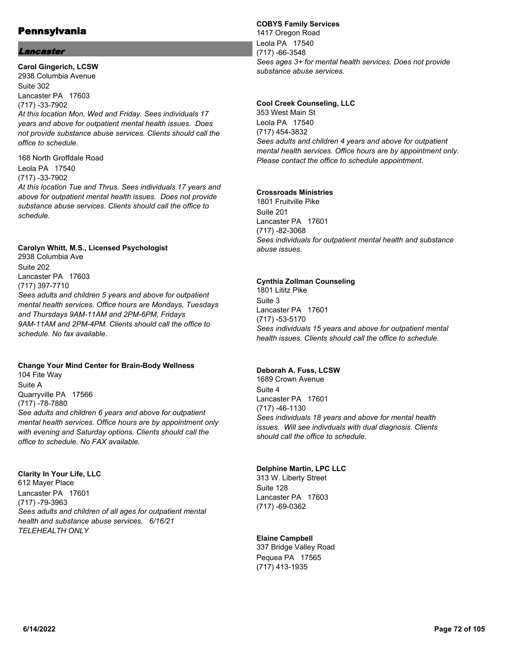## Lancaster

**Carol Gingerich, LCSW** 2938 Columbia Avenue Suite 302 Lancaster PA 17603 (717) -33-7902 *At this location Mon, Wed and Friday. Sees individuals 17 years and above for outpatient mental health issues. Does not provide substance abuse services. Clients should call the office to schedule.*

168 North Groffdale Road Leola PA 17540 (717) -33-7902 *At this location Tue and Thrus. Sees individuals 17 years and above for outpatient mental health issues. Does not provide substance abuse services. Clients should call the office to schedule.*

#### **Carolyn Whitt, M.S., Licensed Psychologist**

2938 Columbia Ave Suite 202 Lancaster PA 17603 (717) 397-7710 *Sees adults and children 5 years and above for outpatient mental health services. Office hours are Mondays, Tuesdays and Thursdays 9AM-11AM and 2PM-6PM, Fridays 9AM-11AM and 2PM-4PM. Clients should call the office to schedule. No fax available.*

## **Change Your Mind Center for Brain-Body Wellness**

104 Fite Way Suite A Quarryville PA 17566 (717) -78-7880 *See adults and children 6 years and above for outpatient mental health services. Office hours are by appointment only with evening and Saturday options. Clients should call the office to schedule. No FAX available.*

**Clarity In Your Life, LLC** 612 Mayer Place Lancaster PA 17601 (717) -79-3963 *Sees adults and children of all ages for outpatient mental health and substance abuse services. 6/16/21 TELEHEALTH ONLY*

#### **COBYS Family Services**

1417 Oregon Road Leola PA 17540 (717) -66-3548 *Sees ages 3+ for mental health services. Does not provide substance abuse services.*

#### **Cool Creek Counseling, LLC**

353 West Main St Leola PA 17540 (717) 454-3832 *Sees adults and children 4 years and above for outpatient mental health services. Office hours are by appointment only. Please contact the office to schedule appointment.*

## **Crossroads Ministries**

1801 Fruitville Pike Suite 201 Lancaster PA 17601 (717) -82-3068 *Sees individuals for outpatient mental health and substance abuse issues.*

#### **Cynthia Zollman Counseling**

1801 Lititz Pike Suite 3 Lancaster PA 17601 (717) -53-5170 *Sees individuals 15 years and above for outpatient mental health issues. Clients should call the office to schedule.*

#### **Deborah A. Fuss, LCSW**

1689 Crown Avenue Suite 4 Lancaster PA 17601 (717) -46-1130 *Sees individuals 18 years and above for mental health issues. Will see indivduals with dual diagnosis. Clients should call the office to schedule.*

#### **Delphine Martin, LPC LLC**

313 W. Liberty Street Suite 128 Lancaster PA 17603 (717) -69-0362

## **Elaine Campbell**

337 Bridge Valley Road Pequea PA 17565 (717) 413-1935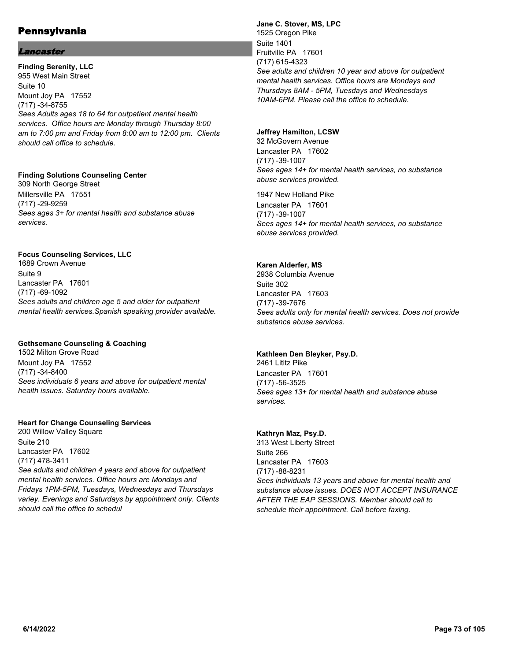## Lancaster

**Finding Serenity, LLC** 955 West Main Street Suite 10 Mount Joy PA 17552 (717) -34-8755 *Sees Adults ages 18 to 64 for outpatient mental health services. Office hours are Monday through Thursday 8:00 am to 7:00 pm and Friday from 8:00 am to 12:00 pm. Clients should call office to schedule.*

#### **Finding Solutions Counseling Center**

309 North George Street Millersville PA 17551 (717) -29-9259 *Sees ages 3+ for mental health and substance abuse services.*

#### **Focus Counseling Services, LLC**

1689 Crown Avenue Suite 9 Lancaster PA 17601 (717) -69-1092 *Sees adults and children age 5 and older for outpatient mental health services.Spanish speaking provider available.*

## **Gethsemane Counseling & Coaching**

1502 Milton Grove Road Mount Joy PA 17552 (717) -34-8400 *Sees individuals 6 years and above for outpatient mental health issues. Saturday hours available.*

#### **Heart for Change Counseling Services**

200 Willow Valley Square Suite 210 Lancaster PA 17602 (717) 478-3411 *See adults and children 4 years and above for outpatient mental health services. Office hours are Mondays and Fridays 1PM-5PM, Tuesdays, Wednesdays and Thursdays variey. Evenings and Saturdays by appointment only. Clients should call the office to schedul*

**Jane C. Stover, MS, LPC** 1525 Oregon Pike Suite 1401 Fruitville PA 17601 (717) 615-4323 *See adults and children 10 year and above for outpatient mental health services. Office hours are Mondays and Thursdays 8AM - 5PM, Tuesdays and Wednesdays 10AM-6PM. Please call the office to schedule.*

#### **Jeffrey Hamilton, LCSW**

32 McGovern Avenue Lancaster PA 17602 (717) -39-1007 *Sees ages 14+ for mental health services, no substance abuse services provided.*

1947 New Holland Pike Lancaster PA 17601 (717) -39-1007 *Sees ages 14+ for mental health services, no substance abuse services provided.*

#### **Karen Alderfer, MS**

2938 Columbia Avenue Suite 302 Lancaster PA 17603 (717) -39-7676 *Sees adults only for mental health services. Does not provide substance abuse services.*

#### **Kathleen Den Bleyker, Psy.D.**

2461 Lititz Pike Lancaster PA 17601 (717) -56-3525 *Sees ages 13+ for mental health and substance abuse services.*

## **Kathryn Maz, Psy.D.**

313 West Liberty Street Suite 266 Lancaster PA 17603 (717) -88-8231 *Sees individuals 13 years and above for mental health and substance abuse issues. DOES NOT ACCEPT INSURANCE AFTER THE EAP SESSIONS. Member should call to schedule their appointment. Call before faxing.*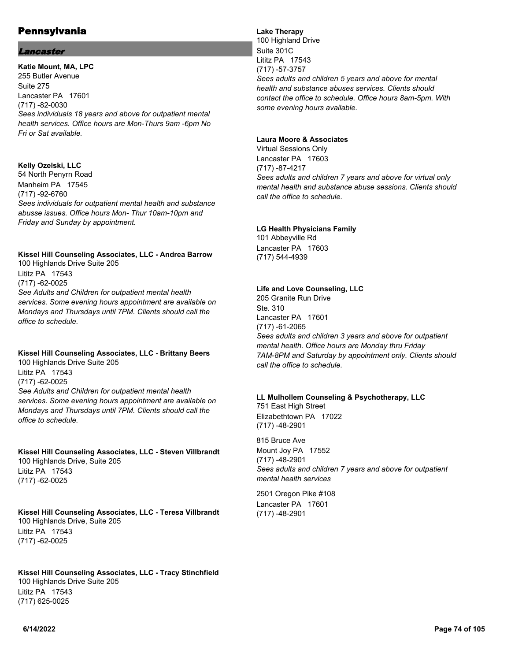#### Lancaster

**Katie Mount, MA, LPC** 255 Butler Avenue Suite 275 Lancaster PA 17601 (717) -82-0030 *Sees individuals 18 years and above for outpatient mental health services. Office hours are Mon-Thurs 9am -6pm No Fri or Sat available.*

## **Kelly Ozelski, LLC**

54 North Penyrn Road Manheim PA 17545 (717) -92-6760 *Sees individuals for outpatient mental health and substance abusse issues. Office hours Mon- Thur 10am-10pm and Friday and Sunday by appointment.*

## **Kissel Hill Counseling Associates, LLC - Andrea Barrow**

100 Highlands Drive Suite 205 Lititz PA 17543 (717) -62-0025 *See Adults and Children for outpatient mental health services. Some evening hours appointment are available on Mondays and Thursdays until 7PM. Clients should call the office to schedule.*

## **Kissel Hill Counseling Associates, LLC - Brittany Beers**

100 Highlands Drive Suite 205 Lititz PA 17543 (717) -62-0025 *See Adults and Children for outpatient mental health services. Some evening hours appointment are available on Mondays and Thursdays until 7PM. Clients should call the office to schedule.*

## **Kissel Hill Counseling Associates, LLC - Steven Villbrandt**

100 Highlands Drive, Suite 205 Lititz PA 17543 (717) -62-0025

# **Kissel Hill Counseling Associates, LLC - Teresa Villbrandt**

100 Highlands Drive, Suite 205 Lititz PA 17543 (717) -62-0025

# **Kissel Hill Counseling Associates, LLC - Tracy Stinchfield**

100 Highlands Drive Suite 205 Lititz PA 17543 (717) 625-0025

# **Lake Therapy**

100 Highland Drive Suite 301C Lititz PA 17543 (717) -57-3757 *Sees adults and children 5 years and above for mental health and substance abuses services. Clients should contact the office to schedule. Office hours 8am-5pm. With some evening hours available.*

#### **Laura Moore & Associates**

Virtual Sessions Only Lancaster PA 17603 (717) -87-4217 *Sees adults and children 7 years and above for virtual only mental health and substance abuse sessions. Clients should call the office to schedule.*

#### **LG Health Physicians Family**

101 Abbeyville Rd Lancaster PA 17603 (717) 544-4939

# **Life and Love Counseling, LLC**

205 Granite Run Drive Ste. 310 Lancaster PA 17601 (717) -61-2065 *Sees adults and children 3 years and above for outpatient mental health. Office hours are Monday thru Friday 7AM-8PM and Saturday by appointment only. Clients should call the office to schedule.*

#### **LL Mulhollem Counseling & Psychotherapy, LLC** 751 East High Street Elizabethtown PA 17022

(717) -48-2901

815 Bruce Ave Mount Joy PA 17552 (717) -48-2901 *Sees adults and children 7 years and above for outpatient mental health services*

2501 Oregon Pike #108 Lancaster PA 17601 (717) -48-2901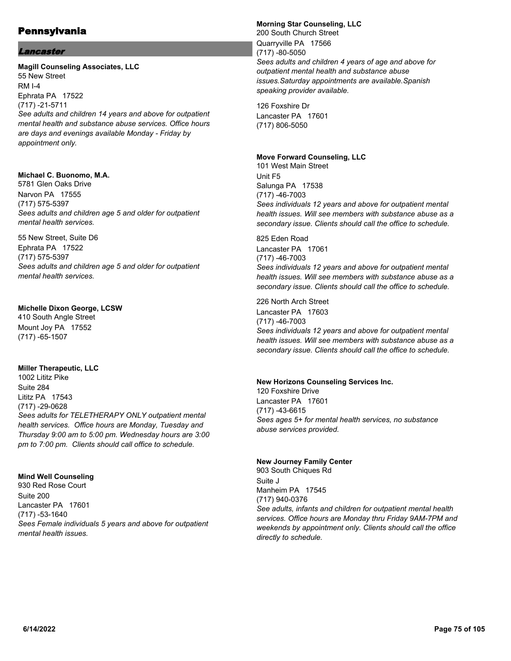## Lancaster

#### **Magill Counseling Associates, LLC** 55 New Street

RM I-4 Ephrata PA 17522 (717) -21-5711 *See adults and children 14 years and above for outpatient mental health and substance abuse services. Office hours are days and evenings available Monday - Friday by appointment only.*

#### **Michael C. Buonomo, M.A.**

5781 Glen Oaks Drive Narvon PA 17555 (717) 575-5397 *Sees adults and children age 5 and older for outpatient mental health services.*

55 New Street, Suite D6 Ephrata PA 17522 (717) 575-5397 *Sees adults and children age 5 and older for outpatient mental health services.*

#### **Michelle Dixon George, LCSW**

410 South Angle Street Mount Joy PA 17552 (717) -65-1507

## **Miller Therapeutic, LLC**

1002 Lititz Pike Suite 284 Lititz PA 17543 (717) -29-0628 *Sees adults for TELETHERAPY ONLY outpatient mental health services. Office hours are Monday, Tuesday and Thursday 9:00 am to 5:00 pm. Wednesday hours are 3:00 pm to 7:00 pm. Clients should call office to schedule.*

## **Mind Well Counseling**

930 Red Rose Court Suite 200 Lancaster PA 17601 (717) -53-1640 *Sees Female individuals 5 years and above for outpatient mental health issues.*

#### **Morning Star Counseling, LLC** 200 South Church Street Quarryville PA 17566 (717) -80-5050 *Sees adults and children 4 years of age and above for outpatient mental health and substance abuse issues.Saturday appointments are available.Spanish speaking provider available.*

126 Foxshire Dr Lancaster PA 17601 (717) 806-5050

#### **Move Forward Counseling, LLC**

101 West Main Street Unit F5 Salunga PA 17538 (717) -46-7003 *Sees individuals 12 years and above for outpatient mental health issues. Will see members with substance abuse as a secondary issue. Clients should call the office to schedule.*

825 Eden Road Lancaster PA 17061 (717) -46-7003 *Sees individuals 12 years and above for outpatient mental health issues. Will see members with substance abuse as a secondary issue. Clients should call the office to schedule.*

226 North Arch Street Lancaster PA 17603 (717) -46-7003 *Sees individuals 12 years and above for outpatient mental health issues. Will see members with substance abuse as a secondary issue. Clients should call the office to schedule.*

#### **New Horizons Counseling Services Inc.**

120 Foxshire Drive Lancaster PA 17601 (717) -43-6615 *Sees ages 5+ for mental health services, no substance abuse services provided.*

#### **New Journey Family Center**

903 South Chiques Rd Suite J Manheim PA 17545 (717) 940-0376 *See adults, infants and children for outpatient mental health services. Office hours are Monday thru Friday 9AM-7PM and weekends by appointment only. Clients should call the office directly to schedule.*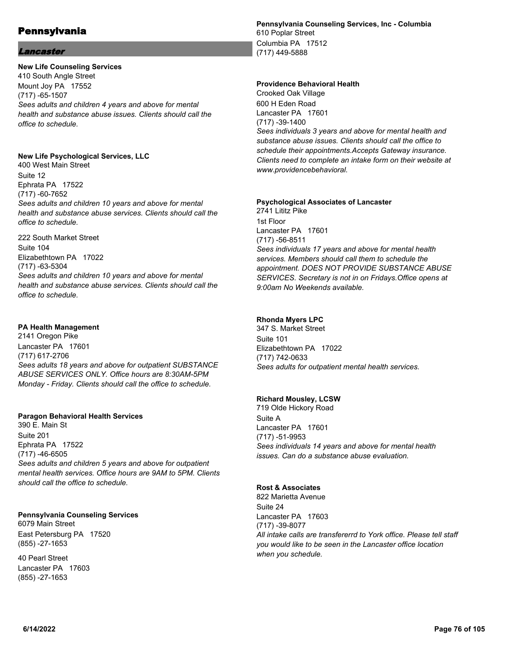#### Lancaster

## **New Life Counseling Services**

410 South Angle Street Mount Joy PA 17552 (717) -65-1507 *Sees adults and children 4 years and above for mental health and substance abuse issues. Clients should call the office to schedule.*

# **New Life Psychological Services, LLC**

400 West Main Street Suite 12 Ephrata PA 17522 (717) -60-7652 *Sees adults and children 10 years and above for mental health and substance abuse services. Clients should call the office to schedule.*

222 South Market Street Suite 104 Elizabethtown PA 17022 (717) -63-5304 *Sees adults and children 10 years and above for mental health and substance abuse services. Clients should call the office to schedule.*

# **PA Health Management**

2141 Oregon Pike Lancaster PA 17601 (717) 617-2706 *Sees adults 18 years and above for outpatient SUBSTANCE ABUSE SERVICES ONLY. Office hours are 8:30AM-5PM Monday - Friday. Clients should call the office to schedule.*

## **Paragon Behavioral Health Services**

390 E. Main St Suite 201 Ephrata PA 17522 (717) -46-6505 *Sees adults and children 5 years and above for outpatient mental health services. Office hours are 9AM to 5PM. Clients should call the office to schedule.*

## **Pennsylvania Counseling Services**

6079 Main Street East Petersburg PA 17520 (855) -27-1653

40 Pearl Street Lancaster PA 17603 (855) -27-1653

**Pennsylvania Counseling Services, Inc - Columbia** 610 Poplar Street Columbia PA 17512 (717) 449-5888

#### **Providence Behavioral Health**

Crooked Oak Village 600 H Eden Road Lancaster PA 17601 (717) -39-1400 *Sees individuals 3 years and above for mental health and substance abuse issues. Clients should call the office to schedule their appointments.Accepts Gateway insurance. Clients need to complete an intake form on their website at www.providencebehavioral.*

#### **Psychological Associates of Lancaster**

2741 Lititz Pike 1st Floor Lancaster PA 17601 (717) -56-8511 *Sees individuals 17 years and above for mental health services. Members should call them to schedule the appointment. DOES NOT PROVIDE SUBSTANCE ABUSE SERVICES. Secretary is not in on Fridays.Office opens at 9:00am No Weekends available.*

## **Rhonda Myers LPC**

347 S. Market Street Suite 101 Elizabethtown PA 17022 (717) 742-0633 *Sees adults for outpatient mental health services.*

## **Richard Mousley, LCSW**

719 Olde Hickory Road Suite A Lancaster PA 17601 (717) -51-9953 *Sees individuals 14 years and above for mental health issues. Can do a substance abuse evaluation.*

## **Rost & Associates**

822 Marietta Avenue Suite 24 Lancaster PA 17603 (717) -39-8077 *All intake calls are transfererrd to York office. Please tell staff you would like to be seen in the Lancaster office location when you schedule.*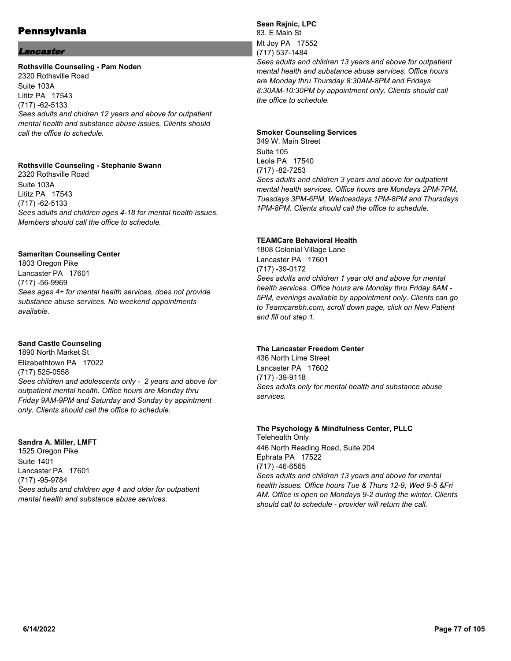## Lancaster

#### **Rothsville Counseling - Pam Noden**

2320 Rothsville Road Suite 103A Lititz PA 17543 (717) -62-5133 *Sees adults and chidren 12 years and above for outpatient mental health and substance abuse issues. Clients should call the office to schedule.*

#### **Rothsville Counseling - Stephanie Swann**

2320 Rothsville Road Suite 103A Lititz PA 17543 (717) -62-5133 *Sees adults and children ages 4-18 for mental health issues. Members should call the office to schedule.*

#### **Samaritan Counseling Center**

1803 Oregon Pike Lancaster PA 17601 (717) -56-9969 *Sees ages 4+ for mental health services, does not provide substance abuse services. No weekend appointments available.*

#### **Sand Castle Counseling**

1890 North Market St Elizabethtown PA 17022 (717) 525-0558 *Sees children and adolescents only - 2 years and above for outpatient mental health. Office hours are Monday thru Friday 9AM-9PM and Saturday and Sunday by appintment only. Clients should call the office to schedule.*

#### **Sandra A. Miller, LMFT**

1525 Oregon Pike Suite 1401 Lancaster PA 17601 (717) -95-9784 *Sees adults and children age 4 and older for outpatient mental health and substance abuse services.*

#### **Sean Rajnic, LPC** 83. E Main St Mt Joy PA 17552 (717) 537-1484 *Sees adults and children 13 years and above for outpatient mental health and substance abuse services. Office hours are Monday thru Thursday 8:30AM-8PM and Fridays 8:30AM-10:30PM by appointment only. Clients should call*

# **Smoker Counseling Services**

*the office to schedule.*

349 W. Main Street Suite 105 Leola PA 17540 (717) -82-7253 *Sees adults and children 3 years and above for outpatient mental health services. Office hours are Mondays 2PM-7PM, Tuesdays 3PM-6PM, Wednesdays 1PM-8PM and Thursdays 1PM-8PM. Clients should call the office to schedule.*

# **TEAMCare Behavioral Health**

1808 Colonial Village Lane Lancaster PA 17601 (717) -39-0172 *Sees adults and children 1 year old and above for mental health services. Office hours are Monday thru Friday 8AM - 5PM, evenings available by appointment only. Clients can go to Teamcarebh.com, scroll down page, click on New Patient and fill out step 1.*

# **The Lancaster Freedom Center**

436 North Lime Street Lancaster PA 17602 (717) -39-9118 *Sees adults only for mental health and substance abuse services.*

#### **The Psychology & Mindfulness Center, PLLC** Telehealth Only

446 North Reading Road, Suite 204 Ephrata PA 17522 (717) -46-6565 *Sees adults and children 13 years and above for mental health issues. Office hours Tue & Thurs 12-9, Wed 9-5 &Fri AM. Office is open on Mondays 9-2 during the winter. Clients should call to schedule - provider will return the call.*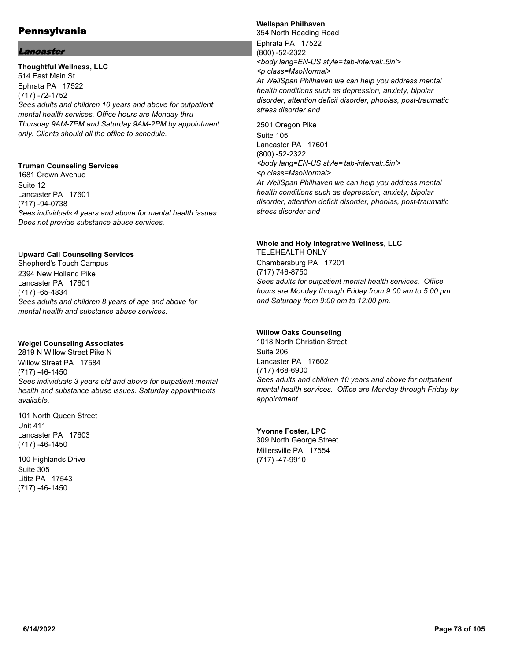## Lancaster

**Thoughtful Wellness, LLC** 514 East Main St Ephrata PA 17522 (717) -72-1752 *Sees adults and children 10 years and above for outpatient mental health services. Office hours are Monday thru Thursday 9AM-7PM and Saturday 9AM-2PM by appointment only. Clients should all the office to schedule.*

# **Truman Counseling Services**

1681 Crown Avenue Suite 12 Lancaster PA 17601 (717) -94-0738 *Sees individuals 4 years and above for mental health issues. Does not provide substance abuse services.*

#### **Upward Call Counseling Services**

Shepherd's Touch Campus 2394 New Holland Pike Lancaster PA 17601 (717) -65-4834 *Sees adults and children 8 years of age and above for mental health and substance abuse services.*

#### **Weigel Counseling Associates**

2819 N Willow Street Pike N Willow Street PA 17584 (717) -46-1450 *Sees individuals 3 years old and above for outpatient mental health and substance abuse issues. Saturday appointments available.*

101 North Queen Street Unit 411 Lancaster PA 17603 (717) -46-1450

100 Highlands Drive Suite 305 Lititz PA 17543 (717) -46-1450

#### **Wellspan Philhaven**

354 North Reading Road Ephrata PA 17522 (800) -52-2322 *<body lang=EN-US style='tab-interval:.5in'> <p class=MsoNormal> At WellSpan Philhaven we can help you address mental health conditions such as depression, anxiety, bipolar disorder, attention deficit disorder, phobias, post-traumatic stress disorder and*

2501 Oregon Pike Suite 105 Lancaster PA 17601 (800) -52-2322 *<body lang=EN-US style='tab-interval:.5in'> <p class=MsoNormal> At WellSpan Philhaven we can help you address mental health conditions such as depression, anxiety, bipolar disorder, attention deficit disorder, phobias, post-traumatic stress disorder and*

#### **Whole and Holy Integrative Wellness, LLC**

TELEHEALTH ONLY Chambersburg PA 17201 (717) 746-8750 *Sees adults for outpatient mental health services. Office hours are Monday through Friday from 9:00 am to 5:00 pm and Saturday from 9:00 am to 12:00 pm.*

#### **Willow Oaks Counseling**

1018 North Christian Street Suite 206 Lancaster PA 17602 (717) 468-6900 *Sees adults and children 10 years and above for outpatient mental health services. Office are Monday through Friday by appointment.*

## **Yvonne Foster, LPC**

309 North George Street Millersville PA 17554 (717) -47-9910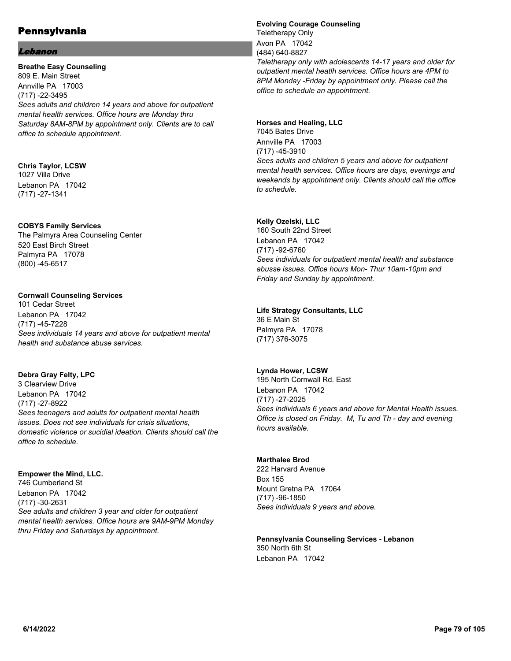#### Lebanon

**Breathe Easy Counseling** 809 E. Main Street Annville PA 17003 (717) -22-3495 *Sees adults and children 14 years and above for outpatient mental health services. Office hours are Monday thru Saturday 8AM-8PM by appointment only. Clients are to call office to schedule appointment.*

#### **Chris Taylor, LCSW** 1027 Villa Drive

Lebanon PA 17042 (717) -27-1341

# **COBYS Family Services**

The Palmyra Area Counseling Center 520 East Birch Street Palmyra PA 17078 (800) -45-6517

# **Cornwall Counseling Services**

101 Cedar Street Lebanon PA 17042 (717) -45-7228 *Sees individuals 14 years and above for outpatient mental health and substance abuse services.*

## **Debra Gray Felty, LPC**

3 Clearview Drive Lebanon PA 17042 (717) -27-8922 *Sees teenagers and adults for outpatient mental health issues. Does not see individuals for crisis situations, domestic violence or sucidial ideation. Clients should call the office to schedule.*

# **Empower the Mind, LLC.**

746 Cumberland St Lebanon PA 17042 (717) -30-2631 *See adults and children 3 year and older for outpatient mental health services. Office hours are 9AM-9PM Monday thru Friday and Saturdays by appointment.*

# **Evolving Courage Counseling**

Teletherapy Only Avon PA 17042 (484) 640-8827 *Teletherapy only with adolescents 14-17 years and older for outpatient mental heatlh services. Office hours are 4PM to 8PM Monday -Friday by appointment only. Please call the office to schedule an appointment.*

## **Horses and Healing, LLC** 7045 Bates Drive

Annville PA 17003 (717) -45-3910 *Sees adults and children 5 years and above for outpatient mental health services. Office hours are days, evenings and weekends by appointment only. Clients should call the office to schedule.*

# **Kelly Ozelski, LLC**

160 South 22nd Street Lebanon PA 17042 (717) -92-6760 *Sees individuals for outpatient mental health and substance abusse issues. Office hours Mon- Thur 10am-10pm and Friday and Sunday by appointment.*

## **Life Strategy Consultants, LLC**

36 E Main St Palmyra PA 17078 (717) 376-3075

## **Lynda Hower, LCSW**

195 North Cornwall Rd. East Lebanon PA 17042 (717) -27-2025 *Sees individuals 6 years and above for Mental Health issues. Office is closed on Friday. M, Tu and Th - day and evening hours available.*

## **Marthalee Brod**

222 Harvard Avenue Box 155 Mount Gretna PA 17064 (717) -96-1850 *Sees individuals 9 years and above.*

#### **Pennsylvania Counseling Services - Lebanon** 350 North 6th St Lebanon PA 17042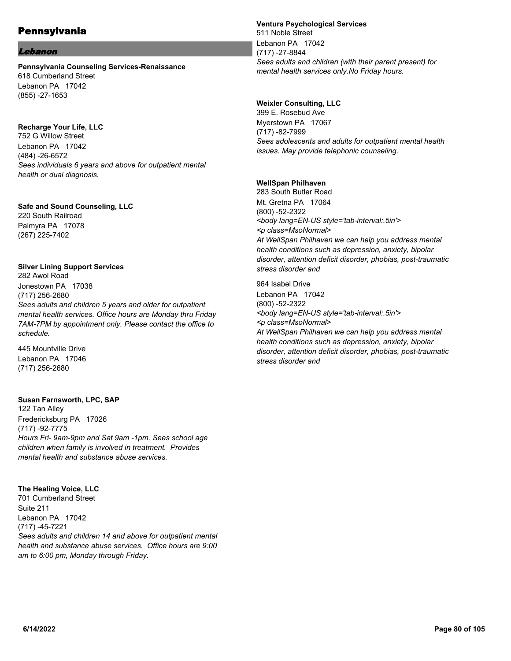#### Lebanon

**Pennsylvania Counseling Services-Renaissance** 618 Cumberland Street Lebanon PA 17042 (855) -27-1653

#### **Recharge Your Life, LLC**

752 G Willow Street Lebanon PA 17042 (484) -26-6572 *Sees individuals 6 years and above for outpatient mental health or dual diagnosis.*

# **Safe and Sound Counseling, LLC**

220 South Railroad Palmyra PA 17078 (267) 225-7402

# **Silver Lining Support Services**

282 Awol Road Jonestown PA 17038 (717) 256-2680 *Sees adults and children 5 years and older for outpatient mental health services. Office hours are Monday thru Friday 7AM-7PM by appointment only. Please contact the office to schedule.*

445 Mountville Drive Lebanon PA 17046 (717) 256-2680

## **Susan Farnsworth, LPC, SAP**

122 Tan Alley Fredericksburg PA 17026 (717) -92-7775 *Hours Fri- 9am-9pm and Sat 9am -1pm. Sees school age children when family is involved in treatment. Provides mental health and substance abuse services.*

## **The Healing Voice, LLC**

701 Cumberland Street Suite 211 Lebanon PA 17042 (717) -45-7221 *Sees adults and children 14 and above for outpatient mental health and substance abuse services. Office hours are 9:00 am to 6:00 pm, Monday through Friday.*

#### **Ventura Psychological Services**

511 Noble Street Lebanon PA 17042 (717) -27-8844 *Sees adults and children (with their parent present) for mental health services only.No Friday hours.*

## **Weixler Consulting, LLC**

399 E. Rosebud Ave Myerstown PA 17067 (717) -82-7999 *Sees adolescents and adults for outpatient mental health issues. May provide telephonic counseling.*

## **WellSpan Philhaven**

283 South Butler Road Mt. Gretna PA 17064 (800) -52-2322 *<body lang=EN-US style='tab-interval:.5in'> <p class=MsoNormal> At WellSpan Philhaven we can help you address mental health conditions such as depression, anxiety, bipolar disorder, attention deficit disorder, phobias, post-traumatic stress disorder and*

## 964 Isabel Drive Lebanon PA 17042 (800) -52-2322 *<body lang=EN-US style='tab-interval:.5in'> <p class=MsoNormal> At WellSpan Philhaven we can help you address mental health conditions such as depression, anxiety, bipolar disorder, attention deficit disorder, phobias, post-traumatic stress disorder and*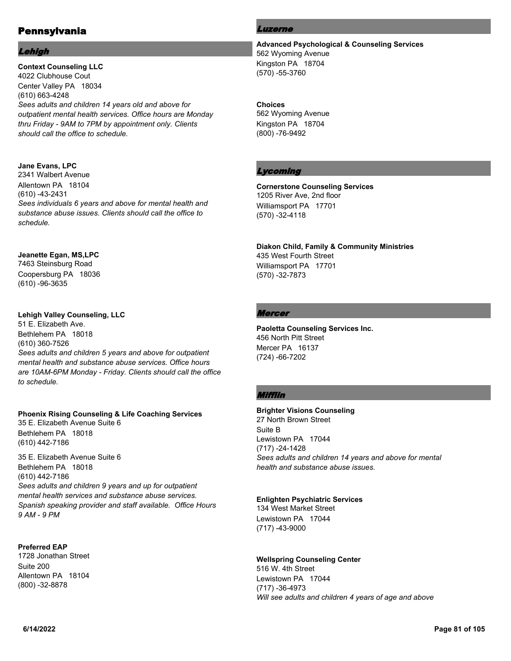#### Lehigh

**Context Counseling LLC** 4022 Clubhouse Cout Center Valley PA 18034 (610) 663-4248 *Sees adults and children 14 years old and above for outpatient mental health services. Office hours are Monday thru Friday - 9AM to 7PM by appointment only. Clients should call the office to schedule.*

# **Jane Evans, LPC**

2341 Walbert Avenue Allentown PA 18104 (610) -43-2431 *Sees individuals 6 years and above for mental health and substance abuse issues. Clients should call the office to schedule.*

## **Jeanette Egan, MS,LPC**

7463 Steinsburg Road Coopersburg PA 18036 (610) -96-3635

## **Lehigh Valley Counseling, LLC**

51 E. Elizabeth Ave. Bethlehem PA 18018 (610) 360-7526 *Sees adults and children 5 years and above for outpatient mental health and substance abuse services. Office hours are 10AM-6PM Monday - Friday. Clients should call the office to schedule.*

## **Phoenix Rising Counseling & Life Coaching Services**

35 E. Elizabeth Avenue Suite 6 Bethlehem PA 18018 (610) 442-7186

35 E. Elizabeth Avenue Suite 6 Bethlehem PA 18018 (610) 442-7186 *Sees adults and children 9 years and up for outpatient mental health services and substance abuse services. Spanish speaking provider and staff available. Office Hours 9 AM - 9 PM*

# **Preferred EAP**

1728 Jonathan Street Suite 200 Allentown PA 18104 (800) -32-8878

# Luzerne

**Advanced Psychological & Counseling Services** 562 Wyoming Avenue Kingston PA 18704 (570) -55-3760

#### **Choices**

562 Wyoming Avenue Kingston PA 18704 (800) -76-9492

# Lycoming

**Cornerstone Counseling Services** 1205 River Ave, 2nd floor Williamsport PA 17701 (570) -32-4118

**Diakon Child, Family & Community Ministries** 435 West Fourth Street Williamsport PA 17701 (570) -32-7873

# Mercer

**Paoletta Counseling Services Inc.** 456 North Pitt Street Mercer PA 16137 (724) -66-7202

# Mifflin

**Brighter Visions Counseling** 27 North Brown Street Suite B Lewistown PA 17044 (717) -24-1428 *Sees adults and children 14 years and above for mental health and substance abuse issues.*

## **Enlighten Psychiatric Services**

134 West Market Street Lewistown PA 17044 (717) -43-9000

## **Wellspring Counseling Center**

516 W. 4th Street Lewistown PA 17044 (717) -36-4973 *Will see adults and children 4 years of age and above*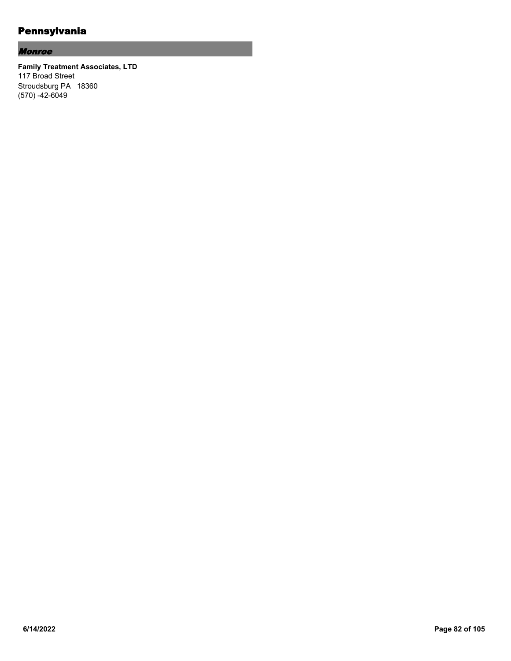# Monroe

**Family Treatment Associates, LTD** 117 Broad Street Stroudsburg PA 18360 (570) -42-6049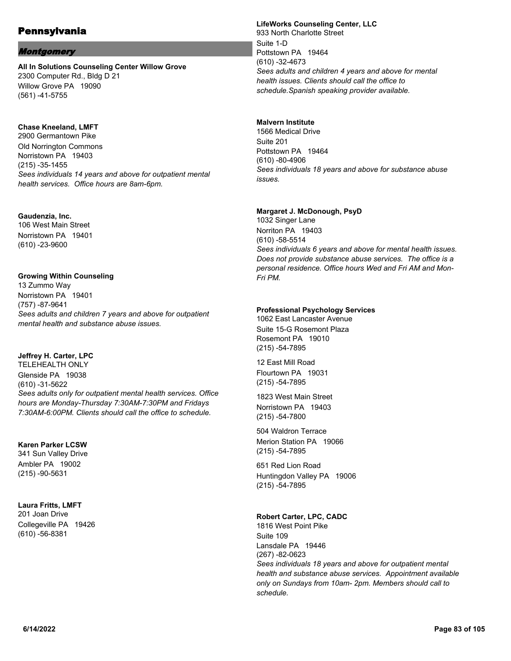## Montgomery

**All In Solutions Counseling Center Willow Grove** 2300 Computer Rd., Bldg D 21 Willow Grove PA 19090 (561) -41-5755

#### **Chase Kneeland, LMFT**

2900 Germantown Pike Old Norrington Commons Norristown PA 19403 (215) -35-1455 *Sees individuals 14 years and above for outpatient mental health services. Office hours are 8am-6pm.*

#### **Gaudenzia, Inc.**

106 West Main Street Norristown PA 19401 (610) -23-9600

#### **Growing Within Counseling**

13 Zummo Way Norristown PA 19401 (757) -87-9641 *Sees adults and children 7 years and above for outpatient mental health and substance abuse issues.*

## **Jeffrey H. Carter, LPC**

TELEHEALTH ONLY Glenside PA 19038 (610) -31-5622 *Sees adults only for outpatient mental health services. Office hours are Monday-Thursday 7:30AM-7:30PM and Fridays 7:30AM-6:00PM. Clients should call the office to schedule.*

#### **Karen Parker LCSW**

341 Sun Valley Drive Ambler PA 19002 (215) -90-5631

## **Laura Fritts, LMFT**

201 Joan Drive Collegeville PA 19426 (610) -56-8381

# **LifeWorks Counseling Center, LLC**

933 North Charlotte Street Suite 1-D Pottstown PA 19464 (610) -32-4673 *Sees adults and children 4 years and above for mental health issues. Clients should call the office to schedule.Spanish speaking provider available.*

#### **Malvern Institute**

1566 Medical Drive Suite 201 Pottstown PA 19464 (610) -80-4906 *Sees individuals 18 years and above for substance abuse issues.*

## **Margaret J. McDonough, PsyD**

1032 Singer Lane Norriton PA 19403 (610) -58-5514 *Sees individuals 6 years and above for mental health issues. Does not provide substance abuse services. The office is a personal residence. Office hours Wed and Fri AM and Mon-Fri PM.*

#### **Professional Psychology Services**

1062 East Lancaster Avenue Suite 15-G Rosemont Plaza Rosemont PA 19010 (215) -54-7895

12 East Mill Road Flourtown PA 19031 (215) -54-7895

1823 West Main Street Norristown PA 19403 (215) -54-7800

504 Waldron Terrace Merion Station PA 19066 (215) -54-7895

651 Red Lion Road Huntingdon Valley PA 19006 (215) -54-7895

## **Robert Carter, LPC, CADC**

1816 West Point Pike Suite 109 Lansdale PA 19446 (267) -82-0623 *Sees individuals 18 years and above for outpatient mental health and substance abuse services. Appointment available only on Sundays from 10am- 2pm. Members should call to schedule.*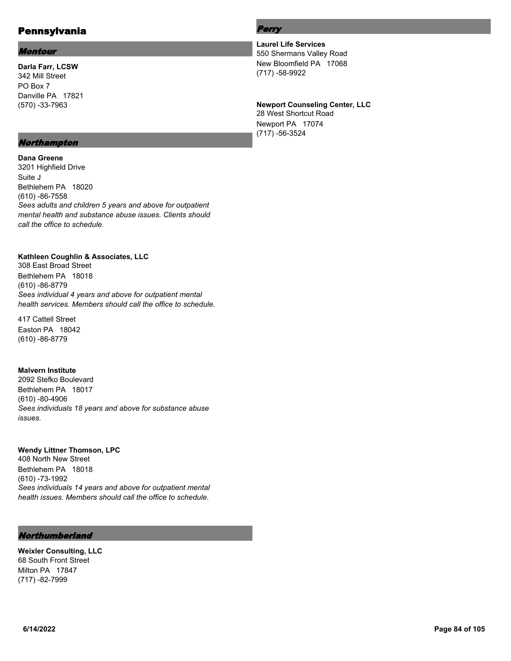#### Montour

**Darla Farr, LCSW** 342 Mill Street PO Box 7 Danville PA 17821 (570) -33-7963

#### Northampton

**Dana Greene** 3201 Highfield Drive Suite J Bethlehem PA 18020 (610) -86-7558 *Sees adults and children 5 years and above for outpatient* 

*mental health and substance abuse issues. Clients should call the office to schedule.*

# **Kathleen Coughlin & Associates, LLC**

308 East Broad Street Bethlehem PA 18018 (610) -86-8779 *Sees individual 4 years and above for outpatient mental health services. Members should call the office to schedule.*

417 Cattell Street Easton PA 18042 (610) -86-8779

#### **Malvern Institute**

2092 Stefko Boulevard Bethlehem PA 18017 (610) -80-4906 *Sees individuals 18 years and above for substance abuse issues.*

#### **Wendy Littner Thomson, LPC**

408 North New Street Bethlehem PA 18018 (610) -73-1992 *Sees individuals 14 years and above for outpatient mental health issues. Members should call the office to schedule.*

# Northumberland

**Weixler Consulting, LLC** 68 South Front Street Milton PA 17847 (717) -82-7999

# Perry

**Laurel Life Services** 550 Shermans Valley Road New Bloomfield PA 17068 (717) -58-9922

#### **Newport Counseling Center, LLC**

28 West Shortcut Road Newport PA 17074 (717) -56-3524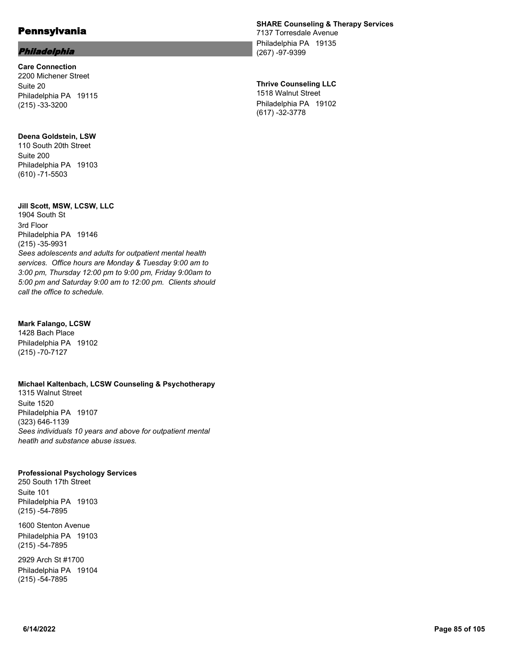#### Philadelphia

**Care Connection** 2200 Michener Street Suite 20 Philadelphia PA 19115 (215) -33-3200

**Deena Goldstein, LSW** 110 South 20th Street Suite 200 Philadelphia PA 19103 (610) -71-5503

#### **Jill Scott, MSW, LCSW, LLC**

1904 South St 3rd Floor Philadelphia PA 19146 (215) -35-9931 *Sees adolescents and adults for outpatient mental health services. Office hours are Monday & Tuesday 9:00 am to 3:00 pm, Thursday 12:00 pm to 9:00 pm, Friday 9:00am to 5:00 pm and Saturday 9:00 am to 12:00 pm. Clients should call the office to schedule.*

#### **Mark Falango, LCSW**

1428 Bach Place Philadelphia PA 19102 (215) -70-7127

## **Michael Kaltenbach, LCSW Counseling & Psychotherapy**

1315 Walnut Street Suite 1520 Philadelphia PA 19107 (323) 646-1139 *Sees individuals 10 years and above for outpatient mental heatlh and substance abuse issues.*

#### **Professional Psychology Services**

250 South 17th Street Suite 101 Philadelphia PA 19103 (215) -54-7895

1600 Stenton Avenue Philadelphia PA 19103 (215) -54-7895

2929 Arch St #1700 Philadelphia PA 19104 (215) -54-7895

# **SHARE Counseling & Therapy Services**

7137 Torresdale Avenue Philadelphia PA 19135 (267) -97-9399

# **Thrive Counseling LLC**

1518 Walnut Street Philadelphia PA 19102 (617) -32-3778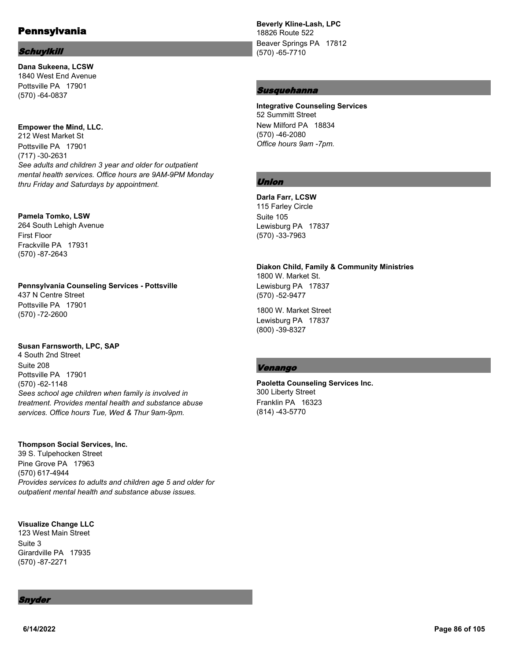#### **Schuylkill**

**Dana Sukeena, LCSW** 1840 West End Avenue Pottsville PA 17901 (570) -64-0837

#### **Empower the Mind, LLC.**

212 West Market St Pottsville PA 17901 (717) -30-2631 *See adults and children 3 year and older for outpatient mental health services. Office hours are 9AM-9PM Monday thru Friday and Saturdays by appointment.*

#### **Pamela Tomko, LSW**

264 South Lehigh Avenue First Floor Frackville PA 17931 (570) -87-2643

#### **Pennsylvania Counseling Services - Pottsville** 437 N Centre Street

Pottsville PA 17901 (570) -72-2600

## **Susan Farnsworth, LPC, SAP**

4 South 2nd Street Suite 208 Pottsville PA 17901 (570) -62-1148 *Sees school age children when family is involved in treatment. Provides mental health and substance abuse services. Office hours Tue, Wed & Thur 9am-9pm.*

#### **Thompson Social Services, Inc.**

39 S. Tulpehocken Street Pine Grove PA 17963 (570) 617-4944 *Provides services to adults and children age 5 and older for outpatient mental health and substance abuse issues.*

# **Visualize Change LLC**

123 West Main Street Suite 3 Girardville PA 17935 (570) -87-2271

Snyder

**Beverly Kline-Lash, LPC**

18826 Route 522 Beaver Springs PA 17812 (570) -65-7710

#### Susquehanna

**Integrative Counseling Services** 52 Summitt Street New Milford PA 18834 (570) -46-2080 *Office hours 9am -7pm.*

# Union

**Darla Farr, LCSW** 115 Farley Circle Suite 105 Lewisburg PA 17837 (570) -33-7963

# **Diakon Child, Family & Community Ministries** 1800 W. Market St.

Lewisburg PA 17837 (570) -52-9477

1800 W. Market Street Lewisburg PA 17837 (800) -39-8327

## Venango

# **Paoletta Counseling Services Inc.** 300 Liberty Street

Franklin PA 16323 (814) -43-5770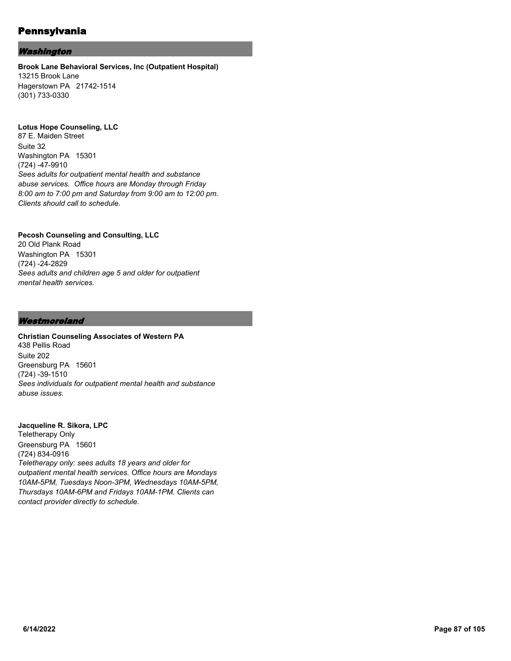# Washington

#### **Brook Lane Behavioral Services, Inc (Outpatient Hospital)** 13215 Brook Lane Hagerstown PA 21742-1514 (301) 733-0330

#### **Lotus Hope Counseling, LLC**

87 E. Maiden Street Suite 32 Washington PA 15301 (724) -47-9910 *Sees adults for outpatient mental health and substance abuse services. Office hours are Monday through Friday 8:00 am to 7:00 pm and Saturday from 9:00 am to 12:00 pm. Clients should call to schedule.*

## **Pecosh Counseling and Consulting, LLC**

20 Old Plank Road Washington PA 15301 (724) -24-2829 *Sees adults and children age 5 and older for outpatient mental health services.*

#### **Westmoreland**

# **Christian Counseling Associates of Western PA**

438 Pellis Road Suite 202 Greensburg PA 15601 (724) -39-1510 *Sees individuals for outpatient mental health and substance abuse issues.*

#### **Jacqueline R. Sikora, LPC**

Teletherapy Only Greensburg PA 15601 (724) 834-0916 *Teletherapy only: sees adults 18 years and older for outpatient mental health services. Office hours are Mondays 10AM-5PM, Tuesdays Noon-3PM, Wednesdays 10AM-5PM, Thursdays 10AM-6PM and Fridays 10AM-1PM. Clients can contact provider directly to schedule.*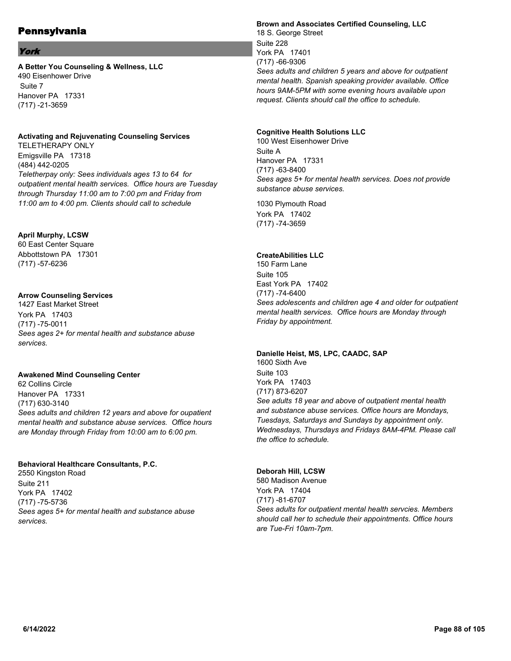## York

**A Better You Counseling & Wellness, LLC** 490 Eisenhower Drive Suite 7 Hanover PA 17331 (717) -21-3659

#### **Activating and Rejuvenating Counseling Services**

TELETHERAPY ONLY Emigsville PA 17318 (484) 442-0205 *Teletherpay only: Sees individuals ages 13 to 64 for outpatient mental health services. Office hours are Tuesday through Thursday 11:00 am to 7:00 pm and Friday from 11:00 am to 4:00 pm. Clients should call to schedule*

## **April Murphy, LCSW**

60 East Center Square Abbottstown PA 17301 (717) -57-6236

## **Arrow Counseling Services**

1427 East Market Street York PA 17403 (717) -75-0011 *Sees ages 2+ for mental health and substance abuse services.*

#### **Awakened Mind Counseling Center**

62 Collins Circle Hanover PA 17331 (717) 630-3140 *Sees adults and children 12 years and above for oupatient mental health and substance abuse services. Office hours are Monday through Friday from 10:00 am to 6:00 pm.*

## **Behavioral Healthcare Consultants, P.C.**

2550 Kingston Road Suite 211 York PA 17402 (717) -75-5736 *Sees ages 5+ for mental health and substance abuse services.*

#### **Brown and Associates Certified Counseling, LLC**

18 S. George Street Suite 228 York PA 17401 (717) -66-9306 *Sees adults and children 5 years and above for outpatient mental health. Spanish speaking provider available. Office hours 9AM-5PM with some evening hours available upon request. Clients should call the office to schedule.*

#### **Cognitive Health Solutions LLC**

100 West Eisenhower Drive Suite A Hanover PA 17331 (717) -63-8400 *Sees ages 5+ for mental health services. Does not provide substance abuse services.*

1030 Plymouth Road York PA 17402 (717) -74-3659

## **CreateAbilities LLC**

150 Farm Lane Suite 105 East York PA 17402 (717) -74-6400 *Sees adolescents and children age 4 and older for outpatient mental health services. Office hours are Monday through Friday by appointment.*

#### **Danielle Heist, MS, LPC, CAADC, SAP**

1600 Sixth Ave Suite 103 York PA 17403 (717) 873-6207 *See adults 18 year and above of outpatient mental health and substance abuse services. Office hours are Mondays, Tuesdays, Saturdays and Sundays by appointment only. Wednesdays, Thursdays and Fridays 8AM-4PM. Please call the office to schedule.*

#### **Deborah Hill, LCSW**

580 Madison Avenue York PA 17404 (717) -81-6707 *Sees adults for outpatient mental health servcies. Members should call her to schedule their appointments. Office hours are Tue-Fri 10am-7pm.*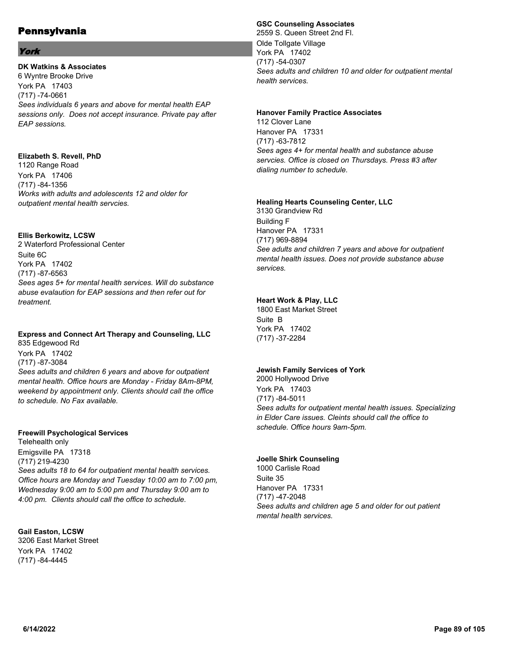# York

# **DK Watkins & Associates**

6 Wyntre Brooke Drive York PA 17403 (717) -74-0661 *Sees individuals 6 years and above for mental health EAP sessions only. Does not accept insurance. Private pay after EAP sessions.*

# **Elizabeth S. Revell, PhD**

1120 Range Road York PA 17406 (717) -84-1356 *Works with adults and adolescents 12 and older for outpatient mental health servcies.*

## **Ellis Berkowitz, LCSW**

2 Waterford Professional Center Suite 6C York PA 17402 (717) -87-6563 *Sees ages 5+ for mental health services. Will do substance abuse evalaution for EAP sessions and then refer out for treatment.*

# **Express and Connect Art Therapy and Counseling, LLC**

835 Edgewood Rd York PA 17402 (717) -87-3084 *Sees adults and children 6 years and above for outpatient mental health. Office hours are Monday - Friday 8Am-8PM, weekend by appointment only. Clients should call the office to schedule. No Fax available.*

## **Freewill Psychological Services**

Telehealth only Emigsville PA 17318 (717) 219-4230 *Sees adults 18 to 64 for outpatient mental health services. Office hours are Monday and Tuesday 10:00 am to 7:00 pm, Wednesday 9:00 am to 5:00 pm and Thursday 9:00 am to 4:00 pm. Clients should call the office to schedule.*

## **Gail Easton, LCSW**

3206 East Market Street York PA 17402 (717) -84-4445

# **GSC Counseling Associates**

2559 S. Queen Street 2nd Fl. Olde Tollgate Village York PA 17402 (717) -54-0307 *Sees adults and children 10 and older for outpatient mental health services.*

#### **Hanover Family Practice Associates**

112 Clover Lane Hanover PA 17331 (717) -63-7812 *Sees ages 4+ for mental health and substance abuse servcies. Office is closed on Thursdays. Press #3 after dialing number to schedule.*

#### **Healing Hearts Counseling Center, LLC**

3130 Grandview Rd Building F Hanover PA 17331 (717) 969-8894 *See adults and children 7 years and above for outpatient mental health issues. Does not provide substance abuse services.*

# **Heart Work & Play, LLC**

1800 East Market Street Suite B York PA 17402 (717) -37-2284

## **Jewish Family Services of York**

2000 Hollywood Drive York PA 17403 (717) -84-5011 *Sees adults for outpatient mental health issues. Specializing in Elder Care issues. Cleints should call the office to schedule. Office hours 9am-5pm.*

## **Joelle Shirk Counseling**

1000 Carlisle Road Suite 35 Hanover PA 17331 (717) -47-2048 *Sees adults and children age 5 and older for out patient mental health services.*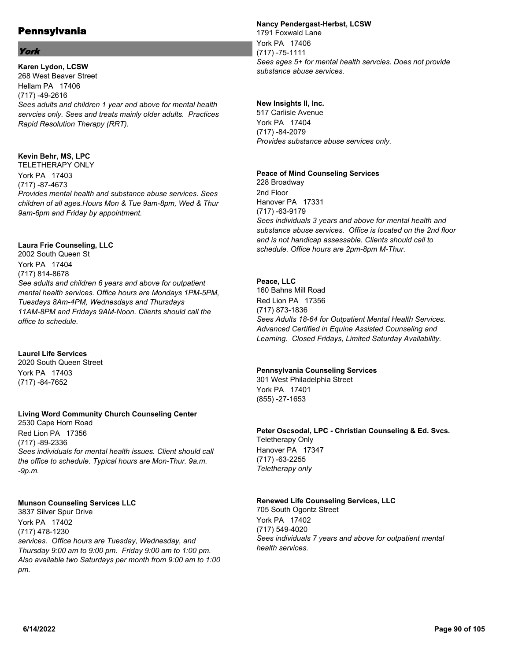# York

**Karen Lydon, LCSW** 268 West Beaver Street Hellam PA 17406 (717) -49-2616 *Sees adults and children 1 year and above for mental health servcies only. Sees and treats mainly older adults. Practices Rapid Resolution Therapy (RRT).*

# **Kevin Behr, MS, LPC**

TELETHERAPY ONLY York PA 17403 (717) -87-4673 *Provides mental health and substance abuse services. Sees children of all ages.Hours Mon & Tue 9am-8pm, Wed & Thur 9am-6pm and Friday by appointment.*

# **Laura Frie Counseling, LLC**

2002 South Queen St York PA 17404 (717) 814-8678 *See adults and children 6 years and above for outpatient mental health services. Office hours are Mondays 1PM-5PM, Tuesdays 8Am-4PM, Wednesdays and Thursdays 11AM-8PM and Fridays 9AM-Noon. Clients should call the office to schedule.*

# **Laurel Life Services**

2020 South Queen Street York PA 17403 (717) -84-7652

## **Living Word Community Church Counseling Center**

2530 Cape Horn Road Red Lion PA 17356 (717) -89-2336 *Sees individuals for mental health issues. Client should call the office to schedule. Typical hours are Mon-Thur. 9a.m. -9p.m.*

## **Munson Counseling Services LLC**

3837 Silver Spur Drive York PA 17402 (717) 478-1230 *services. Office hours are Tuesday, Wednesday, and Thursday 9:00 am to 9:00 pm. Friday 9:00 am to 1:00 pm. Also available two Saturdays per month from 9:00 am to 1:00 pm.*

#### **Nancy Pendergast-Herbst, LCSW**

1791 Foxwald Lane York PA 17406 (717) -75-1111 *Sees ages 5+ for mental health servcies. Does not provide substance abuse services.*

# **New Insights II, Inc.**

517 Carlisle Avenue York PA 17404 (717) -84-2079 *Provides substance abuse services only.*

## **Peace of Mind Counseling Services**

228 Broadway 2nd Floor Hanover PA 17331 (717) -63-9179 *Sees individuals 3 years and above for mental health and substance abuse services. Office is located on the 2nd floor and is not handicap assessable. Clients should call to schedule. Office hours are 2pm-8pm M-Thur.*

#### **Peace, LLC**

160 Bahns Mill Road Red Lion PA 17356 (717) 873-1836 *Sees Adults 18-64 for Outpatient Mental Health Services. Advanced Certified in Equine Assisted Counseling and Learning. Closed Fridays, Limited Saturday Availability.*

## **Pennsylvania Counseling Services**

301 West Philadelphia Street York PA 17401 (855) -27-1653

#### **Peter Oscsodal, LPC - Christian Counseling & Ed. Svcs.** Teletherapy Only

Hanover PA 17347 (717) -63-2255 *Teletherapy only*

# **Renewed Life Counseling Services, LLC**

705 South Ogontz Street York PA 17402 (717) 549-4020 *Sees individuals 7 years and above for outpatient mental health services.*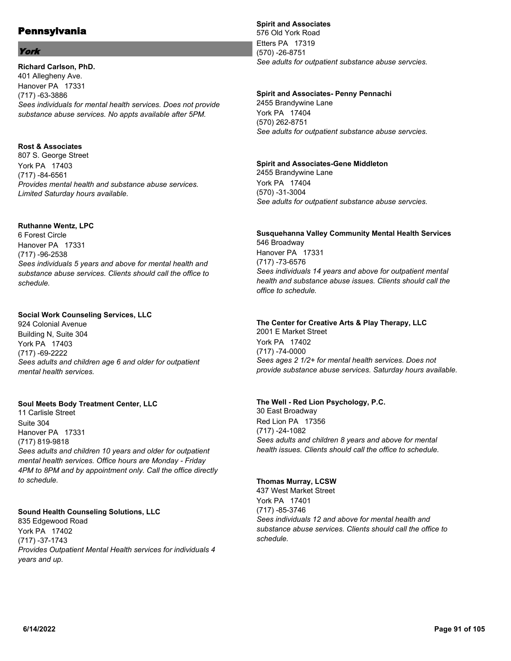# York

**Richard Carlson, PhD.** 401 Allegheny Ave. Hanover PA 17331 (717) -63-3886 *Sees individuals for mental health services. Does not provide substance abuse services. No appts available after 5PM.*

# **Rost & Associates**

807 S. George Street York PA 17403 (717) -84-6561 *Provides mental health and substance abuse services. Limited Saturday hours available.*

# **Ruthanne Wentz, LPC**

6 Forest Circle Hanover PA 17331 (717) -96-2538 *Sees individuals 5 years and above for mental health and substance abuse services. Clients should call the office to schedule.*

## **Social Work Counseling Services, LLC**

924 Colonial Avenue Building N, Suite 304 York PA 17403 (717) -69-2222 *Sees adults and children age 6 and older for outpatient mental health services.*

## **Soul Meets Body Treatment Center, LLC**

11 Carlisle Street Suite 304 Hanover PA 17331 (717) 819-9818 *Sees adults and children 10 years and older for outpatient mental health services. Office hours are Monday - Friday 4PM to 8PM and by appointment only. Call the office directly to schedule.*

## **Sound Health Counseling Solutions, LLC**

835 Edgewood Road York PA 17402 (717) -37-1743 *Provides Outpatient Mental Health services for individuals 4 years and up.*

# **Spirit and Associates**

576 Old York Road Etters PA 17319 (570) -26-8751 *See adults for outpatient substance abuse servcies.*

#### **Spirit and Associates- Penny Pennachi**

2455 Brandywine Lane York PA 17404 (570) 262-8751 *See adults for outpatient substance abuse servcies.*

#### **Spirit and Associates-Gene Middleton**

2455 Brandywine Lane York PA 17404 (570) -31-3004 *See adults for outpatient substance abuse servcies.*

#### **Susquehanna Valley Community Mental Health Services** 546 Broadway Hanover PA 17331 (717) -73-6576

*Sees individuals 14 years and above for outpatient mental health and substance abuse issues. Clients should call the office to schedule.*

# **The Center for Creative Arts & Play Therapy, LLC**

2001 E Market Street York PA 17402 (717) -74-0000 *Sees ages 2 1/2+ for mental health services. Does not provide substance abuse services. Saturday hours available.*

## **The Well - Red Lion Psychology, P.C.**

30 East Broadway Red Lion PA 17356 (717) -24-1082 *Sees adults and children 8 years and above for mental health issues. Clients should call the office to schedule.*

## **Thomas Murray, LCSW**

437 West Market Street York PA 17401 (717) -85-3746 *Sees individuals 12 and above for mental health and substance abuse services. Clients should call the office to schedule.*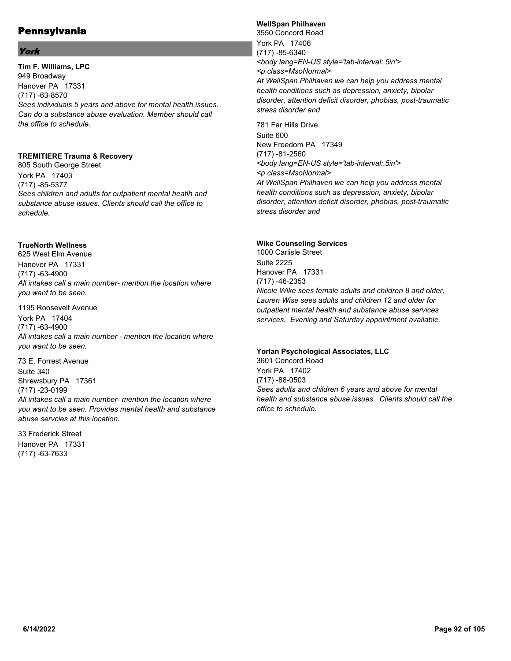# York

**Tim F. Williams, LPC** 949 Broadway Hanover PA 17331 (717) -63-8570 *Sees individuals 5 years and above for mental health issues. Can do a substance abuse evaluation. Member should call the office to schedule.*

## **TREMITIERE Trauma & Recovery**

805 South George Street York PA 17403 (717) -85-5377 *Sees children and adults for outpatient mental heatlh and substance abuse issues. Clients should call the office to schedule.*

# **TrueNorth Wellness**

625 West Elm Avenue Hanover PA 17331 (717) -63-4900 *All intakes call a main number- mention the location where you want to be seen.*

1195 Roosevelt Avenue York PA 17404 (717) -63-4900 *All intakes call a main number - mention the location where you want to be seen.*

73 E. Forrest Avenue Suite 340 Shrewsbury PA 17361 (717) -23-0199 *All intakes call a main number- mention the location where you want to be seen. Provides mental health and substance abuse servcies at this location.*

33 Frederick Street Hanover PA 17331 (717) -63-7633

# **WellSpan Philhaven**

3550 Concord Road York PA 17406 (717) -85-6340 *<body lang=EN-US style='tab-interval:.5in'> <p class=MsoNormal> At WellSpan Philhaven we can help you address mental health conditions such as depression, anxiety, bipolar disorder, attention deficit disorder, phobias, post-traumatic stress disorder and*

781 Far Hills Drive Suite 600 New Freedom PA 17349 (717) -81-2560 *<body lang=EN-US style='tab-interval:.5in'> <p class=MsoNormal> At WellSpan Philhaven we can help you address mental health conditions such as depression, anxiety, bipolar disorder, attention deficit disorder, phobias, post-traumatic stress disorder and*

# **Wike Counseling Services**

1000 Carlisle Street Suite 2225 Hanover PA 17331 (717) -46-2353 *Nicole Wike sees female adults and children 8 and older, Lauren Wise sees adults and children 12 and older for outpatient mental health and substance abuse services services. Evening and Saturday appointment available.*

## **Yorlan Psychological Associates, LLC**

3601 Concord Road York PA 17402 (717) -88-0503 *Sees adults and children 6 years and above for mental health and substance abuse issues. Clients should call the office to schedule.*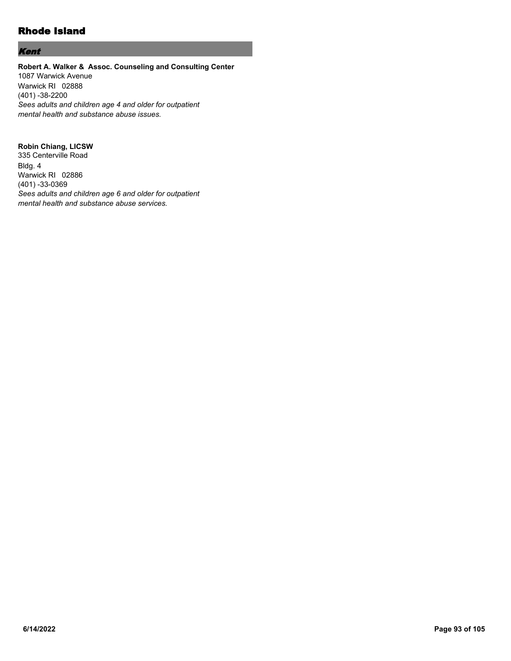# Rhode Island

# Kent

#### **Robert A. Walker & Assoc. Counseling and Consulting Center** 1087 Warwick Avenue Warwick RI 02888 (401) -38-2200 *Sees adults and children age 4 and older for outpatient mental health and substance abuse issues.*

## **Robin Chiang, LICSW**

335 Centerville Road Bldg. 4 Warwick RI 02886 (401) -33-0369 *Sees adults and children age 6 and older for outpatient mental health and substance abuse services.*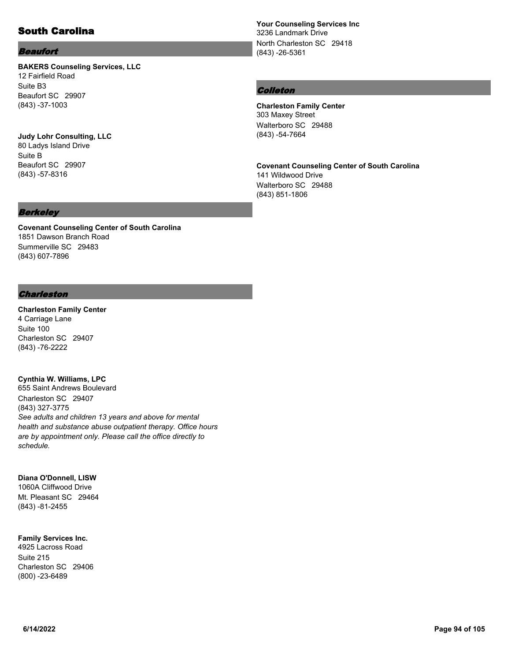# South Carolina

#### Beaufort

(843) -37-1003

#### **BAKERS Counseling Services, LLC** 12 Fairfield Road Suite B3 Beaufort SC 29907

**Judy Lohr Consulting, LLC** 80 Ladys Island Drive Suite B Beaufort SC 29907 (843) -57-8316

# **Your Counseling Services Inc** 3236 Landmark Drive North Charleston SC 29418

#### Colleton

(843) -26-5361

**Charleston Family Center** 303 Maxey Street Walterboro SC 29488 (843) -54-7664

**Covenant Counseling Center of South Carolina** 141 Wildwood Drive Walterboro SC 29488 (843) 851-1806

#### Berkeley

**Covenant Counseling Center of South Carolina** 1851 Dawson Branch Road Summerville SC 29483 (843) 607-7896

#### Charleston

**Charleston Family Center** 4 Carriage Lane Suite 100 Charleston SC 29407 (843) -76-2222

#### **Cynthia W. Williams, LPC**

655 Saint Andrews Boulevard Charleston SC 29407 (843) 327-3775 *See adults and children 13 years and above for mental health and substance abuse outpatient therapy. Office hours are by appointment only. Please call the office directly to schedule.*

#### **Diana O'Donnell, LISW**

1060A Cliffwood Drive Mt. Pleasant SC 29464 (843) -81-2455

# **Family Services Inc.**

4925 Lacross Road Suite 215 Charleston SC 29406 (800) -23-6489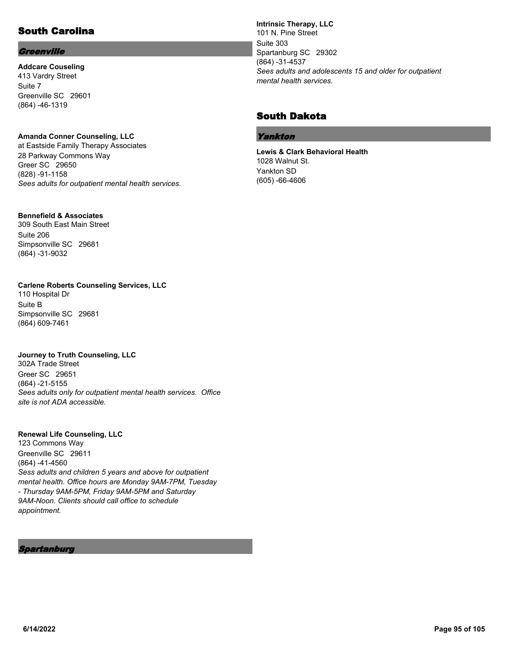# South Carolina

# **Greenville**

**Addcare Couseling** 413 Vardry Street Suite 7 Greenville SC 29601 (864) -46-1319

# **Amanda Conner Counseling, LLC**

at Eastside Family Therapy Associates 28 Parkway Commons Way Greer SC 29650 (828) -91-1158 *Sees adults for outpatient mental health services.*

#### **Bennefield & Associates**

309 South East Main Street Suite 206 Simpsonville SC 29681 (864) -31-9032

# **Carlene Roberts Counseling Services, LLC**

110 Hospital Dr Suite B Simpsonville SC 29681 (864) 609-7461

#### **Journey to Truth Counseling, LLC**

302A Trade Street Greer SC 29651 (864) -21-5155 *Sees adults only for outpatient mental health services. Office site is not ADA accessible.*

#### **Renewal Life Counseling, LLC**

123 Commons Way Greenville SC 29611 (864) -41-4560 *Sess adults and children 5 years and above for outpatient mental health. Office hours are Monday 9AM-7PM, Tuesday - Thursday 9AM-5PM, Friday 9AM-5PM and Saturday 9AM-Noon. Clients should call office to schedule appointment.*

Spartanburg

**Intrinsic Therapy, LLC** 101 N. Pine Street Suite 303 Spartanburg SC 29302 (864) -31-4537 *Sees adults and adolescents 15 and older for outpatient mental health services.*

# South Dakota

#### Yankton

**Lewis & Clark Behavioral Health** 1028 Walnut St. Yankton SD (605) -66-4606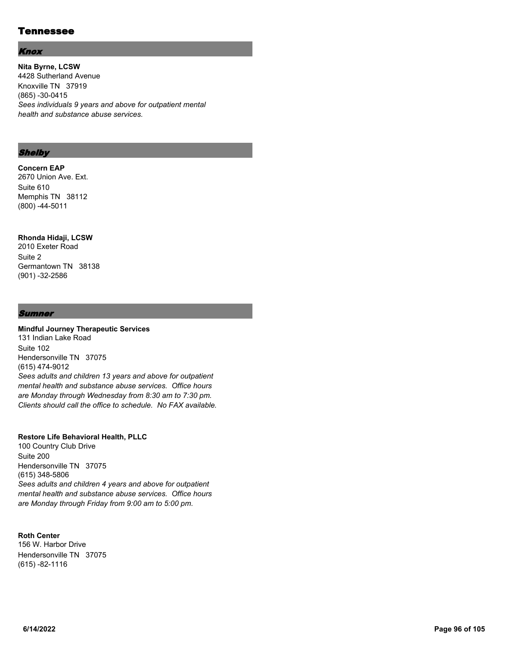# Tennessee

#### Knox

**Nita Byrne, LCSW** 4428 Sutherland Avenue Knoxville TN 37919 (865) -30-0415 *Sees individuals 9 years and above for outpatient mental health and substance abuse services.*

#### **Shelby**

#### **Concern EAP**

2670 Union Ave. Ext. Suite 610 Memphis TN 38112 (800) -44-5011

# **Rhonda Hidaji, LCSW**

2010 Exeter Road Suite 2 Germantown TN 38138 (901) -32-2586

#### **Sumner**

#### **Mindful Journey Therapeutic Services** 131 Indian Lake Road

Suite 102 Hendersonville TN 37075 (615) 474-9012 *Sees adults and children 13 years and above for outpatient mental health and substance abuse services. Office hours are Monday through Wednesday from 8:30 am to 7:30 pm. Clients should call the office to schedule. No FAX available.*

#### **Restore Life Behavioral Health, PLLC**

100 Country Club Drive Suite 200 Hendersonville TN 37075 (615) 348-5806 *Sees adults and children 4 years and above for outpatient mental health and substance abuse services. Office hours are Monday through Friday from 9:00 am to 5:00 pm.*

#### **Roth Center** 156 W. Harbor Drive Hendersonville TN 37075 (615) -82-1116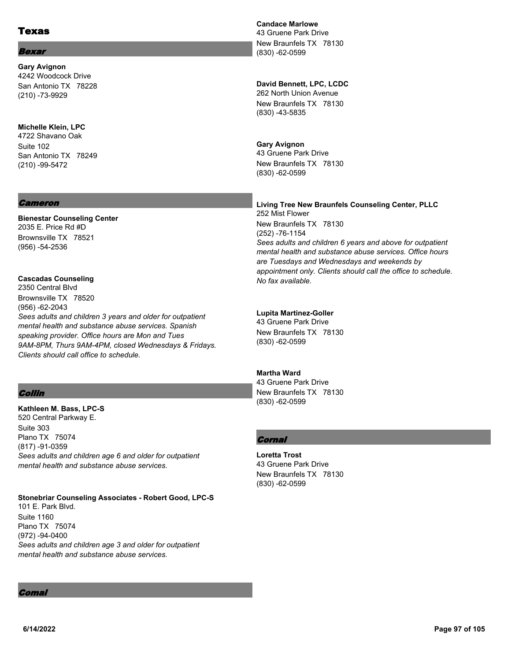# Texas

# **Bexar**

**Gary Avignon** 4242 Woodcock Drive San Antonio TX 78228 (210) -73-9929

## **Michelle Klein, LPC**

4722 Shavano Oak Suite 102 San Antonio TX 78249 (210) -99-5472

#### Cameron

**Bienestar Counseling Center** 2035 E. Price Rd #D Brownsville TX 78521 (956) -54-2536

# **Cascadas Counseling**

2350 Central Blvd Brownsville TX 78520 (956) -62-2043 *Sees adults and children 3 years and older for outpatient mental health and substance abuse services. Spanish speaking provider. Office hours are Mon and Tues 9AM-8PM, Thurs 9AM-4PM, closed Wednesdays & Fridays. Clients should call office to schedule.*

# Collin

**Kathleen M. Bass, LPC-S** 520 Central Parkway E. Suite 303 Plano TX 75074 (817) -91-0359 *Sees adults and children age 6 and older for outpatient mental health and substance abuse services.*

#### **Stonebriar Counseling Associates - Robert Good, LPC-S** 101 E. Park Blvd. Suite 1160 Plano TX 75074

(972) -94-0400 *Sees adults and children age 3 and older for outpatient mental health and substance abuse services.*

# **Candace Marlowe**

43 Gruene Park Drive New Braunfels TX 78130 (830) -62-0599

# **David Bennett, LPC, LCDC**

262 North Union Avenue New Braunfels TX 78130 (830) -43-5835

## **Gary Avignon**

43 Gruene Park Drive New Braunfels TX 78130 (830) -62-0599

#### **Living Tree New Braunfels Counseling Center, PLLC** 252 Mist Flower New Braunfels TX 78130 (252) -76-1154 *Sees adults and children 6 years and above for outpatient mental health and substance abuse services. Office hours are Tuesdays and Wednesdays and weekends by appointment only. Clients should call the office to schedule. No fax available.*

## **Lupita Martinez-Goller**

43 Gruene Park Drive New Braunfels TX 78130 (830) -62-0599

# **Martha Ward**

43 Gruene Park Drive New Braunfels TX 78130 (830) -62-0599

# **Cornal**

**Loretta Trost** 43 Gruene Park Drive New Braunfels TX 78130 (830) -62-0599

Comal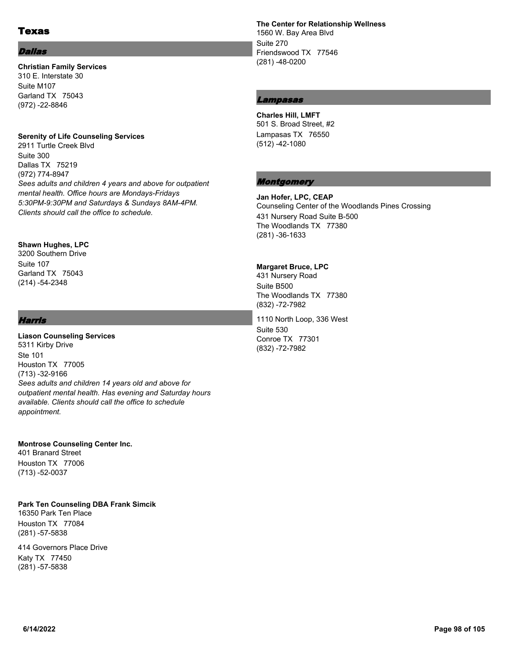# Texas

#### Dallas

#### **Christian Family Services** 310 E. Interstate 30 Suite M107 Garland TX 75043 (972) -22-8846

#### **Serenity of Life Counseling Services**

2911 Turtle Creek Blvd Suite 300 Dallas TX 75219 (972) 774-8947 *Sees adults and children 4 years and above for outpatient mental health. Office hours are Mondays-Fridays 5:30PM-9:30PM and Saturdays & Sundays 8AM-4PM. Clients should call the office to schedule.*

#### **Shawn Hughes, LPC**

3200 Southern Drive Suite 107 Garland TX 75043 (214) -54-2348

## Harris

**Liason Counseling Services** 5311 Kirby Drive Ste 101 Houston TX 77005 (713) -32-9166 *Sees adults and children 14 years old and above for outpatient mental health. Has evening and Saturday hours available. Clients should call the office to schedule appointment.*

#### **Montrose Counseling Center Inc.**

401 Branard Street Houston TX 77006 (713) -52-0037

#### **Park Ten Counseling DBA Frank Simcik**

16350 Park Ten Place Houston TX 77084 (281) -57-5838

414 Governors Place Drive Katy TX 77450 (281) -57-5838

**The Center for Relationship Wellness** 1560 W. Bay Area Blvd Suite 270 Friendswood TX 77546 (281) -48-0200

# Lampasas

**Charles Hill, LMFT** 501 S. Broad Street, #2 Lampasas TX 76550 (512) -42-1080

# **Montgomery**

**Jan Hofer, LPC, CEAP** Counseling Center of the Woodlands Pines Crossing 431 Nursery Road Suite B-500 The Woodlands TX 77380 (281) -36-1633

#### **Margaret Bruce, LPC**

431 Nursery Road Suite B500 The Woodlands TX 77380 (832) -72-7982

1110 North Loop, 336 West Suite 530 Conroe TX 77301 (832) -72-7982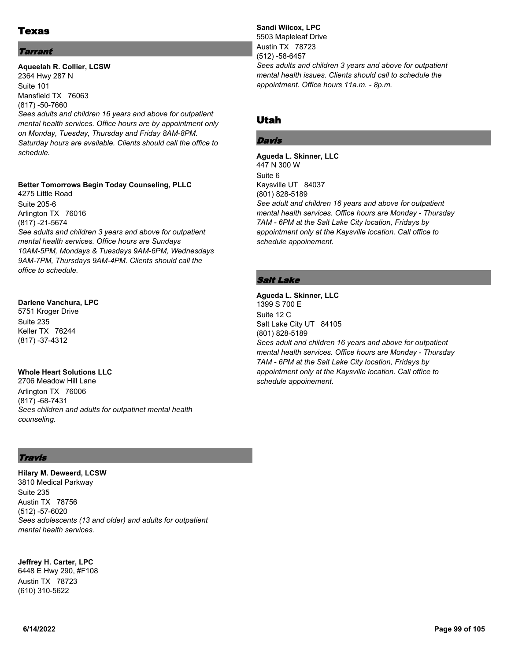# Texas

## **Tarrant**

**Aqueelah R. Collier, LCSW** 2364 Hwy 287 N Suite 101 Mansfield TX 76063 (817) -50-7660 *Sees adults and children 16 years and above for outpatient mental health services. Office hours are by appointment only on Monday, Tuesday, Thursday and Friday 8AM-8PM. Saturday hours are available. Clients should call the office to schedule.*

#### **Better Tomorrows Begin Today Counseling, PLLC**

4275 Little Road Suite 205-6 Arlington TX 76016 (817) -21-5674 *See adults and children 3 years and above for outpatient mental health services. Office hours are Sundays 10AM-5PM, Mondays & Tuesdays 9AM-6PM, Wednesdays 9AM-7PM, Thursdays 9AM-4PM. Clients should call the office to schedule.*

#### **Darlene Vanchura, LPC**

5751 Kroger Drive Suite 235 Keller TX 76244 (817) -37-4312

## **Whole Heart Solutions LLC**

2706 Meadow Hill Lane Arlington TX 76006 (817) -68-7431 *Sees children and adults for outpatinet mental health counseling.*

# Travis

**Hilary M. Deweerd, LCSW** 3810 Medical Parkway Suite 235 Austin TX 78756 (512) -57-6020 *Sees adolescents (13 and older) and adults for outpatient mental health services.*

**Jeffrey H. Carter, LPC**

6448 E Hwy 290, #F108 Austin TX 78723 (610) 310-5622

**Sandi Wilcox, LPC** 5503 Mapleleaf Drive Austin TX 78723 (512) -58-6457 *Sees adults and children 3 years and above for outpatient mental health issues. Clients should call to schedule the appointment. Office hours 11a.m. - 8p.m.*

# Utah

# Davis

**Agueda L. Skinner, LLC** 447 N 300 W Suite 6 Kaysville UT 84037 (801) 828-5189 *See adult and children 16 years and above for outpatient mental health services. Office hours are Monday - Thursday 7AM - 6PM at the Salt Lake City location, Fridays by appointment only at the Kaysville location. Call office to schedule appoinement.*

# Salt Lake

**Agueda L. Skinner, LLC** 1399 S 700 E Suite 12 C Salt Lake City UT 84105 (801) 828-5189 *Sees adult and children 16 years and above for outpatient mental health services. Office hours are Monday - Thursday 7AM - 6PM at the Salt Lake City location, Fridays by appointment only at the Kaysville location. Call office to schedule appoinement.*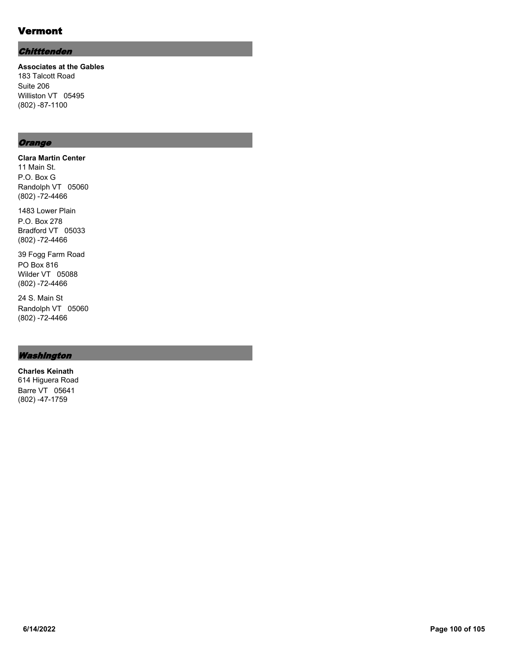# Vermont

# **Chitttenden**

**Associates at the Gables** 183 Talcott Road Suite 206 Williston VT 05495 (802) -87-1100

# **Orange**

**Clara Martin Center** 11 Main St. P.O. Box G Randolph VT 05060 (802) -72-4466

1483 Lower Plain P.O. Box 278 Bradford VT 05033 (802) -72-4466

39 Fogg Farm Road PO Box 816 Wilder VT 05088 (802) -72-4466

24 S. Main St Randolph VT 05060 (802) -72-4466

# Washington

**Charles Keinath** 614 Higuera Road Barre VT 05641 (802) -47-1759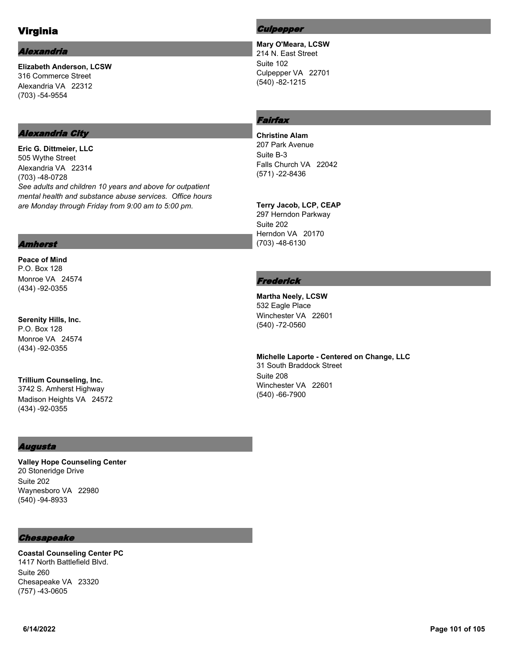# Virginia

#### Alexandria

**Elizabeth Anderson, LCSW** 316 Commerce Street Alexandria VA 22312 (703) -54-9554

# Alexandria City

**Eric G. Dittmeier, LLC** 505 Wythe Street Alexandria VA 22314 (703) -48-0728 *See adults and children 10 years and above for outpatient mental health and substance abuse services. Office hours are Monday through Friday from 9:00 am to 5:00 pm.*

## **Culpepper**

**Mary O'Meara, LCSW** 214 N. East Street Suite 102 Culpepper VA 22701 (540) -82-1215

# Fairfax

**Christine Alam** 207 Park Avenue Suite B-3 Falls Church VA 22042 (571) -22-8436

**Terry Jacob, LCP, CEAP** 297 Herndon Parkway Suite 202 Herndon VA 20170 (703) -48-6130

# **Frederick**

**Martha Neely, LCSW** 532 Eagle Place Winchester VA 22601 (540) -72-0560

**Michelle Laporte - Centered on Change, LLC** 31 South Braddock Street Suite 208 Winchester VA 22601 (540) -66-7900

#### Amherst

**Peace of Mind** P.O. Box 128 Monroe VA 24574 (434) -92-0355

**Serenity Hills, Inc.** P.O. Box 128 Monroe VA 24574 (434) -92-0355

**Trillium Counseling, Inc.** 3742 S. Amherst Highway Madison Heights VA 24572 (434) -92-0355

## Augusta

**Valley Hope Counseling Center** 20 Stoneridge Drive Suite 202 Waynesboro VA 22980 (540) -94-8933

## Chesapeake

**Coastal Counseling Center PC** 1417 North Battlefield Blvd. Suite 260 Chesapeake VA 23320 (757) -43-0605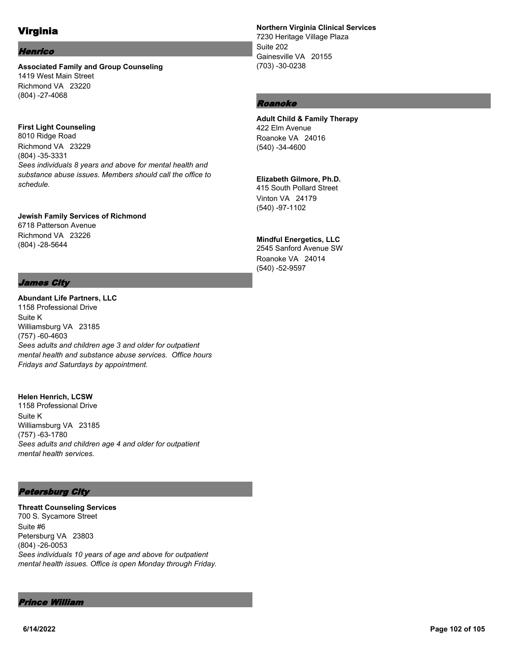# Virginia

#### Henrico

**Associated Family and Group Counseling** 1419 West Main Street Richmond VA 23220 (804) -27-4068

## **First Light Counseling**

8010 Ridge Road Richmond VA 23229 (804) -35-3331 *Sees individuals 8 years and above for mental health and substance abuse issues. Members should call the office to schedule.*

# **Jewish Family Services of Richmond**

6718 Patterson Avenue Richmond VA 23226 (804) -28-5644

# James City

**Abundant Life Partners, LLC** 1158 Professional Drive Suite K Williamsburg VA 23185 (757) -60-4603 *Sees adults and children age 3 and older for outpatient mental health and substance abuse services. Office hours Fridays and Saturdays by appointment.*

#### **Helen Henrich, LCSW**

1158 Professional Drive Suite K Williamsburg VA 23185 (757) -63-1780 *Sees adults and children age 4 and older for outpatient mental health services.*

# Petersburg City

**Threatt Counseling Services** 700 S. Sycamore Street Suite #6 Petersburg VA 23803 (804) -26-0053 *Sees individuals 10 years of age and above for outpatient mental health issues. Office is open Monday through Friday.*

#### Prince William

## **Northern Virginia Clinical Services**

7230 Heritage Village Plaza Suite 202 Gainesville VA 20155 (703) -30-0238

# Roanoke

#### **Adult Child & Family Therapy** 422 Elm Avenue Roanoke VA 24016 (540) -34-4600

# **Elizabeth Gilmore, Ph.D.**

415 South Pollard Street Vinton VA 24179 (540) -97-1102

## **Mindful Energetics, LLC**

2545 Sanford Avenue SW Roanoke VA 24014 (540) -52-9597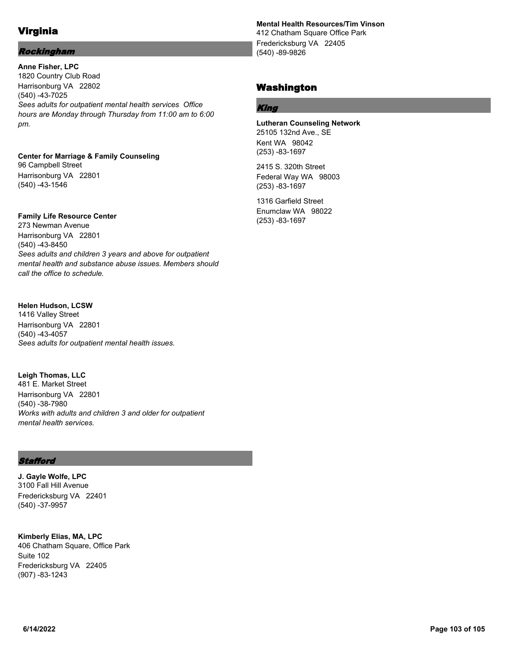# Virginia

# Rockingham

**Anne Fisher, LPC** 1820 Country Club Road Harrisonburg VA 22802 (540) -43-7025 *Sees adults for outpatient mental health services Office hours are Monday through Thursday from 11:00 am to 6:00 pm.*

**Center for Marriage & Family Counseling** 96 Campbell Street Harrisonburg VA 22801 (540) -43-1546

## **Family Life Resource Center**

273 Newman Avenue Harrisonburg VA 22801 (540) -43-8450 *Sees adults and children 3 years and above for outpatient mental health and substance abuse issues. Members should call the office to schedule.*

## **Helen Hudson, LCSW**

1416 Valley Street Harrisonburg VA 22801 (540) -43-4057 *Sees adults for outpatient mental health issues.*

**Leigh Thomas, LLC** 481 E. Market Street Harrisonburg VA 22801 (540) -38-7980 *Works with adults and children 3 and older for outpatient mental health services.*

## **Stafford**

**J. Gayle Wolfe, LPC** 3100 Fall Hill Avenue Fredericksburg VA 22401 (540) -37-9957

**Kimberly Elias, MA, LPC** 406 Chatham Square, Office Park Suite 102 Fredericksburg VA 22405 (907) -83-1243

# **Mental Health Resources/Tim Vinson**

412 Chatham Square Office Park Fredericksburg VA 22405 (540) -89-9826

# Washington

# King

**Lutheran Counseling Network** 25105 132nd Ave., SE Kent WA 98042 (253) -83-1697

2415 S. 320th Street Federal Way WA 98003 (253) -83-1697

1316 Garfield Street Enumclaw WA 98022 (253) -83-1697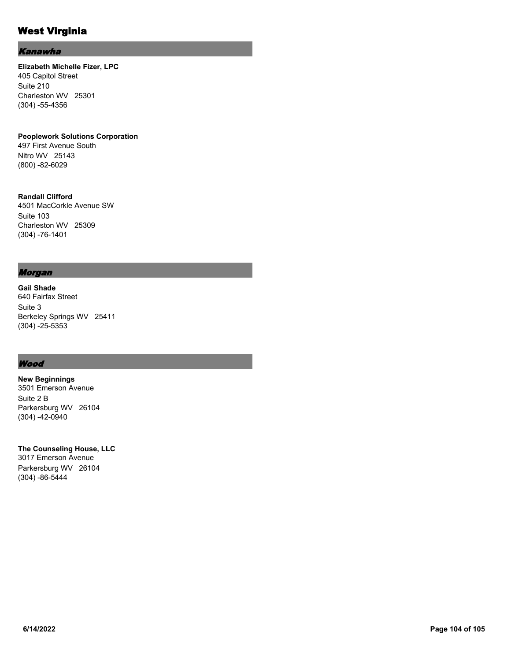# West Virginia

#### Kanawha

**Elizabeth Michelle Fizer, LPC** 405 Capitol Street Suite 210 Charleston WV 25301 (304) -55-4356

**Peoplework Solutions Corporation** 497 First Avenue South Nitro WV 25143 (800) -82-6029

**Randall Clifford** 4501 MacCorkle Avenue SW Suite 103 Charleston WV 25309 (304) -76-1401

#### Morgan

**Gail Shade** 640 Fairfax Street Suite 3 Berkeley Springs WV 25411 (304) -25-5353

## **Wood**

**New Beginnings** 3501 Emerson Avenue Suite 2 B Parkersburg WV 26104 (304) -42-0940

**The Counseling House, LLC** 3017 Emerson Avenue Parkersburg WV 26104 (304) -86-5444